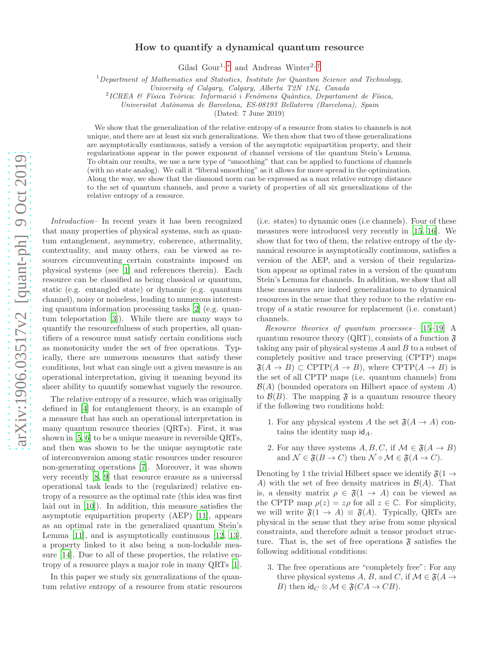# How to quantify a dynamical quantum resource

Gilad Gour<sup>1,\*</sup> and Andreas Winter<sup>2,[†](#page-4-1)</sup>

 $1$  Department of Mathematics and Statistics, Institute for Quantum Science and Technology,

<sup>2</sup>ICREA & Física Teòrica: Informació i Fenòmens Quàntics, Departament de Física,

Universitat Aut`onoma de Barcelona, ES-08193 Bellaterra (Barcelona), Spain

(Dated: 7 June 2019)

We show that the generalization of the relative entropy of a resource from states to channels is not unique, and there are at least six such generalizations. We then show that two of these generalizations are asymptotically continuous, satisfy a version of the asymptotic equipartition property, and their regularizations appear in the power exponent of channel versions of the quantum Stein's Lemma. To obtain our results, we use a new type of "smoothing" that can be applied to functions of channels (with no state analog). We call it "liberal smoothing" as it allows for more spread in the optimization. Along the way, we show that the diamond norm can be expressed as a max relative entropy distance to the set of quantum channels, and prove a variety of properties of all six generalizations of the relative entropy of a resource.

*Introduction–* In recent years it has been recognized that many properties of physical systems, such as quantum entanglement, asymmetry, coherence, athermality, contextuality, and many others, can be viewed as resources circumventing certain constraints imposed on physical systems (see [\[1\]](#page-4-2) and references therein). Each resource can be classified as being classical or quantum, static (e.g. entangled state) or dynamic (e.g. quantum channel), noisy or noiseless, leading to numerous interesting quantum information processing tasks [\[2\]](#page-4-3) (e.g. quantum teleportation [\[3\]](#page-4-4)). While there are many ways to quantify the resourcefulness of such properties, all quantifiers of a resource must satisfy certain conditions such as monotonicity under the set of free operations. Typically, there are numerous measures that satisfy these conditions, but what can single out a given measure is an operational interpretation, giving it meaning beyond its sheer ability to quantify somewhat vaguely the resource.

The relative entropy of a resource, which was originally defined in [\[4\]](#page-4-5) for entanglement theory, is an example of a measure that has such an operational interpretation in many quantum resource theories (QRTs). First, it was shown in [\[5,](#page-4-6) [6\]](#page-4-7) to be a unique measure in reversible QRTs, and then was shown to be the unique asymptotic rate of interconversion among static resources under resource non-generating operations [\[7](#page-4-8)]. Moreover, it was shown very recently [\[8,](#page-4-9) [9\]](#page-4-10) that resource erasure as a universal operational task leads to the (regularized) relative entropy of a resource as the optimal rate (this idea was first laid out in [\[10](#page-4-11)]). In addition, this measure satisfies the asymptotic equipartition property (AEP) [\[11](#page-4-12)], appears as an optimal rate in the generalized quantum Stein's Lemma [\[11\]](#page-4-12), and is asymptotically continuous [\[12,](#page-4-13) [13\]](#page-4-14), a property linked to it also being a non-lockable measure [\[14](#page-4-15)]. Due to all of these properties, the relative entropy of a resource plays a major role in many QRTs [\[1\]](#page-4-2).

In this paper we study six generalizations of the quantum relative entropy of a resource from static resources (i.e. states) to dynamic ones (i.e channels). Four of these measures were introduced very recently in [\[15](#page-4-16), [16\]](#page-4-17). We show that for two of them, the relative entropy of the dynamical resource is asymptotically continuous, satisfies a version of the AEP, and a version of their regularization appear as optimal rates in a version of the quantum Stein's Lemma for channels. In addition, we show that all these measures are indeed generalizations to dynamical resources in the sense that they reduce to the relative entropy of a static resource for replacement (i.e. constant) channels.

*Resource theories of quantum processes–* [\[15](#page-4-16)[–19\]](#page-4-18) A quantum resource theory (QRT), consists of a function  $\mathfrak{F}$ taking any pair of physical systems  $A$  and  $B$  to a subset of completely positive and trace preserving (CPTP) maps  $\mathfrak{F}(A \to B) \subset \text{CPTP}(A \to B)$ , where  $\text{CPTP}(A \to B)$  is the set of all CPTP maps (i.e. quantum channels) from  $\mathcal{B}(A)$  (bounded operators on Hilbert space of system A) to  $\mathcal{B}(B)$ . The mapping  $\mathfrak{F}$  is a quantum resource theory if the following two conditions hold:

- 1. For any physical system A the set  $\mathfrak{F}(A \rightarrow A)$  contains the identity map  $\mathsf{id}_A$ .
- 2. For any three systems  $A, B, C$ , if  $\mathcal{M} \in \mathfrak{F}(A \to B)$ and  $\mathcal{N} \in \mathfrak{F}(B \to C)$  then  $\mathcal{N} \circ \mathcal{M} \in \mathfrak{F}(A \to C)$ .

Denoting by 1 the trivial Hilbert space we identify  $\mathfrak{F}(1 \rightarrow$ A) with the set of free density matrices in  $\mathcal{B}(A)$ . That is, a density matrix  $\rho \in \mathfrak{F}(1 \to A)$  can be viewed as the CPTP map  $\rho(z) = z\rho$  for all  $z \in \mathbb{C}$ . For simplicity, we will write  $\mathfrak{F}(1 \to A) \equiv \mathfrak{F}(A)$ . Typically, QRTs are physical in the sense that they arise from some physical constraints, and therefore admit a tensor product structure. That is, the set of free operations  $\mathfrak{F}$  satisfies the following additional conditions:

3. The free operations are "completely free": For any three physical systems A, B, and C, if  $\mathcal{M} \in \mathfrak{F}(A \rightarrow$ B) then  $\text{id}_C \otimes \mathcal{M} \in \mathfrak{F}(CA \to CB)$ .

University of Calgary, Calgary, Alberta T2N 1N4, Canada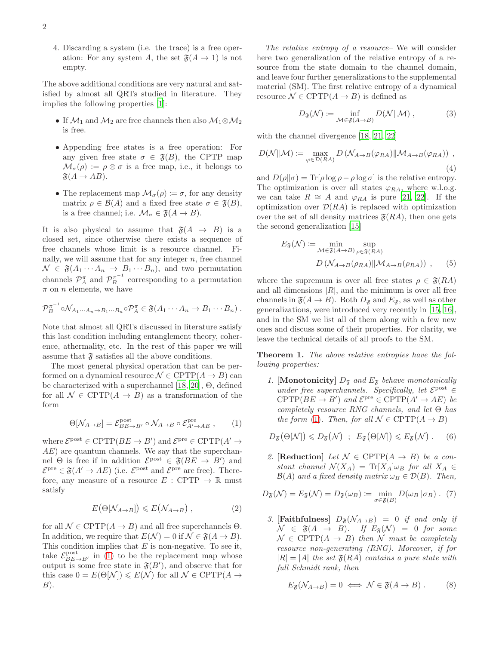4. Discarding a system (i.e. the trace) is a free operation: For any system A, the set  $\mathfrak{F}(A \to 1)$  is not empty.

The above additional conditions are very natural and satisfied by almost all QRTs studied in literature. They implies the following properties [\[1\]](#page-4-2):

- If  $\mathcal{M}_1$  and  $\mathcal{M}_2$  are free channels then also  $\mathcal{M}_1 \otimes \mathcal{M}_2$ is free.
- Appending free states is a free operation: For any given free state  $\sigma \in \mathfrak{F}(B)$ , the CPTP map  $\mathcal{M}_{\sigma}(\rho) := \rho \otimes \sigma$  is a free map, i.e., it belongs to  $\mathfrak{F}(A \to AB)$ .
- The replacement map  $\mathcal{M}_{\sigma}(\rho) \coloneqq \sigma$ , for any density matrix  $\rho \in \mathcal{B}(A)$  and a fixed free state  $\sigma \in \mathfrak{F}(B)$ , is a free channel; i.e.  $\mathcal{M}_{\sigma} \in \mathfrak{F}(A \to B)$ .

It is also physical to assume that  $\mathfrak{F}(A \rightarrow B)$  is a closed set, since otherwise there exists a sequence of free channels whose limit is a resource channel. Finally, we will assume that for any integer  $n$ , free channel  $\mathcal{N} \in \mathfrak{F}(A_1 \cdots A_n \rightarrow B_1 \cdots B_n)$ , and two permutation channels  $\mathcal{P}_A^{\pi}$  and  $\mathcal{P}_B^{\pi^{-1}}$  corresponding to a permutation  $\pi$  on *n* elements, we have

$$
\mathcal{P}_B^{\pi^{-1}} \circ \mathcal{N}_{A_1 \cdots A_n \to B_1 \cdots B_n} \circ \mathcal{P}_A^{\pi} \in \mathfrak{F}(A_1 \cdots A_n \to B_1 \cdots B_n) .
$$

Note that almost all QRTs discussed in literature satisfy this last condition including entanglement theory, coherence, athermality, etc. In the rest of this paper we will assume that  $\mathfrak{F}$  satisfies all the above conditions.

The most general physical operation that can be performed on a dynamical resource  $\mathcal{N} \in \text{CPTP}(A \to B)$  can be characterized with a superchannel [\[18](#page-4-19), [20\]](#page-4-20), Θ, defined for all  $\mathcal{N} \in \text{CPTP}(A \to B)$  as a transformation of the form

<span id="page-1-0"></span>
$$
\Theta[\mathcal{N}_{A\to B}] = \mathcal{E}_{BE\to B'}^{\text{post}} \circ \mathcal{N}_{A\to B} \circ \mathcal{E}_{A'\to AE}^{\text{pre}} , \qquad (1)
$$

where  $\mathcal{E}^{\text{post}} \in \text{CPTP}(BE \to B')$  and  $\mathcal{E}^{\text{pre}} \in \text{CPTP}(A' \to$ AE) are quantum channels. We say that the superchannel  $\Theta$  is free if in addition  $\mathcal{E}^{\text{post}} \in \mathfrak{F}(BE \to B')$  and  $\mathcal{E}^{\text{pre}} \in \mathfrak{F}(A' \to AE)$  (i.e.  $\mathcal{E}^{\text{post}}$  and  $\mathcal{E}^{\text{pre}}$  are free). Therefore, any measure of a resource  $E : \text{CPTP} \to \mathbb{R}$  must satisfy

<span id="page-1-4"></span>
$$
E(\Theta[N_{A\to B}]) \leqslant E(N_{A\to B}), \qquad (2)
$$

for all  $\mathcal{N} \in \text{CPTP}(A \to B)$  and all free superchannels  $\Theta$ . In addition, we require that  $E(\mathcal{N}) = 0$  if  $\mathcal{N} \in \mathfrak{F}(A \to B)$ . This condition implies that  $E$  is non-negative. To see it, take  $\mathcal{E}_{BE\to B'}^{\text{post}}$  in [\(1\)](#page-1-0) to be the replacement map whose output is some free state in  $\mathfrak{F}(B')$ , and observe that for this case  $0 = E(\Theta[N]) \leq E(N)$  for all  $\mathcal{N} \in \mathrm{CPTP}(A \rightarrow$  $B)$ .

*The relative entropy of a resource–* We will consider here two generalization of the relative entropy of a resource from the state domain to the channel domain, and leave four further generalizations to the supplemental material (SM). The first relative entropy of a dynamical resource  $\mathcal{N} \in \mathrm{CPTP}(A \to B)$  is defined as

<span id="page-1-1"></span>
$$
D_{\mathfrak{F}}(\mathcal{N}) \coloneqq \inf_{\mathcal{M} \in \mathfrak{F}(A \to B)} D(\mathcal{N} \Vert \mathcal{M}), \tag{3}
$$

with the channel divergence [\[18,](#page-4-19) [21,](#page-4-21) [22\]](#page-4-22)

$$
D(\mathcal{N}||\mathcal{M}) := \max_{\varphi \in \mathcal{D}(RA)} D(\mathcal{N}_{A \to B}(\varphi_{RA}) || \mathcal{M}_{A \to B}(\varphi_{RA})) ,
$$
\n(4)

and  $D(\rho||\sigma) = \text{Tr}[\rho \log \rho - \rho \log \sigma]$  is the relative entropy. The optimization is over all states  $\varphi_{RA}$ , where w.l.o.g. we can take  $R \cong A$  and  $\varphi_{RA}$  is pure [\[21,](#page-4-21) [22](#page-4-22)]. If the optimization over  $\mathcal{D}(RA)$  is replaced with optimization over the set of all density matrices  $\mathfrak{F}(RA)$ , then one gets the second generalization [\[15\]](#page-4-16)

<span id="page-1-2"></span>
$$
E_{\mathfrak{F}}(\mathcal{N}) := \min_{\mathcal{M} \in \mathfrak{F}(A \to B)} \sup_{\rho \in \mathfrak{F}(RA)} D\left(\mathcal{N}_{A \to B}(\rho_{RA}) \|\mathcal{M}_{A \to B}(\rho_{RA})\right) ,
$$
 (5)

where the supremum is over all free states  $\rho \in \mathfrak{F}(RA)$ and all dimensions  $|R|$ , and the minimum is over all free channels in  $\mathfrak{F}(A \to B)$ . Both  $D_{\mathfrak{F}}$  and  $E_{\mathfrak{F}}$ , as well as other generalizations, were introduced very recently in [\[15](#page-4-16), [16\]](#page-4-17), and in the SM we list all of them along with a few new ones and discuss some of their properties. For clarity, we leave the technical details of all proofs to the SM.

<span id="page-1-3"></span>Theorem 1. *The above relative entropies have the following properties:*

*1.* [Monotonicity]  $D_{\mathfrak{F}}$  and  $E_{\mathfrak{F}}$  behave monotonically *under free superchannels. Specifically, let*  $\mathcal{E}^{\text{post}} \in \mathbb{R}$  $CPTP(BE \to B')$  and  $\mathcal{E}^{\text{pre}} \in CPTP(A' \to AE)$  be *completely resource RNG channels, and let* Θ *has the form* [\(1\)](#page-1-0)*. Then, for all*  $\mathcal{N} \in \text{CPTP}(A \rightarrow B)$ 

$$
D_{\mathfrak{F}}(\Theta[\mathcal{N}]) \leq D_{\mathfrak{F}}(\mathcal{N}) \; ; \; E_{\mathfrak{F}}(\Theta[\mathcal{N}]) \leq E_{\mathfrak{F}}(\mathcal{N}) \; . \qquad (6)
$$

2. [**Reduction**] *Let*  $\mathcal{N} \in \text{CPTP}(A \rightarrow B)$  *be a constant channel*  $\mathcal{N}(X_A) = \text{Tr}[X_A] \omega_B$  *for all*  $X_A \in$  $\mathcal{B}(A)$  *and a fixed density matrix*  $\omega_B \in \mathcal{D}(B)$ *. Then,* 

$$
D_{\mathfrak{F}}(\mathcal{N}) = E_{\mathfrak{F}}(\mathcal{N}) = D_{\mathfrak{F}}(\omega_B) \coloneqq \min_{\sigma \in \mathfrak{F}(B)} D(\omega_B || \sigma_B) . \tag{7}
$$

*3.* [Faithfulness]  $D_{\mathfrak{F}}(\mathcal{N}_{A\rightarrow B}) = 0$  *if and only if*  $\mathcal{N} \in \mathfrak{F}(A \rightarrow B)$ *.* If  $E_{\mathfrak{F}}(\mathcal{N}) = 0$  for some  $\mathcal{N} \in \text{CPTP}(A \rightarrow B)$  then  $\mathcal{N}$  must be completely *resource non-generating (RNG). Moreover, if for*  $|R| = |A|$  *the set*  $\mathfrak{F}(RA)$  *contains a pure state with full Schmidt rank, then*

$$
E_{\mathfrak{F}}(\mathcal{N}_{A\to B})=0 \iff \mathcal{N}\in \mathfrak{F}(A\to B). \tag{8}
$$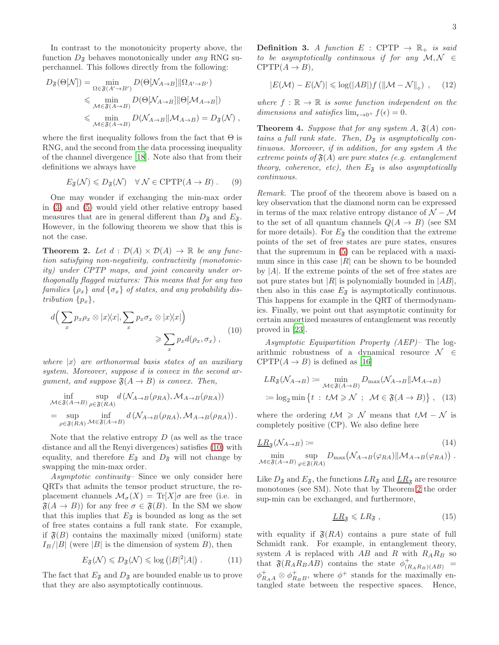In contrast to the monotonicity property above, the function  $D_{\mathfrak{F}}$  behaves monotonically under *any* RNG superchannel. This follows directly from the following:

$$
D_{\mathfrak{F}}(\Theta[N]) = \min_{\Omega \in \mathfrak{F}(A' \to B')} D(\Theta[N_{A \to B}] \|\Omega_{A' \to B'})
$$
  
\$\leq\$ min  

$$
\lim_{\mathcal{M} \in \mathfrak{F}(A \to B)} D(\Theta[N_{A \to B}] \|\Theta[M_{A \to B}])
$$
  
\$\leq\$ min  

$$
\lim_{\mathcal{M} \in \mathfrak{F}(A \to B)} D(\mathcal{N}_{A \to B} \| \mathcal{M}_{A \to B}) = D_{\mathfrak{F}}(\mathcal{N}),
$$

where the first inequality follows from the fact that  $\Theta$  is RNG, and the second from the data processing inequality of the channel divergence [\[18\]](#page-4-19). Note also that from their definitions we always have

$$
E_{\mathfrak{F}}(\mathcal{N}) \leq D_{\mathfrak{F}}(\mathcal{N}) \quad \forall \mathcal{N} \in \text{CPTP}(A \to B). \tag{9}
$$

One may wonder if exchanging the min-max order in [\(3\)](#page-1-1) and [\(5\)](#page-1-2) would yield other relative entropy based measures that are in general different than  $D_{\mathfrak{F}}$  and  $E_{\mathfrak{F}}$ . However, in the following theorem we show that this is not the case.

<span id="page-2-1"></span>**Theorem 2.** Let  $d : \mathcal{D}(A) \times \mathcal{D}(A) \rightarrow \mathbb{R}$  be any func*tion satisfying non-negativity, contractivity (monotonicity) under CPTP maps, and joint concavity under orthogonally flagged mixtures: This means that for any two*  $families \{\rho_x\}$  *and*  $\{\sigma_x\}$  *of states, and any probability distribution*  $\{p_x\}$ ,

<span id="page-2-0"></span>
$$
d\left(\sum_{x} p_{x}\rho_{x} \otimes |x\rangle\langle x|, \sum_{x} p_{x}\sigma_{x} \otimes |x\rangle\langle x|\right) \geqslant \sum_{x} p_{x}d(\rho_{x}, \sigma_{x}), \qquad (10)
$$

*where*  $|x\rangle$  *are orthonormal basis states of an auxiliary system. Moreover, suppose* d *is convex in the second argument, and suppose*  $\mathfrak{F}(A \rightarrow B)$  *is convex. Then,* 

$$
\inf_{\mathcal{M}\in\mathfrak{F}(A\to B)} \sup_{\rho\in\mathfrak{F}(RA)} d\left(\mathcal{N}_{A\to B}(\rho_{RA}), \mathcal{M}_{A\to B}(\rho_{RA})\right)
$$
  
= 
$$
\sup_{\rho\in\mathfrak{F}(RA)} \inf_{\mathcal{M}\in\mathfrak{F}(A\to B)} d\left(\mathcal{N}_{A\to B}(\rho_{RA}), \mathcal{M}_{A\to B}(\rho_{RA})\right).
$$

Note that the relative entropy  $D$  (as well as the trace distance and all the Renyi divergences) satisfies [\(10\)](#page-2-0) with equality, and therefore  $E_{\mathfrak{F}}$  and  $D_{\mathfrak{F}}$  will not change by swapping the min-max order.

*Asymptotic continuity–* Since we only consider here QRTs that admits the tensor product structure, the replacement channels  $\mathcal{M}_{\sigma}(X) = \text{Tr}[X]\sigma$  are free (i.e. in  $\mathfrak{F}(A \to B)$  for any free  $\sigma \in \mathfrak{F}(B)$ . In the SM we show that this implies that  $E_{\tilde{s}}$  is bounded as long as the set of free states contains a full rank state. For example, if  $\mathfrak{F}(B)$  contains the maximally mixed (uniform) state  $I_B/|B|$  (were |B| is the dimension of system B), then

$$
E_{\mathfrak{F}}(\mathcal{N}) \leq D_{\mathfrak{F}}(\mathcal{N}) \leq \log (|B|^2 |A|) \ . \tag{11}
$$

The fact that  $E_{\mathfrak{F}}$  and  $D_{\mathfrak{F}}$  are bounded enable us to prove that they are also asymptotically continuous.

**Definition 3.** *A function*  $E : \text{CPTP} \rightarrow \mathbb{R}_+$  *is said to be asymptotically continuous if for any* M, N ∈  $CPTP(A \rightarrow B)$ ,

$$
|E(\mathcal{M}) - E(\mathcal{N})| \leq \log(|AB|) f(||\mathcal{M} - \mathcal{N}||_{\diamond}), \quad (12)
$$

where  $f : \mathbb{R} \to \mathbb{R}$  *is some function independent on the dimensions and satisfies*  $\lim_{\epsilon \to 0^+} f(\epsilon) = 0$ .

<span id="page-2-2"></span>**Theorem 4.** *Suppose that for any system A,*  $\mathfrak{F}(A)$  *contains a full rank state. Then,*  $D_{\tilde{\mathcal{S}}}$  *is asymptotically continuous. Moreover, if in addition, for any system* A *the extreme points of*  $\mathfrak{F}(A)$  *are pure states (e.g. entanglement theory, coherence, etc), then*  $E_{\tilde{s}}$  *is also asymptotically continuous.*

*Remark.* The proof of the theorem above is based on a key observation that the diamond norm can be expressed in terms of the max relative entropy distance of  $\mathcal{N} - \mathcal{M}$ to the set of all quantum channels  $Q(A \rightarrow B)$  (see SM for more details). For  $E_{\mathfrak{F}}$  the condition that the extreme points of the set of free states are pure states, ensures that the supremum in [\(5\)](#page-1-2) can be replaced with a maximum since in this case  $|R|$  can be shown to be bounded by  $|A|$ . If the extreme points of the set of free states are not pure states but  $|R|$  is polynomially bounded in  $|AB|$ , then also in this case  $E_{\mathfrak{F}}$  is asymptotically continuous. This happens for example in the QRT of thermodynamics. Finally, we point out that asymptotic continuity for certain amortized measures of entanglement was recently proved in [\[23\]](#page-4-23).

*Asymptotic Equipartition Property (AEP)–* The logarithmic robustness of a dynamical resource  $\mathcal{N} \in$ CPTP $(A \rightarrow B)$  is defined as [\[16\]](#page-4-17)

$$
LR_{\mathfrak{F}}(\mathcal{N}_{A\to B}) \coloneqq \min_{\mathcal{M}\in\mathfrak{F}(A\to B)} D_{\max}(\mathcal{N}_{A\to B}||\mathcal{M}_{A\to B})
$$
  
 :=  $\log_2 \min \{t : t\mathcal{M} \geq \mathcal{N} ; \mathcal{M} \in \mathfrak{F}(A\to B) \}, (13)$ 

where the ordering  $t\mathcal{M} \geqslant \mathcal{N}$  means that  $t\mathcal{M} - \mathcal{N}$  is completely positive (CP). We also define here

$$
\underline{LR}_{\mathfrak{F}}(\mathcal{N}_{A\to B}) := \min_{\text{sup}} \quad D_{\text{max}}(\mathcal{N}_{A\to B}(\varphi_{RA}) \| \mathcal{M}_{A\to B}(\varphi_{RA}))
$$

$$
\min_{\mathcal{M}\in\mathfrak{F}(A\to B)}\sup_{\varphi\in\mathfrak{F}(RA)}D_{\max}(\mathcal{N}_{A\to B}(\varphi_{RA})||\mathcal{M}_{A\to B}(\varphi_{RA}))
$$
.

Like  $D_{\mathfrak{F}}$  and  $E_{\mathfrak{F}}$ , the functions  $LR_{\mathfrak{F}}$  and  $LR_{\mathfrak{F}}$  are resource monotones (see SM). Note that by Theorem [2](#page-2-1) the order sup-min can be exchanged, and furthermore,

$$
\underline{LR}_{\mathfrak{F}} \leqslant LR_{\mathfrak{F}} , \qquad (15)
$$

with equality if  $\mathfrak{F}(RA)$  contains a pure state of full Schmidt rank. For example, in entanglement theory, system A is replaced with  $AB$  and R with  $R_A R_B$  so that  $\mathfrak{F}(R_A R_B A B)$  contains the state  $\phi^+_{(R_A R_B)(AB)}$  =  $\phi_{R_{AA}}^+ \otimes \phi_{R_{BB}}^+$ , where  $\phi^+$  stands for the maximally entangled state between the respective spaces. Hence,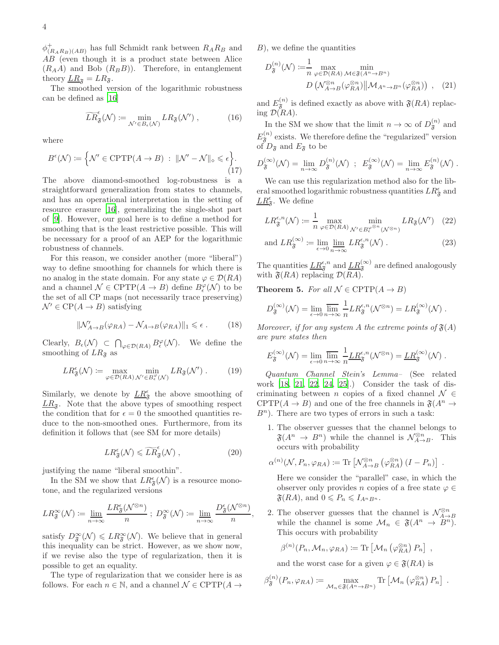$\phi_{(R_AR_B)(AB)}^+$  has full Schmidt rank between  $R_AR_B$  and AB (even though it is a product state between Alice  $(R_A A)$  and Bob  $(R_B B)$ . Therefore, in entanglement theory  $LR_{\mathfrak{F}} = LR_{\mathfrak{F}}$ .

The smoothed version of the logarithmic robustness can be defined as [\[16](#page-4-17)]

$$
\widetilde{LR}_{\mathfrak{F}}^{\epsilon}(\mathcal{N}) \coloneqq \min_{\mathcal{N}' \in B_{\epsilon}(\mathcal{N})} LR_{\mathfrak{F}}(\mathcal{N}'), \tag{16}
$$

where

$$
B^{\epsilon}(\mathcal{N}) \coloneqq \Big\{ \mathcal{N}' \in \text{CPTP}(A \to B) \; : \; \|\mathcal{N}' - \mathcal{N}\|_{\diamond} \leqslant \epsilon \Big\}. \tag{17}
$$

The above diamond-smoothed log-robustness is a straightforward generalization from states to channels, and has an operational interpretation in the setting of resource erasure [\[16\]](#page-4-17), generalizing the single-shot part of [\[9\]](#page-4-10). However, our goal here is to define a method for smoothing that is the least restrictive possible. This will be necessary for a proof of an AEP for the logarithmic robustness of channels.

For this reason, we consider another (more "liberal") way to define smoothing for channels for which there is no analog in the state domain. For any state  $\varphi \in \mathcal{D}(RA)$ and a channel  $\mathcal{N} \in \text{CPTP}(A \to B)$  define  $B_{\epsilon}^{\varphi}(\mathcal{N})$  to be the set of all CP maps (not necessarily trace preserving)  $\mathcal{N}' \in \text{CP}(A \to B)$  satisfying

$$
\|\mathcal{N}'_{A\to B}(\varphi_{RA}) - \mathcal{N}_{A\to B}(\varphi_{RA})\|_1 \leq \epsilon.
$$
 (18)

Clearly,  $B_{\epsilon}(\mathcal{N}) \subset \bigcap_{\varphi \in \mathcal{D}(RA)} B_{\epsilon}^{\varphi}(\mathcal{N})$ . We define the smoothing of  $LR_{\mathfrak{F}}$  as

$$
LR_{\mathfrak{F}}^{\epsilon}(\mathcal{N}) := \max_{\varphi \in \mathcal{D}(RA)} \min_{\mathcal{N}' \in B_{\epsilon}^{\varphi}(\mathcal{N})} LR_{\mathfrak{F}}(\mathcal{N}'). \tag{19}
$$

Similarly, we denote by  $LR_{\mathfrak{F}}^{\epsilon}$  the above smoothing of  $LR_{\mathfrak{F}}$ . Note that the above types of smoothing respect the condition that for  $\epsilon = 0$  the smoothed quantities reduce to the non-smoothed ones. Furthermore, from its definition it follows that (see SM for more details)

$$
LR_{\mathfrak{F}}^{\epsilon}(\mathcal{N}) \leqslant \widetilde{LR}_{\mathfrak{F}}^{\epsilon}(\mathcal{N}) , \qquad (20)
$$

justifying the name "liberal smoothin".

In the SM we show that  $LR_{\mathfrak{F}}^{\epsilon}(\mathcal{N})$  is a resource monotone, and the regularized versions

$$
LR_{\mathfrak{F}}^{\infty}(\mathcal{N}) \coloneqq \lim_{n \to \infty} \frac{LR_{\mathfrak{F}}^{\epsilon}(\mathcal{N}^{\otimes n})}{n} ; \ D_{\mathfrak{F}}^{\infty}(\mathcal{N}) \coloneqq \lim_{n \to \infty} \frac{D_{\mathfrak{F}}^{\epsilon}(\mathcal{N}^{\otimes n})}{n},
$$

satisfy  $D_{\mathfrak{F}}^{\infty}(\mathcal{N}) \leqslant LR_{\mathfrak{F}}^{\infty}(\mathcal{N})$ . We believe that in general this inequality can be strict. However, as we show now, if we revise also the type of regularization, then it is possible to get an equality.

The type of regularization that we consider here is as follows. For each  $n \in \mathbb{N}$ , and a channel  $\mathcal{N} \in \mathrm{CPTP}(A \rightarrow$   $B$ , we define the quantities

$$
D_{\mathfrak{F}}^{(n)}(\mathcal{N}) := \frac{1}{n} \max_{\varphi \in \mathcal{D}(RA)} \min_{\mathcal{M} \in \mathfrak{F}(A^n \to B^n)} \text{min}
$$
  

$$
D\left(\mathcal{N}_{A \to B}^{\otimes n}(\varphi_{RA}^{\otimes n}) \middle\| \mathcal{M}_{A^n \to B^n}(\varphi_{RA}^{\otimes n})\right) , \quad (21)
$$

and  $E_{\mathfrak{F}}^{(n)}$  is defined exactly as above with  $\mathfrak{F}(RA)$  replacing  $\mathcal{D}(R A)$ .

In the SM we show that the limit  $n \to \infty$  of  $D_{\mathfrak{F}}^{(n)}$  and  $E_{\mathfrak{F}}^{(n)}$  exists. We therefore define the "regularized" version of  $D_{\mathfrak{F}}$  and  $E_{\mathfrak{F}}$  to be

$$
D_{\mathfrak{F}}^{(\infty)}(\mathcal{N}) = \lim_{n \to \infty} D_{\mathfrak{F}}^{(n)}(\mathcal{N}) \; ; \; E_{\mathfrak{F}}^{(\infty)}(\mathcal{N}) = \lim_{n \to \infty} E_{\mathfrak{F}}^{(n)}(\mathcal{N}) \; .
$$

We can use this regularization method also for the liberal smoothed logarithmic robustness quantities  $LR_{\mathfrak{F}}^{\epsilon}$  and  $LR_{\mathfrak{F}}^{\epsilon}$ . We define

$$
LR^{\epsilon,n}_{\mathfrak{F}}(\mathcal{N}) \coloneqq \frac{1}{n} \max_{\varphi \in \mathcal{D}(RA)} \min_{\mathcal{N}' \in B^{\varphi^{\otimes n}}_{\epsilon}(\mathcal{N}^{\otimes n})} LR_{\mathfrak{F}}(\mathcal{N}') \quad (22)
$$

and 
$$
LR_{\mathfrak{F}}^{(\infty)} := \lim_{\epsilon \to 0} \lim_{n \to \infty} LR_{\mathfrak{F}}^{\epsilon, n}(\mathcal{N})
$$
. (23)

The quantities  $\underline{LR}^{\epsilon,n}_{\mathfrak{F}}$  and  $\underline{LR}^{(\infty)}_{\mathfrak{F}}$  are defined analogously with  $\mathfrak{F}(RA)$  replacing  $\mathcal{D}(RA)$ .

<span id="page-3-0"></span>**Theorem 5.** For all  $N \in \text{CPTP}(A \rightarrow B)$ 

$$
D_{\mathfrak{F}}^{(\infty)}(\mathcal{N}) = \lim_{\epsilon \to 0} \overline{\lim_{n \to \infty}} \frac{1}{n} L R_{\mathfrak{F}}^{\epsilon,n}(\mathcal{N}^{\otimes n}) = L R_{\mathfrak{F}}^{(\infty)}(\mathcal{N}) .
$$

*Moreover, if for any system* A *the extreme points of*  $\mathfrak{F}(A)$ *are pure states then*

$$
E_{\mathfrak{F}}^{(\infty)}(\mathcal{N}) = \lim_{\epsilon \to 0} \overline{\lim_{n \to \infty}} \frac{1}{n} \underline{L} R_{\mathfrak{F}}^{\epsilon,n}(\mathcal{N}^{\otimes n}) = \underline{L} R_{\mathfrak{F}}^{(\infty)}(\mathcal{N}) .
$$

*Quantum Channel Stein's Lemma–* (See related work [\[18](#page-4-19), [21](#page-4-21), [22,](#page-4-22) [24,](#page-4-24) [25\]](#page-4-25).) Consider the task of discriminating between n copies of a fixed channel  $\mathcal{N} \in$ CPTP( $A \to B$ ) and one of the free channels in  $\mathfrak{F}(A^n \to$  $B<sup>n</sup>$ ). There are two types of errors in such a task:

1. The observer guesses that the channel belongs to  $\mathfrak{F}(A^n \to B^n)$  while the channel is  $\mathcal{N}_{A\to B}^{\otimes n}$ . This occurs with probability

$$
\alpha^{(n)}(\mathcal{N}, P_n, \varphi_{RA}) \coloneqq \text{Tr}\left[\mathcal{N}_{A \to B}^{\otimes n} \left(\varphi_{RA}^{\otimes n}\right) (I - P_n)\right] \ .
$$

Here we consider the "parallel" case, in which the observer only provides n copies of a free state  $\varphi \in$  $\mathfrak{F}(RA)$ , and  $0 \leq P_n \leq I_{A^n B^n}$ .

2. The observer guesses that the channel is  $\mathcal{N}_{A\rightarrow B}^{\otimes n}$ while the channel is some  $\mathcal{M}_n \in \mathfrak{F}(A^n \to B^n)$ . This occurs with probability

$$
\beta^{(n)}(P_n, \mathcal{M}_n, \varphi_{RA}) \coloneqq \text{Tr}\left[\mathcal{M}_n\left(\varphi_{RA}^{\otimes n}\right)P_n\right],
$$

and the worst case for a given  $\varphi \in \mathfrak{F}(RA)$  is

$$
\beta_{\mathfrak{F}}^{(n)}(P_n, \varphi_{RA}) \coloneqq \max_{\mathcal{M}_n \in \mathfrak{F}(A^n \to B^n)} \text{Tr}\left[\mathcal{M}_n\left(\varphi_{RA}^{\otimes n}\right)P_n\right] \ .
$$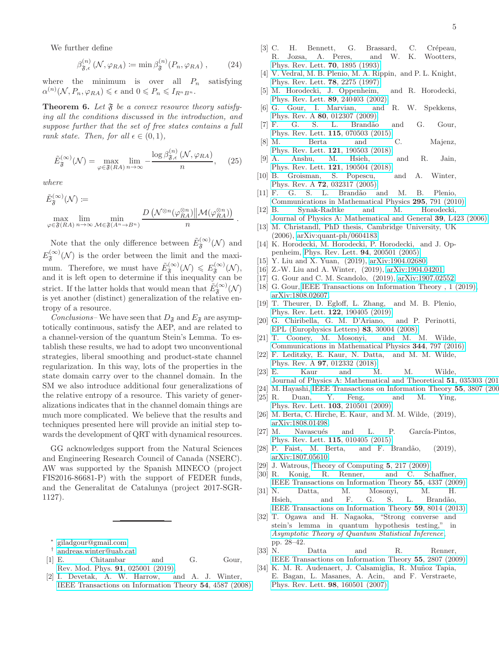We further define

$$
\beta_{\mathfrak{F},\epsilon}^{(n)}\left(\mathcal{N},\varphi_{RA}\right) := \min \beta_{\mathfrak{F}}^{(n)}(P_n,\varphi_{RA}),\qquad(24)
$$

where the minimum is over all  $P_n$  satisfying  $\alpha^{(n)}(\mathcal{N}, P_n, \varphi_{RA}) \leqslant \epsilon \text{ and } 0 \leqslant P_n \leqslant I_{R^n B^n}.$ 

<span id="page-4-34"></span>Theorem 6. Let  $\mathfrak F$  be a convex resource theory satisfy*ing all the conditions discussed in the introduction, and suppose further that the set of free states contains a full rank state. Then, for all*  $\epsilon \in (0,1)$ *,* 

$$
\tilde{E}_{\mathfrak{F}}^{(\infty)}(\mathcal{N}) = \max_{\varphi \in \mathfrak{F}(RA)} \lim_{n \to \infty} -\frac{\log \beta_{\mathfrak{F},\epsilon}^{(n)}(\mathcal{N}, \varphi_{RA})}{n}, \quad (25)
$$

*where*

$$
\tilde{E}_{\mathfrak{F}}^{(\infty)}(\mathcal{N}) \coloneqq \max_{\varphi \in \mathfrak{F}(R\!)} \lim_{n \to \infty} \min_{\mathcal{M} \in \mathfrak{F}(A^n \to B^n)} \frac{D\left(\mathcal{N}^{\otimes n}(\varphi_{RA}^{\otimes n})\middle\| \mathcal{M}(\varphi_{RA}^{\otimes n})\right)}{n}.
$$

Note that the only difference between  $\tilde{E}_{\mathfrak{F}}^{(\infty)}(\mathcal{N})$  and  $E_{\mathfrak{F}}^{(\infty)}(\mathcal{N})$  is the order between the limit and the maximum. Therefore, we must have  $\tilde{E}_{\mathfrak{F}}^{(\infty)}(\mathcal{N}) \leqslant E_{\mathfrak{F}}^{(\infty)}(\mathcal{N}),$ and it is left open to determine if this inequality can be strict. If the latter holds that would mean that  $\tilde{E}^{(\infty)}_{\mathfrak{F}}(\mathcal{N})$ is yet another (distinct) generalization of the relative entropy of a resource.

*Conclusions*– We have seen that  $D_{\mathfrak{F}}$  and  $E_{\mathfrak{F}}$  are asymptotically continuous, satisfy the AEP, and are related to a channel-version of the quantum Stein's Lemma. To establish these results, we had to adopt two unconventional strategies, liberal smoothing and product-state channel regularization. In this way, lots of the properties in the state domain carry over to the channel domain. In the SM we also introduce additional four generalizations of the relative entropy of a resource. This variety of generalizations indicates that in the channel domain things are much more complicated. We believe that the results and techniques presented here will provide an initial step towards the development of QRT with dynamical resources.

GG acknowledges support from the Natural Sciences and Engineering Research Council of Canada (NSERC). AW was supported by the Spanish MINECO (project FIS2016-86681-P) with the support of FEDER funds, and the Generalitat de Catalunya (project 2017-SGR-1127).

- <span id="page-4-0"></span>† [andreas.winter@uab.cat](mailto:andreas.winter@uab.cat)
- <span id="page-4-2"></span><span id="page-4-1"></span>[1] E. Chitambar and G. Gour, [Rev. Mod. Phys.](http://dx.doi.org/10.1103/RevModPhys.91.025001) **91**, 025001 (2019).<br>I. Devetak, A. W. Harrow, and A. J. Winter.
- <span id="page-4-3"></span> $[2]$  I. Devetak, A. W. Harrow, [IEEE Transactions on Information Theory](http://dx.doi.org/10.1109/TIT.2008.928980) 54, 4587 (2008).
- <span id="page-4-4"></span>[3] C. H. Bennett, G. Brassard, C. Crépeau, R. Jozsa, A. Peres, and W. K. Wootters, [Phys. Rev. Lett.](http://dx.doi.org/ 10.1103/PhysRevLett.70.1895) 70, 1895 (1993).
- <span id="page-4-5"></span>[4] V. Vedral, M. B. Plenio, M. A. Rippin, and P. L. Knight, [Phys. Rev. Lett.](http://dx.doi.org/10.1103/PhysRevLett.78.2275) **78**, 2275 (1997).
- <span id="page-4-6"></span>[5] M. Horodecki, J. Oppenheim, and R. Horodecki, [Phys. Rev. Lett.](http://dx.doi.org/10.1103/PhysRevLett.89.240403) 89, 240403 (2002).
- <span id="page-4-7"></span>[6] G. Gour, I. Marvian, and R. W. Spekkens, Phys. Rev. A **80**[, 012307 \(2009\).](http://dx.doi.org/10.1103/PhysRevA.80.012307)<br>[7] F. G. S. L. Brandão
- <span id="page-4-8"></span>[7] F. G. S. L. Brand˜ao and G. Gour, [Phys. Rev. Lett.](http://dx.doi.org/10.1103/PhysRevLett.115.070503) 115, 070503 (2015).
- <span id="page-4-9"></span>[8] M. Berta and C. Majenz, [Phys. Rev. Lett.](http://dx.doi.org/10.1103/PhysRevLett.121.190503) 121, 190503 (2018).
- <span id="page-4-10"></span>[9] A. Anshu, M. Hsieh, and R. Jain, [Phys. Rev. Lett.](http://dx.doi.org/ 10.1103/PhysRevLett.121.190504) 121, 190504 (2018).
- <span id="page-4-11"></span>[10] B. Groisman, S. Popescu, and A. Winter, Phys. Rev. A 72[, 032317 \(2005\).](http://dx.doi.org/10.1103/PhysRevA.72.032317)
- <span id="page-4-12"></span>[11] F. G. S. L. Brandão and M. B. Plenio, [Communications in Mathematical Physics](http://dx.doi.org/10.1007/s00220-010-1005-z) 295, 791 (2010).
- <span id="page-4-13"></span>[12] B. Synak-Radtke and M. Horodecki,
- <span id="page-4-14"></span>[Journal of Physics A: Mathematical and General](http://dx.doi.org/10.1088/0305-4470/39/26/l02) 39, L423 (2006). [13] M. Christandl, PhD thesis, Cambridge University, UK (2006), [arXiv:quant-ph/0604183.](http://arxiv.org/abs/arXiv:quant-ph/0604183)
- <span id="page-4-15"></span>[14] K. Horodecki, M. Horodecki, P. Horodecki, and J. Oppenheim, [Phys. Rev. Lett.](http://dx.doi.org/10.1103/PhysRevLett.94.200501) 94, 200501 (2005).
- <span id="page-4-16"></span>[15] Y. Liu and X. Yuan, (2019), [arXiv:1904.02680.](http://arxiv.org/abs/arXiv:1904.02680)
- <span id="page-4-17"></span>[16] Z.-W. Liu and A. Winter, (2019), [arXiv:1904.04201.](http://arxiv.org/abs/arXiv:1904.04201)
- [17] G. Gour and C. M. Scandolo, (2019), [arXiv:1907.02552.](http://arxiv.org/abs/arXiv:1907.02552)
- <span id="page-4-19"></span>[18] G. Gour, IEEE Transactions on Information Theory, 1 (2019), [arXiv:1808.02607.](http://arxiv.org/abs/arXiv:1808.02607)
- <span id="page-4-18"></span>[19] T. Theurer, D. Egloff, L. Zhang, and M. B. Plenio, [Phys. Rev. Lett.](http://dx.doi.org/ 10.1103/PhysRevLett.122.190405) 122, 190405 (2019).
- <span id="page-4-20"></span>[20] G. Chiribella, G. M. D'Ariano, and P. Perinotti, [EPL \(Europhysics Letters\)](http://stacks.iop.org/0295-5075/83/i=3/a=30004) 83, 30004 (2008).
- <span id="page-4-21"></span>[21] T. Cooney, M. Mosonyi, and M. M. Wilde, [Communications in Mathematical Physics](http://dx.doi.org/10.1007/s00220-016-2645-4) 344, 797 (2016).
- <span id="page-4-22"></span>[22] F. Leditzky, E. Kaur, N. Datta, and M. M. Wilde, Phys. Rev. A 97[, 012332 \(2018\).](http://dx.doi.org/ 10.1103/PhysRevA.97.012332)
- <span id="page-4-23"></span>[23] E. Kaur and M. M. Wilde, [Journal of Physics A: Mathematical and Theoretical](http://dx.doi.org/10.1088/1751-8121/aa9da7) 51, 035303 (201
- <span id="page-4-24"></span>[24] M. Hayashi, [IEEE Transactions on Information Theory](http://dx.doi.org/10.1109/TIT.2009.2023726) 55, 3807 (200
- <span id="page-4-25"></span>[25] R. Duan, Y. Feng, and M. Ying,
- [Phys. Rev. Lett.](http://dx.doi.org/ 10.1103/PhysRevLett.103.210501) 103, 210501 (2009). [26] M. Berta, C. Hirche, E. Kaur, and M. M. Wilde, (2019),
- <span id="page-4-26"></span>[arXiv:1808.01498.](http://arxiv.org/abs/arXiv:1808.01498)
- <span id="page-4-27"></span>[27] M. Navascués and L. P. García-Pintos, [Phys. Rev. Lett.](http://dx.doi.org/10.1103/PhysRevLett.115.010405) 115, 010405 (2015).
- <span id="page-4-28"></span>[28] P. Faist, M. Berta, and F. Brandão, (2019), [arXiv:1807.05610.](http://arxiv.org/abs/arXiv:1807.05610)
- <span id="page-4-29"></span>[29] J. Watrous, [Theory of Computing](http://dx.doi.org/10.4086/toc.2009.v005a011) 5, 217 (2009).
- <span id="page-4-30"></span>[30] R. Konig, R. Renner, and C. Schaffner, [IEEE Transactions on Information Theory](http://dx.doi.org/10.1109/TIT.2009.2025545) 55, 4337 (2009).
- <span id="page-4-31"></span>[31] N. Datta, M. Mosonyi, M. H. Hsieh, and F. G. S. L. Brandão, [IEEE Transactions on Information Theory](http://dx.doi.org/10.1109/TIT.2013.2282160) 59, 8014 (2013).
- <span id="page-4-32"></span>[32] T. Ogawa and H. Nagaoka, "Strong converse and stein's lemma in quantum hypothesis testing," in [Asymptotic Theory of Quantum Statistical Inference](http://dx.doi.org/ 10.1142/9789812563071_0003), pp. 28–42.
- <span id="page-4-33"></span>[33] N. Datta and R. Renner, [IEEE Transactions on Information Theory](http://dx.doi.org/10.1109/TIT.2009.2018340) 55, 2807 (2009).
- <span id="page-4-35"></span>[34] K. M. R. Audenaert, J. Calsamiglia, R. Muñoz Tapia, E. Bagan, L. Masanes, A. Acin, and F. Verstraete, [Phys. Rev. Lett.](http://dx.doi.org/ 10.1103/PhysRevLett.98.160501) 98, 160501 (2007).

<sup>∗</sup> [giladgour@gmail.com](mailto:giladgour@gmail.com)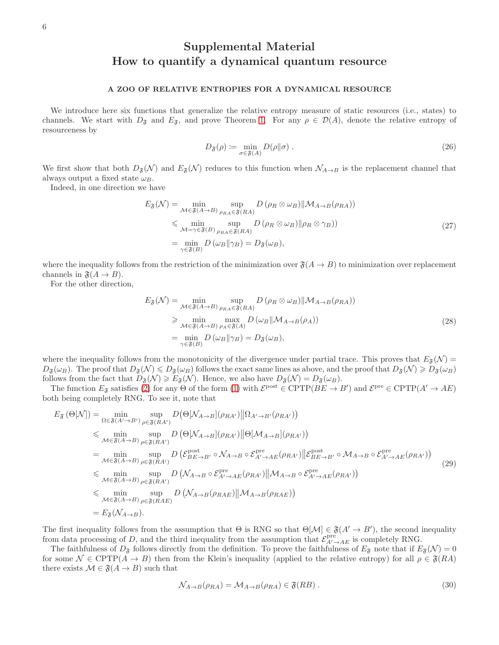# Supplemental Material How to quantify a dynamical quantum resource

# A ZOO OF RELATIVE ENTROPIES FOR A DYNAMICAL RESOURCE

We introduce here six functions that generalize the relative entropy measure of static resources (i.e., states) to channels. We start with  $D_{\tilde{s}}$  and  $E_{\tilde{s}}$ , and prove Theorem [1.](#page-1-3) For any  $\rho \in \mathcal{D}(A)$ , denote the relative entropy of resourceness by

$$
D_{\mathfrak{F}}(\rho) := \min_{\sigma \in \mathfrak{F}(A)} D(\rho \| \sigma) \tag{26}
$$

We first show that both  $D_{\mathfrak{F}}(\mathcal{N})$  and  $E_{\mathfrak{F}}(\mathcal{N})$  reduces to this function when  $\mathcal{N}_{A\to B}$  is the replacement channel that always output a fixed state  $\omega_B$ .

Indeed, in one direction we have

$$
E_{\mathfrak{F}}(\mathcal{N}) = \min_{\mathcal{M} \in \mathfrak{F}(A \to B)} \sup_{\rho_{RA} \in \mathfrak{F}(RA)} D(\rho_R \otimes \omega_B) \| \mathcal{M}_{A \to B}(\rho_{RA}))
$$
  
\$\leq\$ 
$$
\min_{\mathcal{M} = \gamma \in \mathfrak{F}(B)} \sup_{\rho_{RA} \in \mathfrak{F}(RA)} D(\rho_R \otimes \omega_B) \| \rho_R \otimes \gamma_B)
$$
  
\$= \min\_{\gamma \in \mathfrak{F}(B)} D(\omega\_B \| \gamma\_B) = D\_{\mathfrak{F}}(\omega\_B), \qquad (27)\$

where the inequality follows from the restriction of the minimization over  $\mathfrak{F}(A \to B)$  to minimization over replacement channels in  $\mathfrak{F}(A \rightarrow B)$ .

For the other direction,

$$
E_{\mathfrak{F}}(\mathcal{N}) = \min_{\mathcal{M} \in \mathfrak{F}(A \to B)} \sup_{\rho_{RA} \in \mathfrak{F}(RA)} D(\rho_R \otimes \omega_B) \| \mathcal{M}_{A \to B}(\rho_{RA}))
$$
  
\n
$$
\geq \min_{\mathcal{M} \in \mathfrak{F}(A \to B)} \max_{\rho_A \in \mathfrak{F}(A)} D(\omega_B \| \mathcal{M}_{A \to B}(\rho_A))
$$
  
\n
$$
= \min_{\gamma \in \mathfrak{F}(B)} D(\omega_B \| \gamma_B) = D_{\mathfrak{F}}(\omega_B),
$$
\n(28)

where the inequality follows from the monotonicity of the divergence under partial trace. This proves that  $E_{\mathfrak{F}}(\mathcal{N}) =$  $D_{\mathfrak{F}}(\omega_B)$ . The proof that  $D_{\mathfrak{F}}(\mathcal{N}) \leq D_{\mathfrak{F}}(\omega_B)$  follows the exact same lines as above, and the proof that  $D_{\mathfrak{F}}(\mathcal{N}) \geq D_{\mathfrak{F}}(\omega_B)$ follows from the fact that  $D_{\tilde{\mathfrak{F}}}(\mathcal{N}) \geq E_{\tilde{\mathfrak{F}}}(\mathcal{N})$ . Hence, we also have  $D_{\tilde{\mathfrak{F}}}(\mathcal{N}) = D_{\tilde{\mathfrak{F}}}(\omega_B)$ .

The function  $E_{\mathfrak{F}}$  satisfies [\(2\)](#page-1-4) for any  $\Theta$  of the form [\(1\)](#page-1-0) with  $\mathcal{E}^{\text{post}} \in \text{CPTP}(BE \to B')$  and  $\mathcal{E}^{\text{pre}} \in \text{CPTP}(A' \to AE)$ both being completely RNG. To see it, note that

$$
E_{\mathfrak{F}}(\Theta[N]) = \min_{\Omega \in \mathfrak{F}(A' \to B')} \sup_{\rho \in \mathfrak{F}(RA')} D(\Theta[N_{A \to B}](\rho_{RA'}) \|\Omega_{A' \to B'}(\rho_{RA'}) )
$$
  
\n
$$
\leq \min_{M \in \mathfrak{F}(A \to B)} \sup_{\rho \in \mathfrak{F}(RA')} D(\Theta[N_{A \to B}](\rho_{RA'}) \|\Theta[M_{A \to B}](\rho_{RA'}) )
$$
  
\n
$$
= \min_{M \in \mathfrak{F}(A \to B)} \sup_{\rho \in \mathfrak{F}(RA')} D(\mathcal{E}_{BE \to B'}^{post} \circ \mathcal{N}_{A \to B} \circ \mathcal{E}_{A' \to AE}^{pre}(\rho_{RA'}) \|\mathcal{E}_{BE \to B'}^{post} \circ \mathcal{M}_{A \to B} \circ \mathcal{E}_{A' \to AE}^{pre}(\rho_{RA'}) )
$$
  
\n
$$
\leq \min_{M \in \mathfrak{F}(A \to B)} \sup_{\rho \in \mathfrak{F}(RA')} D(\mathcal{N}_{A \to B} \circ \mathcal{E}_{A' \to AE}^{pre}(\rho_{RA'}) \|\mathcal{M}_{A \to B} \circ \mathcal{E}_{A' \to AE}^{pre}(\rho_{RA'}) )
$$
  
\n
$$
\leq \min_{M \in \mathfrak{F}(A \to B)} \sup_{\rho \in \mathfrak{F}(RAE)} D(\mathcal{N}_{A \to B}(\rho_{RAE}) \|\mathcal{M}_{A \to B}(\rho_{RAE}))
$$
  
\n
$$
= E_{\mathfrak{F}}(\mathcal{N}_{A \to B}).
$$
  
\n(29)

The first inequality follows from the assumption that  $\Theta$  is RNG so that  $\Theta[\mathcal{M}] \in \mathfrak{F}(A' \to B')$ , the second inequality from data processing of D, and the third inequality from the assumption that  $\mathcal{E}_{A'\to AE}^{\text{pre}}$  is completely RNG.

The faithfulness of  $D_{\mathfrak{F}}$  follows directly from the definition. To prove the faithfulness of  $E_{\mathfrak{F}}$  note that if  $E_{\mathfrak{F}}(\mathcal{N}) = 0$ for some  $\mathcal{N} \in \text{CPTP}(A \to B)$  then from the Klein's inequality (applied to the relative entropy) for all  $\rho \in \mathfrak{F}(RA)$ there exists  $\mathcal{M} \in \mathfrak{F}(A \to B)$  such that

$$
\mathcal{N}_{A \to B}(\rho_{RA}) = \mathcal{M}_{A \to B}(\rho_{RA}) \in \mathfrak{F}(RB) \tag{30}
$$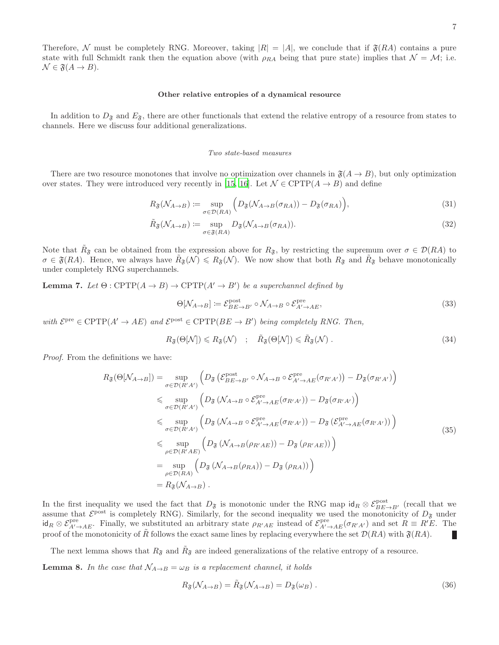Therefore, N must be completely RNG. Moreover, taking  $|R| = |A|$ , we conclude that if  $\mathfrak{F}(RA)$  contains a pure state with full Schmidt rank then the equation above (with  $\rho_{RA}$  being that pure state) implies that  $\mathcal{N} = \mathcal{M}$ ; i.e.  $\mathcal{N} \in \mathfrak{F}(A \to B).$ 

### Other relative entropies of a dynamical resource

In addition to  $D_{\mathfrak{F}}$  and  $E_{\mathfrak{F}}$ , there are other functionals that extend the relative entropy of a resource from states to channels. Here we discuss four additional generalizations.

#### Two state-based measures

There are two resource monotones that involve no optimization over channels in  $\mathfrak{F}(A \to B)$ , but only optimization over states. They were introduced very recently in [\[15](#page-4-16), [16](#page-4-17)]. Let  $\mathcal{N} \in \text{CPTP}(A \to B)$  and define

$$
R_{\mathfrak{F}}(\mathcal{N}_{A\to B}) \coloneqq \sup_{\sigma \in \mathcal{D}(RA)} \left( D_{\mathfrak{F}}(\mathcal{N}_{A\to B}(\sigma_{RA})) - D_{\mathfrak{F}}(\sigma_{RA}) \right),\tag{31}
$$

$$
\tilde{R}_{\mathfrak{F}}(\mathcal{N}_{A \to B}) \coloneqq \sup_{\sigma \in \mathfrak{F}(RA)} D_{\mathfrak{F}}(\mathcal{N}_{A \to B}(\sigma_{RA})). \tag{32}
$$

Note that  $R_{\mathfrak{F}}$  can be obtained from the expression above for  $R_{\mathfrak{F}}$ , by restricting the supremum over  $\sigma \in \mathcal{D}(RA)$  to  $\sigma \in \mathfrak{F}(RA)$ . Hence, we always have  $\tilde{R}_{\mathfrak{F}}(\mathcal{N}) \leq R_{\mathfrak{F}}(\mathcal{N})$ . We now show that both  $R_{\mathfrak{F}}$  and  $\tilde{R}_{\mathfrak{F}}$  behave monotonically under completely RNG superchannels.

**Lemma 7.** *Let*  $\Theta$  : CPTP $(A \rightarrow B) \rightarrow \text{CPTP}(A' \rightarrow B')$  *be a superchannel defined by* 

$$
\Theta[\mathcal{N}_{A \to B}] \coloneqq \mathcal{E}_{BE \to B'}^{\text{post}} \circ \mathcal{N}_{A \to B} \circ \mathcal{E}_{A' \to AE}^{\text{pre}},\tag{33}
$$

 $with \mathcal{E}^{\text{pre}} \in \text{CPTP}(A' \to AE) \text{ and } \mathcal{E}^{\text{post}} \in \text{CPTP}(BE \to B') \text{ being completely RNG. Then,}$ 

$$
R_{\mathfrak{F}}(\Theta[\mathcal{N}]) \leq R_{\mathfrak{F}}(\mathcal{N}) \quad ; \quad \tilde{R}_{\mathfrak{F}}(\Theta[\mathcal{N}]) \leq \tilde{R}_{\mathfrak{F}}(\mathcal{N}) \; . \tag{34}
$$

*Proof.* From the definitions we have:

$$
R_{\mathfrak{F}}(\Theta[N_{A\rightarrow B}]) = \sup_{\sigma \in \mathcal{D}(R'A')} \left( D_{\mathfrak{F}} \left( \mathcal{E}_{BE\rightarrow B'}^{post} \circ \mathcal{N}_{A\rightarrow B} \circ \mathcal{E}_{A'\rightarrow AE}^{pre}(\sigma_{R'A'}) \right) - D_{\mathfrak{F}}(\sigma_{R'A'}) \right)
$$
  
\n
$$
\leq \sup_{\sigma \in \mathcal{D}(R'A')} \left( D_{\mathfrak{F}} \left( \mathcal{N}_{A\rightarrow B} \circ \mathcal{E}_{A'\rightarrow AE}^{pre}(\sigma_{R'A'}) \right) - D_{\mathfrak{F}}(\sigma_{R'A'}) \right)
$$
  
\n
$$
\leq \sup_{\sigma \in \mathcal{D}(R'A')} \left( D_{\mathfrak{F}} \left( \mathcal{N}_{A\rightarrow B} \circ \mathcal{E}_{A'\rightarrow AE}^{pre}(\sigma_{R'A'}) \right) - D_{\mathfrak{F}} \left( \mathcal{E}_{A'\rightarrow AE}^{pre}(\sigma_{R'A'}) \right) \right)
$$
  
\n
$$
\leq \sup_{\rho \in \mathcal{D}(R'A')} \left( D_{\mathfrak{F}} \left( \mathcal{N}_{A\rightarrow B}(\rho_{R'AE}) \right) - D_{\mathfrak{F}} \left( \rho_{R'AE} \right) \right)
$$
  
\n
$$
= \sup_{\rho \in \mathcal{D}(RA)} \left( D_{\mathfrak{F}} \left( \mathcal{N}_{A\rightarrow B}(\rho_{RA}) \right) - D_{\mathfrak{F}} \left( \rho_{RA} \right) \right)
$$
  
\n
$$
= R_{\mathfrak{F}} \left( \mathcal{N}_{A\rightarrow B} \right).
$$
  
\n(35)

In the first inequality we used the fact that  $D_{\mathfrak{F}}$  is monotonic under the RNG map  $\mathrm{id}_R \otimes \mathcal{E}_{BE\to B'}^{\mathrm{post}}$  (recall that we assume that  $\mathcal{E}^{\text{post}}$  is completely RNG). Similarly, for the second inequality we used the monotonicity of  $D_{\mathfrak{F}}$  under  $\mathsf{id}_R \otimes \mathcal{E}_{A' \to AE}^{\text{pre}}$ . Finally, we substituted an arbitrary state  $\rho_{R'AE}$  instead of  $\mathcal{E}_{A' \to AE}^{\text{pre}}(\sigma_{R'A'})$  and set  $R \equiv R'E$ . The proof of the monotonicity of  $\tilde{R}$  follows the exact same lines by replacing everywhere the set  $\mathcal{D}(RA)$  with  $\mathfrak{F}(RA)$ .

The next lemma shows that  $R_{\mathfrak{F}}$  and  $\tilde{R}_{\mathfrak{F}}$  are indeed generalizations of the relative entropy of a resource. **Lemma 8.** In the case that  $\mathcal{N}_{A\rightarrow B} = \omega_B$  is a replacement channel, it holds

$$
R_{\mathfrak{F}}(\mathcal{N}_{A\to B}) = \tilde{R}_{\mathfrak{F}}(\mathcal{N}_{A\to B}) = D_{\mathfrak{F}}(\omega_B) \tag{36}
$$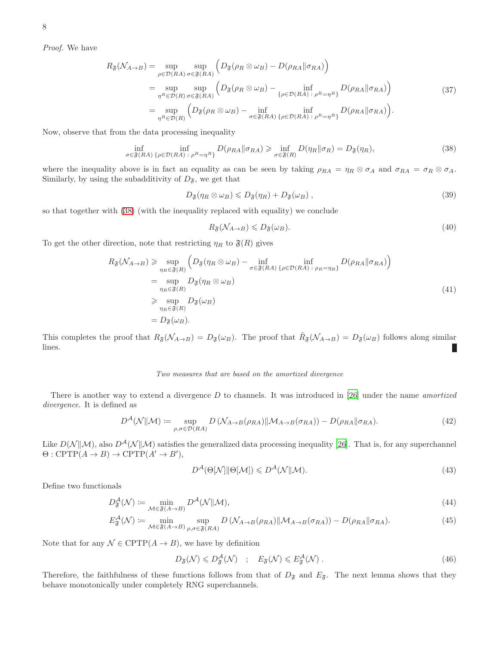*Proof.* We have

$$
R_{\mathfrak{F}}(\mathcal{N}_{A\to B}) = \sup_{\rho \in \mathcal{D}(RA)} \sup_{\sigma \in \mathfrak{F}(RA)} \left( D_{\mathfrak{F}}(\rho_R \otimes \omega_B) - D(\rho_{RA} \|\sigma_{RA}) \right)
$$
  
\n
$$
= \sup_{\eta^R \in \mathcal{D}(R)} \sup_{\sigma \in \mathfrak{F}(RA)} \left( D_{\mathfrak{F}}(\rho_R \otimes \omega_B) - \inf_{\{\rho \in \mathcal{D}(RA) : \rho^R = \eta^R\}} D(\rho_{RA} \|\sigma_{RA}) \right)
$$
(37)  
\n
$$
= \sup_{\eta^R \in \mathcal{D}(R)} \left( D_{\mathfrak{F}}(\rho_R \otimes \omega_B) - \inf_{\sigma \in \mathfrak{F}(RA)} \inf_{\{\rho \in \mathcal{D}(RA) : \rho^R = \eta^R\}} D(\rho_{RA} \|\sigma_{RA}) \right).
$$

Now, observe that from the data processing inequality

<span id="page-7-0"></span>
$$
\inf_{\sigma \in \mathfrak{F}(RA)} \inf_{\{\rho \in \mathcal{D}(RA) \;:\; \rho^R = \eta^R\}} D(\rho_{RA} \| \sigma_{RA}) \geq \inf_{\sigma \in \mathfrak{F}(R)} D(\eta_R \| \sigma_R) = D_{\mathfrak{F}}(\eta_R),\tag{38}
$$

where the inequality above is in fact an equality as can be seen by taking  $\rho_{RA} = \eta_R \otimes \sigma_A$  and  $\sigma_{RA} = \sigma_R \otimes \sigma_A$ . Similarly, by using the subadditivity of  $D_{\mathfrak{F}},$  we get that

$$
D_{\mathfrak{F}}(\eta_R \otimes \omega_B) \leq D_{\mathfrak{F}}(\eta_R) + D_{\mathfrak{F}}(\omega_B) , \qquad (39)
$$

so that together with [\(38\)](#page-7-0) (with the inequality replaced with equality) we conclude

$$
R_{\mathfrak{F}}(\mathcal{N}_{A\to B}) \leqslant D_{\mathfrak{F}}(\omega_B). \tag{40}
$$

To get the other direction, note that restricting  $\eta_R$  to  $\mathfrak{F}(R)$  gives

$$
R_{\mathfrak{F}}(\mathcal{N}_{A\to B}) \geq \sup_{\eta_R \in \mathfrak{F}(R)} \left( D_{\mathfrak{F}}(\eta_R \otimes \omega_B) - \inf_{\sigma \in \mathfrak{F}(RA)} \inf_{\{\rho \in \mathcal{D}(RA) : \rho_R = \eta_R\}} D(\rho_{RA} \| \sigma_{RA}) \right)
$$
  
\n
$$
= \sup_{\eta_R \in \mathfrak{F}(R)} D_{\mathfrak{F}}(\eta_R \otimes \omega_B)
$$
  
\n
$$
\geq \sup_{\eta_R \in \mathfrak{F}(R)} D_{\mathfrak{F}}(\omega_B)
$$
  
\n
$$
= D_{\mathfrak{F}}(\omega_B).
$$
\n(41)

This completes the proof that  $R_{\mathfrak{F}}(\mathcal{N}_{A\to B}) = D_{\mathfrak{F}}(\omega_B)$ . The proof that  $\tilde{R}_{\mathfrak{F}}(\mathcal{N}_{A\to B}) = D_{\mathfrak{F}}(\omega_B)$  follows along similar lines.

## Two measures that are based on the amortized divergence

There is another way to extend a divergence D to channels. It was introduced in [\[26](#page-4-26)] under the name *amortized divergence*. It is defined as

$$
D^{\mathcal{A}}(\mathcal{N}||\mathcal{M}) \coloneqq \sup_{\rho,\sigma \in \mathcal{D}(RA)} D\left(\mathcal{N}_{A \to B}(\rho_{RA}) \|\mathcal{M}_{A \to B}(\sigma_{RA})\right) - D(\rho_{RA}||\sigma_{RA}). \tag{42}
$$

Like  $D(\mathcal{N}||\mathcal{M})$ , also  $D^{\mathcal{A}}(\mathcal{N}||\mathcal{M})$  satisfies the generalized data processing inequality [\[26\]](#page-4-26). That is, for any superchannel  $\Theta: \text{CPTP}(A \to B) \to \text{CPTP}(A' \to B'),$ 

$$
D^{\mathcal{A}}(\Theta[\mathcal{N}]\|\Theta[\mathcal{M}]) \leqslant D^{\mathcal{A}}(\mathcal{N}\|\mathcal{M}).\tag{43}
$$

Define two functionals

$$
D^{\mathcal{A}}_{\mathfrak{F}}(\mathcal{N}) \coloneqq \min_{\mathcal{M} \in \mathfrak{F}(A \to B)} D^{\mathcal{A}}(\mathcal{N} \| \mathcal{M}),\tag{44}
$$

$$
E_{\mathfrak{F}}^{\mathcal{A}}(\mathcal{N}) \coloneqq \min_{\mathcal{M} \in \mathfrak{F}(A \to B)} \sup_{\rho, \sigma \in \mathfrak{F}(RA)} D\left(\mathcal{N}_{A \to B}(\rho_{RA}) \|\mathcal{M}_{A \to B}(\sigma_{RA})\right) - D(\rho_{RA} \|\sigma_{RA}). \tag{45}
$$

Note that for any  $\mathcal{N} \in \text{CPTP}(A \to B)$ , we have by definition

$$
D_{\mathfrak{F}}(\mathcal{N}) \leqslant D_{\mathfrak{F}}^{\mathcal{A}}(\mathcal{N}) \quad ; \quad E_{\mathfrak{F}}(\mathcal{N}) \leqslant E_{\mathfrak{F}}^{\mathcal{A}}(\mathcal{N}) \; . \tag{46}
$$

Therefore, the faithfulness of these functions follows from that of  $D_{\mathfrak{F}}$  and  $E_{\mathfrak{F}}$ . The next lemma shows that they behave monotonically under completely RNG superchannels.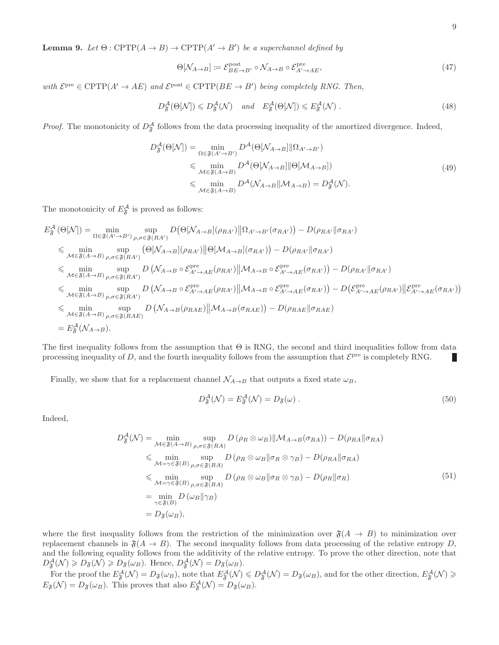**Lemma 9.** *Let*  $\Theta$  :  $\text{CPTP}(A \rightarrow B) \rightarrow \text{CPTP}(A' \rightarrow B')$  *be a superchannel defined by* 

$$
\Theta[\mathcal{N}_{A \to B}] \coloneqq \mathcal{E}_{BE \to B'}^{\text{post}} \circ \mathcal{N}_{A \to B} \circ \mathcal{E}_{A' \to AE}^{\text{pre}},\tag{47}
$$

 $with \mathcal{E}^{\text{pre}} \in \text{CPTP}(A' \to AE) \text{ and } \mathcal{E}^{\text{post}} \in \text{CPTP}(BE \to B') \text{ being completely RNG. Then,}$ 

$$
D_{\mathfrak{F}}^{\mathcal{A}}(\Theta[\mathcal{N}]) \leq D_{\mathfrak{F}}^{\mathcal{A}}(\mathcal{N}) \quad \text{and} \quad E_{\mathfrak{F}}^{\mathcal{A}}(\Theta[\mathcal{N}]) \leq E_{\mathfrak{F}}^{\mathcal{A}}(\mathcal{N}) \ . \tag{48}
$$

*Proof.* The monotonicity of  $D_{\mathfrak{F}}^{\mathcal{A}}$  follows from the data processing inequality of the amortized divergence. Indeed,

$$
D_{\mathfrak{F}}^{\mathcal{A}}(\Theta[N]) = \min_{\Omega \in \mathfrak{F}(A' \to B')} D^{\mathcal{A}}(\Theta[N_{A \to B}] \| \Omega_{A' \to B'})
$$
  
\$\leq\$ 
$$
\min_{\mathcal{M} \in \mathfrak{F}(A \to B)} D^{\mathcal{A}}(\Theta[N_{A \to B}] \| \Theta[M_{A \to B}])
$$
  
\$\leq\$ 
$$
\min_{\mathcal{M} \in \mathfrak{F}(A \to B)} D^{\mathcal{A}}(\mathcal{N}_{A \to B} \| \mathcal{M}_{A \to B}) = D_{\mathfrak{F}}^{\mathcal{A}}(\mathcal{N}).
$$
  
(49)

The monotonicity of  $E_{\mathfrak{F}}^{\mathcal{A}}$  is proved as follows:

$$
E_{\mathfrak{F}}^{\mathcal{A}}(\Theta[N]) = \min_{\Omega \in \mathfrak{F}(A' \to B')} \sup_{\rho, \sigma \in \mathfrak{F}(RA')} D(\Theta[N_{A \to B}](\rho_{RA'}) \|\Omega_{A' \to B'}(\sigma_{RA'})) - D(\rho_{RA'} \|\sigma_{RA'})
$$
  
\n
$$
\leq \min_{\mathcal{M} \in \mathfrak{F}(A \to B)} \sup_{\rho, \sigma \in \mathfrak{F}(RA')} (\Theta[N_{A \to B}](\rho_{RA'}) \|\Theta[M_{A \to B}](\sigma_{RA'}) - D(\rho_{RA'} \|\sigma_{RA'})
$$
  
\n
$$
\leq \min_{\mathcal{M} \in \mathfrak{F}(A \to B)} \sup_{\rho, \sigma \in \mathfrak{F}(RA')} D(\mathcal{N}_{A \to B} \circ \mathcal{E}_{A' \to AE}^{pre}(\rho_{RA'}) \|\mathcal{M}_{A \to B} \circ \mathcal{E}_{A' \to AE}^{pre}(\sigma_{RA'}) - D(\rho_{RA'} \|\sigma_{RA'})
$$
  
\n
$$
\leq \min_{\mathcal{M} \in \mathfrak{F}(A \to B)} \sup_{\rho, \sigma \in \mathfrak{F}(RA')} D(\mathcal{N}_{A \to B} \circ \mathcal{E}_{A' \to AE}^{pre}(\rho_{RA'}) \|\mathcal{M}_{A \to B} \circ \mathcal{E}_{A' \to AE}^{pre}(\sigma_{RA'}) - D(\mathcal{E}_{A' \to AE}^{pre}(\rho_{RA'}) \|\mathcal{E}_{A' \to AE}^{pre}(\sigma_{RA'}) )
$$
  
\n
$$
\leq \min_{\mathcal{M} \in \mathfrak{F}(A \to B)} \sup_{\rho, \sigma \in \mathfrak{F}(RA)} D(\mathcal{N}_{A \to B}(\rho_{RAE}) \|\mathcal{M}_{A \to B}(\sigma_{RAE})) - D(\rho_{RAE} \|\sigma_{RAE})
$$
  
\n
$$
= E_{\mathfrak{F}}^{\mathcal{A}}(\mathcal{N}_{A \to B}).
$$

The first inequality follows from the assumption that  $\Theta$  is RNG, the second and third inequalities follow from data processing inequality of D, and the fourth inequality follows from the assumption that  $\mathcal{E}^{\text{pre}}$  is completely RNG.

Finally, we show that for a replacement channel  $\mathcal{N}_{A\to B}$  that outputs a fixed state  $\omega_B$ ,

$$
D^{\mathcal{A}}_{\mathfrak{F}}(\mathcal{N}) = E^{\mathcal{A}}_{\mathfrak{F}}(\mathcal{N}) = D_{\mathfrak{F}}(\omega). \tag{50}
$$

Indeed,

$$
D_{\mathfrak{F}}^{\mathcal{A}}(\mathcal{N}) = \min_{\mathcal{M} \in \mathfrak{F}(A \to B)} \sup_{\rho, \sigma \in \mathfrak{F}(RA)} D(\rho_R \otimes \omega_B) \| \mathcal{M}_{A \to B}(\sigma_{RA})) - D(\rho_{RA} \| \sigma_{RA})
$$
  
\n
$$
\leq \min_{\mathcal{M} = \gamma \in \mathfrak{F}(B)} \sup_{\rho, \sigma \in \mathfrak{F}(RA)} D(\rho_R \otimes \omega_B \| \sigma_R \otimes \gamma_B) - D(\rho_{RA} \| \sigma_{RA})
$$
  
\n
$$
\leq \min_{\mathcal{M} = \gamma \in \mathfrak{F}(B)} \sup_{\rho, \sigma \in \mathfrak{F}(RA)} D(\rho_R \otimes \omega_B \| \sigma_R \otimes \gamma_B) - D(\rho_R \| \sigma_R)
$$
  
\n
$$
= \min_{\gamma \in \mathfrak{F}(B)} D(\omega_B \| \gamma_B)
$$
  
\n
$$
= D_{\mathfrak{F}}(\omega_B), \tag{51}
$$

where the first inequality follows from the restriction of the minimization over  $\mathfrak{F}(A \rightarrow B)$  to minimization over replacement channels in  $\mathfrak{F}(A \to B)$ . The second inequality follows from data processing of the relative entropy D, and the following equality follows from the additivity of the relative entropy. To prove the other direction, note that  $D^{\mathcal{A}}_{\mathfrak{F}}(\mathcal{N}) \geqslant D_{\mathfrak{F}}(\mathcal{N}) \geqslant D_{\mathfrak{F}}(\omega_B)$ . Hence,  $D^{\mathcal{A}}_{\mathfrak{F}}(\mathcal{N}) = D_{\mathfrak{F}}(\omega_B)$ .

For the proof the  $E^{\mathcal{A}}_{\mathfrak{F}}(\mathcal{N}) = D_{\mathfrak{F}}(\omega_B)$ , note that  $E^{\mathcal{A}}_{\mathfrak{F}}(\mathcal{N}) \leq D^{\mathcal{A}}_{\mathfrak{F}}(\mathcal{N}) = D_{\mathfrak{F}}(\omega_B)$ , and for the other direction,  $E^{\mathcal{A}}_{\mathfrak{F}}(\mathcal{N}) \geq 0$  $E_{\mathfrak{F}}(\mathcal{N}) = D_{\mathfrak{F}}(\omega_B)$ . This proves that also  $E_{\mathfrak{F}}^{\mathcal{A}}(\mathcal{N}) = D_{\mathfrak{F}}(\omega_B)$ .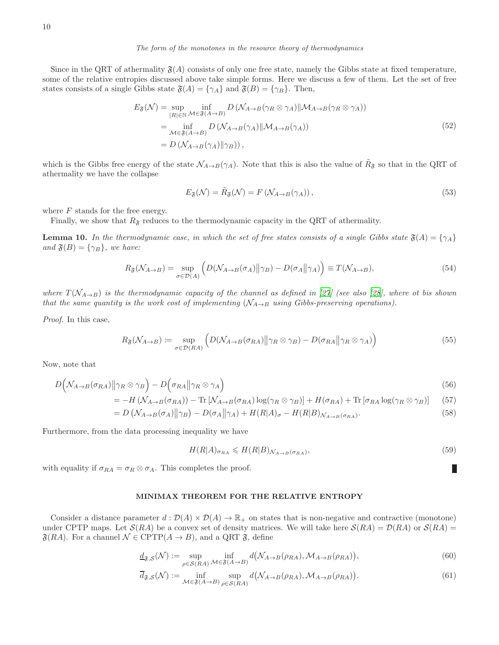Since in the QRT of athermality  $\mathfrak{F}(A)$  consists of only one free state, namely the Gibbs state at fixed temperature, some of the relative entropies discussed above take simple forms. Here we discuss a few of them. Let the set of free states consists of a single Gibbs state  $\mathfrak{F}(A) = {\gamma_A}$  and  $\mathfrak{F}(B) = {\gamma_B}$ . Then,

$$
E_{\mathfrak{F}}(\mathcal{N}) = \sup_{|R| \in \mathbb{N}} \inf_{\mathcal{M} \in \mathfrak{F}(A \to B)} D\left(\mathcal{N}_{A \to B}(\gamma_R \otimes \gamma_A) \| \mathcal{M}_{A \to B}(\gamma_R \otimes \gamma_A)\right)
$$
  
\n
$$
= \inf_{\mathcal{M} \in \mathfrak{F}(A \to B)} D\left(\mathcal{N}_{A \to B}(\gamma_A) \| \mathcal{M}_{A \to B}(\gamma_A)\right)
$$
  
\n
$$
= D\left(\mathcal{N}_{A \to B}(\gamma_A) \| \gamma_B\right),
$$
\n(52)

which is the Gibbs free energy of the state  $\mathcal{N}_{A\to B}(\gamma_A)$ . Note that this is also the value of  $\tilde{R}_{\mathfrak{F}}$  so that in the QRT of athermality we have the collapse

$$
E_{\mathfrak{F}}(\mathcal{N}) = \tilde{R}_{\mathfrak{F}}(\mathcal{N}) = F\left(\mathcal{N}_{A \to B}(\gamma_A)\right),\tag{53}
$$

where  $F$  stands for the free energy.

Finally, we show that  $R_{\mathfrak{F}}$  reduces to the thermodynamic capacity in the QRT of athermality.

**Lemma 10.** In the thermodynamic case, in which the set of free states consists of a single Gibbs state  $\mathfrak{F}(A) = \{\gamma_A\}$  $and \mathfrak{F}(B) = {\gamma_B}$ *, we have:* 

$$
R_{\mathfrak{F}}(\mathcal{N}_{A\to B}) = \sup_{\sigma \in \mathcal{D}(A)} \left( D(\mathcal{N}_{A\to B}(\sigma_A) \|\gamma_B) - D(\sigma_A \|\gamma_A) \right) \equiv T(\mathcal{N}_{A\to B}),\tag{54}
$$

*where*  $T(N_{A\rightarrow B})$  *is the thermodynamic capacity of the channel as defined in* [\[27\]](#page-4-27) (see also [\[28\]](#page-4-28), where ot bis shown *that the same quantity is the work cost of implementing*  $(\mathcal{N}_{A\rightarrow B}$  *using Gibbs-preserving operations).* 

*Proof.* In this case,

$$
R_{\mathfrak{F}}(\mathcal{N}_{A\to B}) := \sup_{\sigma \in \mathcal{D}(RA)} \left( D(\mathcal{N}_{A\to B}(\sigma_{RA}) \|\gamma_R \otimes \gamma_B) - D(\sigma_{RA} \|\gamma_R \otimes \gamma_A) \right) \tag{55}
$$

Now, note that

$$
D\left(\mathcal{N}_{A\to B}(\sigma_{RA})||\gamma_R \otimes \gamma_B\right) - D\left(\sigma_{RA}||\gamma_R \otimes \gamma_A\right) \tag{56}
$$

$$
= -H\left(\mathcal{N}_{A\to B}(\sigma_{RA})\right) - \text{Tr}\left[\mathcal{N}_{A\to B}(\sigma_{RA})\log(\gamma_R \otimes \gamma_B)\right] + H(\sigma_{RA}) + \text{Tr}\left[\sigma_{RA}\log(\gamma_R \otimes \gamma_B)\right] \tag{57}
$$

$$
= D\left(\mathcal{N}_{A\to B}(\sigma_A)\middle\|\gamma_B\right) - D(\sigma_A\middle\|\gamma_A) + H(R|A)\sigma - H(R|B)\mathcal{N}_{A\to B}(\sigma_{RA}).\tag{58}
$$

Furthermore, from the data processing inequality we have

$$
H(R|A)_{\sigma_{RA}} \leqslant H(R|B)_{\mathcal{N}_{A\to B}(\sigma_{RA})},\tag{59}
$$

П

with equality if  $\sigma_{RA} = \sigma_R \otimes \sigma_A$ . This completes the proof.

#### MINIMAX THEOREM FOR THE RELATIVE ENTROPY

Consider a distance parameter  $d : \mathcal{D}(A) \times \mathcal{D}(A) \to \mathbb{R}_+$  on states that is non-negative and contractive (monotone) under CPTP maps. Let  $\mathcal{S}(RA)$  be a convex set of density matrices. We will take here  $\mathcal{S}(RA) = \mathcal{D}(RA)$  or  $\mathcal{S}(RA)$  $\mathfrak{F}(RA)$ . For a channel  $\mathcal{N} \in \text{CPTP}(A \to B)$ , and a QRT  $\mathfrak{F}$ , define

$$
\underline{d}_{\mathfrak{F},S}(\mathcal{N}) := \sup_{\rho \in S(RA)} \inf_{\mathcal{M} \in \mathfrak{F}(A \to B)} d\big(\mathcal{N}_{A \to B}(\rho_{RA}), \mathcal{M}_{A \to B}(\rho_{RA})\big),\tag{60}
$$

$$
\overline{d}_{\mathfrak{F},S}(\mathcal{N}) := \inf_{\mathcal{M} \in \mathfrak{F}(A \to B)} \sup_{\rho \in S(RA)} d\big(\mathcal{N}_{A \to B}(\rho_{RA}), \mathcal{M}_{A \to B}(\rho_{RA})\big).
$$
(61)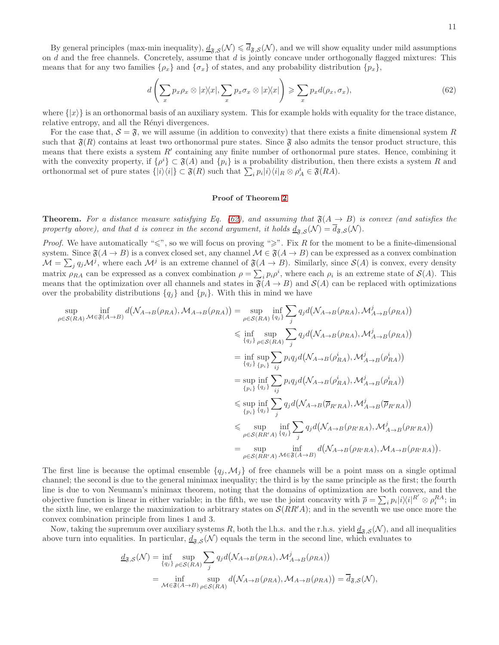<span id="page-10-0"></span>
$$
d\left(\sum_{x} p_{x}\rho_{x} \otimes |x\rangle\langle x|, \sum_{x} p_{x}\sigma_{x} \otimes |x\rangle\langle x|\right) \geqslant \sum_{x} p_{x}d(\rho_{x}, \sigma_{x}),\tag{62}
$$

where  $\{|x\rangle\}$  is an orthonormal basis of an auxiliary system. This for example holds with equality for the trace distance, relative entropy, and all the Rényi divergences.

For the case that,  $S = \mathfrak{F}$ , we will assume (in addition to convexity) that there exists a finite dimensional system R such that  $\mathfrak{F}(R)$  contains at least two orthonormal pure states. Since  $\mathfrak{F}$  also admits the tensor product structure, this means that there exists a system  $R'$  containing any finite number of orthonormal pure states. Hence, combining it with the convexity property, if  $\{\rho^i\} \subset \mathfrak{F}(A)$  and  $\{p_i\}$  is a probability distribution, then there exists a system R and orthonormal set of pure states  $\{|i\rangle\langle i|\} \subset \mathfrak{F}(R)$  such that  $\sum_i p_i|i\rangle\langle i|_R \otimes \rho_A^i \in \mathfrak{F}(RA)$ .

## Proof of Theorem [2](#page-2-1)

**Theorem.** For a distance measure satisfying Eq. [\(62\)](#page-10-0), and assuming that  $\mathfrak{F}(A \rightarrow B)$  is convex (and satisfies the property above), and that d is convex in the second argument, it holds  $\underline{d}_{\mathfrak{F},S}(\mathcal{N}) = d_{\mathfrak{F},S}(\mathcal{N})$ .

*Proof.* We have automatically " $\leq$ ", so we will focus on proving " $\geq$ ". Fix R for the moment to be a finite-dimensional system. Since  $\mathfrak{F}(A \to B)$  is a convex closed set, any channel  $\mathcal{M} \in \mathfrak{F}(A \to B)$  can be expressed as a convex combination  $\mathcal{M} = \sum_j q_j \mathcal{M}^j$ , where each  $\mathcal{M}^j$  is an extreme channel of  $\mathfrak{F}(A \to B)$ . Similarly, since  $\mathcal{S}(A)$  is convex, every density matrix  $\rho_{RA}$  can be expressed as a convex combination  $\rho = \sum_i p_i \rho^i$ , where each  $\rho_i$  is an extreme state of  $\mathcal{S}(A)$ . This means that the optimization over all channels and states in  $\mathfrak{F}(A \to B)$  and  $\mathcal{S}(A)$  can be replaced with optimizations over the probability distributions  $\{q_i\}$  and  $\{p_i\}$ . With this in mind we have

$$
\sup_{\rho \in S(RA)} \inf_{\mathcal{M} \in \mathfrak{F}(A \to B)} d(\mathcal{N}_{A \to B}(\rho_{RA}), \mathcal{M}_{A \to B}(\rho_{RA})) = \sup_{\rho \in S(RA)} \inf_{\{q_j\}} \sum_{j} q_j d(\mathcal{N}_{A \to B}(\rho_{RA}), \mathcal{M}_{A \to B}^j(\rho_{RA}))
$$
\n
$$
\leq \inf_{\{q_j\}} \sup_{\rho \in S(RA)} \sum_{j} q_j d(\mathcal{N}_{A \to B}(\rho_{RA}), \mathcal{M}_{A \to B}^j(\rho_{RA}))
$$
\n
$$
= \inf_{\{q_j\}} \sup_{\{p_i\}} \sum_{i,j} p_i q_j d(\mathcal{N}_{A \to B}(\rho_{RA}^i), \mathcal{M}_{A \to B}^j(\rho_{RA}^i))
$$
\n
$$
= \sup_{\{p_i\}} \inf_{\{q_j\}} \sum_{i,j} p_i q_j d(\mathcal{N}_{A \to B}(\rho_{RA}^i), \mathcal{M}_{A \to B}^j(\rho_{RA}^i))
$$
\n
$$
\leq \sup_{\{p_i\}} \inf_{\{q_j\}} \sum_{j} q_j d(\mathcal{N}_{A \to B}(\overline{\rho}_{R'RA}), \mathcal{M}_{A \to B}^j(\overline{\rho}_{R'RA}))
$$
\n
$$
\leq \sup_{\rho \in S(RR'A)} \inf_{\{q_j\}} \sum_{j} q_j d(\mathcal{N}_{A \to B}(\rho_{R'RA}), \mathcal{M}_{A \to B}^j(\rho_{R'RA}))
$$
\n
$$
= \sup_{\rho \in S(RR'A)} \inf_{\{q_j\}} \sum_{j} q_j d(\mathcal{N}_{A \to B}(\rho_{R'RA}), \mathcal{M}_{A \to B}^j(\rho_{R'RA}))
$$
\n
$$
= \sup_{\rho \in S(RR'A)} \inf_{\mathcal{M} \in \mathfrak{F}(A \to B)} d(\mathcal{N}_{A \to B}(\rho_{R'RA}), \mathcal{M}_{A \to B}(\rho_{R'RA})).
$$

The first line is because the optimal ensemble  $\{q_i, \mathcal{M}_i\}$  of free channels will be a point mass on a single optimal channel; the second is due to the general minimax inequality; the third is by the same principle as the first; the fourth line is due to von Neumann's minimax theorem, noting that the domains of optimization are both convex, and the objective function is linear in either variable; in the fifth, we use the joint concavity with  $\bar{\rho} = \sum_i p_i |i\rangle\langle i|^{R'} \otimes \rho_i^{RA}$ ; in the sixth line, we enlarge the maximization to arbitrary states on  $\mathcal{S}(RR'A)$ ; and in the seventh we use once more the convex combination principle from lines 1 and 3.

Now, taking the supremum over auxiliary systems R, both the l.h.s. and the r.h.s. yield  $d_{\mathfrak{F},\mathcal{S}}(\mathcal{N})$ , and all inequalities above turn into equalities. In particular,  $\underline{d}_{\mathfrak{F},\mathcal{S}}(\mathcal{N})$  equals the term in the second line, which evaluates to

$$
\underline{d}_{\mathfrak{F},S}(\mathcal{N}) = \inf_{\{q_j\}} \sup_{\rho \in S(RA)} \sum_j q_j d\big(\mathcal{N}_{A \to B}(\rho_{RA}), \mathcal{M}_{A \to B}^j(\rho_{RA})\big)
$$
  
= 
$$
\inf_{\mathcal{M} \in \mathfrak{F}(A \to B)} \sup_{\rho \in S(RA)} d\big(\mathcal{N}_{A \to B}(\rho_{RA}), \mathcal{M}_{A \to B}(\rho_{RA})\big) = \overline{d}_{\mathfrak{F},S}(\mathcal{N}),
$$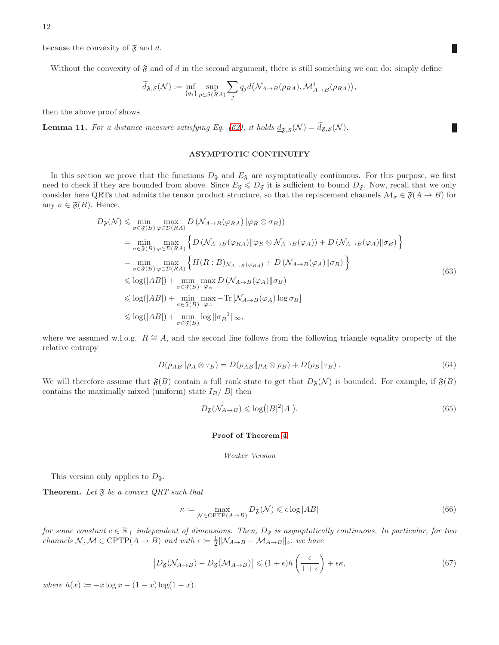because the convexity of  $\mathfrak{F}$  and d.

Without the convexity of  $\mathfrak F$  and of d in the second argument, there is still something we can do: simply define

$$
\widetilde{d}_{\mathfrak{F},\mathcal{S}}(\mathcal{N}) := \inf_{\{q_j\}} \sup_{\rho \in \mathcal{S}(RA)} \sum_j q_j d(\mathcal{N}_{A \to B}(\rho_{RA}), \mathcal{M}_{A \to B}^j(\rho_{RA})),
$$

then the above proof shows

**Lemma 11.** For a distance measure satisfying Eq. [\(62\)](#page-10-0), it holds  $\underline{d}_{\mathfrak{F},\mathcal{S}}(\mathcal{N}) = d_{\mathfrak{F},\mathcal{S}}(\mathcal{N})$ .

#### ASYMPTOTIC CONTINUITY

In this section we prove that the functions  $D_{\tilde{\sigma}}$  and  $E_{\tilde{\sigma}}$  are asymptotically continuous. For this purpose, we first need to check if they are bounded from above. Since  $E_{\tilde{s}} \leq D_{\tilde{s}}$  it is sufficient to bound  $D_{\tilde{s}}$ . Now, recall that we only consider here QRTs that admits the tensor product structure, so that the replacement channels  $\mathcal{M}_{\sigma} \in \mathfrak{F}(A \to B)$  for any  $\sigma \in \mathfrak{F}(B)$ . Hence,

$$
D_{\mathfrak{F}}(\mathcal{N}) \leq \min_{\sigma \in \mathfrak{F}(B)} \max_{\varphi \in \mathcal{D}(RA)} D\left(\mathcal{N}_{A \to B}(\varphi_{RA}) \|\varphi_R \otimes \sigma_B\right)
$$
  
\n
$$
= \min_{\sigma \in \mathfrak{F}(B)} \max_{\varphi \in \mathcal{D}(RA)} \left\{ D\left(\mathcal{N}_{A \to B}(\varphi_{RA}) \|\varphi_R \otimes \mathcal{N}_{A \to B}(\varphi_A)\right) + D\left(\mathcal{N}_{A \to B}(\varphi_A) \|\sigma_B\right) \right\}
$$
  
\n
$$
= \min_{\sigma \in \mathfrak{F}(B)} \max_{\varphi \in \mathcal{D}(RA)} \left\{ H(R:B)_{\mathcal{N}_{A \to B}(\varphi_{RA})} + D\left(\mathcal{N}_{A \to B}(\varphi_A) \|\sigma_B\right) \right\}
$$
  
\n
$$
\leq \log(|AB|) + \min_{\sigma \in \mathfrak{F}(B)} \max_{\varphi_A} D\left(\mathcal{N}_{A \to B}(\varphi_A) \|\sigma_B\right)
$$
  
\n
$$
\leq \log(|AB|) + \min_{\sigma \in \mathfrak{F}(B)} \max_{\varphi_A} - \text{Tr}\left[\mathcal{N}_{A \to B}(\varphi_A) \log \sigma_B\right]
$$
  
\n
$$
\leq \log(|AB|) + \min_{\sigma \in \mathfrak{F}(B)} \log \|\sigma_B^{-1}\|_{\infty},
$$
 (63)

where we assumed w.l.o.g.  $R \cong A$ , and the second line follows from the following triangle equality property of the relative entropy

$$
D(\rho_{AB} \|\rho_A \otimes \tau_B) = D(\rho_{AB} \|\rho_A \otimes \rho_B) + D(\rho_B \|\tau_B) \tag{64}
$$

We will therefore assume that  $\mathfrak{F}(B)$  contain a full rank state to get that  $D_{\mathfrak{F}}(\mathcal{N})$  is bounded. For example, if  $\mathfrak{F}(B)$ contains the maximally mixed (uniform) state  $I_B/|B|$  then

$$
D_{\mathfrak{F}}(\mathcal{N}_{A\to B}) \leqslant \log(|B|^2|A|). \tag{65}
$$

# Proof of Theorem [4](#page-2-2)

#### Weaker Version

This version only applies to  $D_{\mathfrak{F}}$ .

Theorem. Let  $\mathfrak F$  be a convex QRT such that

$$
\kappa := \max_{\mathcal{N} \in \text{CPTP}(A \to B)} D_{\mathfrak{F}}(\mathcal{N}) \leqslant c \log |AB| \tag{66}
$$

*for some constant*  $c \in \mathbb{R}_+$  *independent of dimensions. Then,*  $D_{\mathfrak{F}}$  *is asymptotically continuous. In particular, for two channels*  $\mathcal{N}, \mathcal{M} \in \text{CPTP}(A \to B)$  *and with*  $\epsilon \coloneqq \frac{1}{2} ||\mathcal{N}_{A \to B} - \mathcal{M}_{A \to B}||_{\diamond}$ *, we have* 

$$
\left| D_{\mathfrak{F}}(\mathcal{N}_{A \to B}) - D_{\mathfrak{F}}(\mathcal{M}_{A \to B}) \right| \leqslant (1 + \epsilon)h\left(\frac{\epsilon}{1 + \epsilon}\right) + \epsilon\kappa,\tag{67}
$$

*where*  $h(x) := -x \log x - (1 - x) \log(1 - x)$ .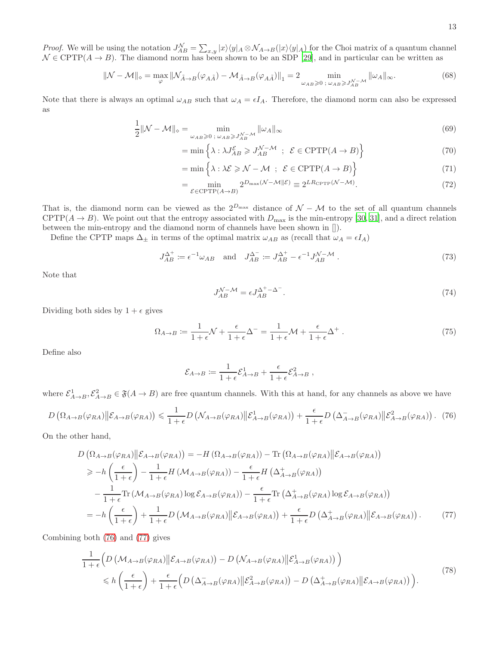*Proof.* We will be using the notation  $J_{AB}^{\mathcal{N}} = \sum_{x,y} |x\rangle\langle y|_A \otimes \mathcal{N}_{A\to B}(|x\rangle\langle y|_A)$  for the Choi matrix of a quantum channel  $\mathcal{N} \in \text{CPTP}(A \to B)$ . The diamond norm has been shown to be an SDP [\[29](#page-4-29)], and in particular can be written as

$$
\|\mathcal{N} - \mathcal{M}\|_{\diamond} = \max_{\varphi} \|\mathcal{N}_{\tilde{A}\to B}(\varphi_{A\tilde{A}}) - \mathcal{M}_{\tilde{A}\to B}(\varphi_{A\tilde{A}})\|_{1} = 2 \min_{\omega_{AB}\geqslant 0 \; ;\; \omega_{AB}\geqslant J_{AB}^{\mathcal{N}-\mathcal{M}}}\|\omega_{A}\|_{\infty}.
$$
 (68)

Note that there is always an optimal  $\omega_{AB}$  such that  $\omega_A = \epsilon I_A$ . Therefore, the diamond norm can also be expressed as

$$
\frac{1}{2} \|\mathcal{N} - \mathcal{M}\|_{\diamond} = \min_{\omega_{AB} \geqslant 0 \; ; \; \omega_{AB} \geqslant J_{AB}^{\mathcal{N} - \mathcal{M}}} \|\omega_A\|_{\infty} \tag{69}
$$

$$
= \min \left\{ \lambda : \lambda J_{AB}^{\mathcal{E}} \geqslant J_{AB}^{\mathcal{N}-\mathcal{M}} \; ; \; \mathcal{E} \in \text{CPTP}(A \to B) \right\} \tag{70}
$$

$$
= \min\left\{\lambda : \lambda \mathcal{E} \geqslant \mathcal{N} - \mathcal{M} \; ; \; \mathcal{E} \in \text{CPTP}(A \to B) \right\} \tag{71}
$$

$$
= \min_{\mathcal{E} \in \text{CPTP}(A \to B)} 2^{D_{\text{max}}(\mathcal{N} - \mathcal{M} \| \mathcal{E})} \equiv 2^{LR_{\text{CPTP}}(\mathcal{N} - \mathcal{M})}.
$$
\n(72)

That is, the diamond norm can be viewed as the  $2^{D_{\text{max}}}$  distance of  $\mathcal{N} - \mathcal{M}$  to the set of all quantum channels CPTP( $A \rightarrow B$ ). We point out that the entropy associated with  $D_{\text{max}}$  is the min-entropy [\[30,](#page-4-30) [31](#page-4-31)], and a direct relation between the min-entropy and the diamond norm of channels have been shown in []).

Define the CPTP maps  $\Delta_{\pm}$  in terms of the optimal matrix  $\omega_{AB}$  as (recall that  $\omega_A = \epsilon I_A$ )

$$
J_{AB}^{\Delta^+} := \epsilon^{-1} \omega_{AB} \quad \text{and} \quad J_{AB}^{\Delta^-} := J_{AB}^{\Delta^+} - \epsilon^{-1} J_{AB}^{N-M} \tag{73}
$$

Note that

$$
J_{AB}^{\mathcal{N}-\mathcal{M}} = \epsilon J_{AB}^{\Delta^+ - \Delta^-}.
$$
\n(74)

Dividing both sides by  $1 + \epsilon$  gives

$$
\Omega_{A \to B} \coloneqq \frac{1}{1+\epsilon} \mathcal{N} + \frac{\epsilon}{1+\epsilon} \Delta^{-} = \frac{1}{1+\epsilon} \mathcal{M} + \frac{\epsilon}{1+\epsilon} \Delta^{+} . \tag{75}
$$

Define also

<span id="page-12-1"></span>
$$
\mathcal{E}_{A\to B} \coloneqq \frac{1}{1+\epsilon} \mathcal{E}_{A\to B}^1 + \frac{\epsilon}{1+\epsilon} \mathcal{E}_{A\to B}^2 \;,
$$

where  $\mathcal{E}_{A\to B}^1$ ,  $\mathcal{E}_{A\to B}^2 \in \mathfrak{F}(A \to B)$  are free quantum channels. With this at hand, for any channels as above we have

<span id="page-12-0"></span>
$$
D\left(\Omega_{A\to B}(\varphi_{RA})\middle\|\mathcal{E}_{A\to B}(\varphi_{RA})\right) \leq \frac{1}{1+\epsilon}D\left(\mathcal{N}_{A\to B}(\varphi_{RA})\middle\|\mathcal{E}_{A\to B}^{1}(\varphi_{RA})\right) + \frac{\epsilon}{1+\epsilon}D\left(\Delta_{A\to B}^{-}(\varphi_{RA})\middle\|\mathcal{E}_{A\to B}^{2}(\varphi_{RA})\right). (76)
$$

On the other hand,

$$
D\left(\Omega_{A\to B}(\varphi_{RA})\middle|\mathcal{E}_{A\to B}(\varphi_{RA})\right) = -H\left(\Omega_{A\to B}(\varphi_{RA})\right) - \text{Tr}\left(\Omega_{A\to B}(\varphi_{RA})\middle|\mathcal{E}_{A\to B}(\varphi_{RA})\right)
$$
  
\n
$$
\geq -h\left(\frac{\epsilon}{1+\epsilon}\right) - \frac{1}{1+\epsilon}H\left(\mathcal{M}_{A\to B}(\varphi_{RA})\right) - \frac{\epsilon}{1+\epsilon}H\left(\Delta_{A\to B}^{+}(\varphi_{RA})\right)
$$
  
\n
$$
-\frac{1}{1+\epsilon}\text{Tr}\left(\mathcal{M}_{A\to B}(\varphi_{RA})\log\mathcal{E}_{A\to B}(\varphi_{RA})\right) - \frac{\epsilon}{1+\epsilon}\text{Tr}\left(\Delta_{A\to B}^{+}(\varphi_{RA})\log\mathcal{E}_{A\to B}(\varphi_{RA})\right)
$$
  
\n
$$
= -h\left(\frac{\epsilon}{1+\epsilon}\right) + \frac{1}{1+\epsilon}D\left(\mathcal{M}_{A\to B}(\varphi_{RA})\middle|\mathcal{E}_{A\to B}(\varphi_{RA})\right) + \frac{\epsilon}{1+\epsilon}D\left(\Delta_{A\to B}^{+}(\varphi_{RA})\middle|\mathcal{E}_{A\to B}(\varphi_{RA})\right). \tag{77}
$$

Combining both [\(76\)](#page-12-0) and [\(77\)](#page-12-1) gives

$$
\frac{1}{1+\epsilon} \Big( D \left( \mathcal{M}_{A \to B}(\varphi_{RA}) \middle\| \mathcal{E}_{A \to B}(\varphi_{RA}) \right) - D \left( \mathcal{N}_{A \to B}(\varphi_{RA}) \middle\| \mathcal{E}_{A \to B}^1(\varphi_{RA}) \right) \Big) \leq h \left( \frac{\epsilon}{1+\epsilon} \right) + \frac{\epsilon}{1+\epsilon} \Big( D \left( \Delta_{A \to B}^{-}(\varphi_{RA}) \middle\| \mathcal{E}_{A \to B}^2(\varphi_{RA}) \right) - D \left( \Delta_{A \to B}^{+}(\varphi_{RA}) \middle\| \mathcal{E}_{A \to B}(\varphi_{RA}) \right) \Big). \tag{78}
$$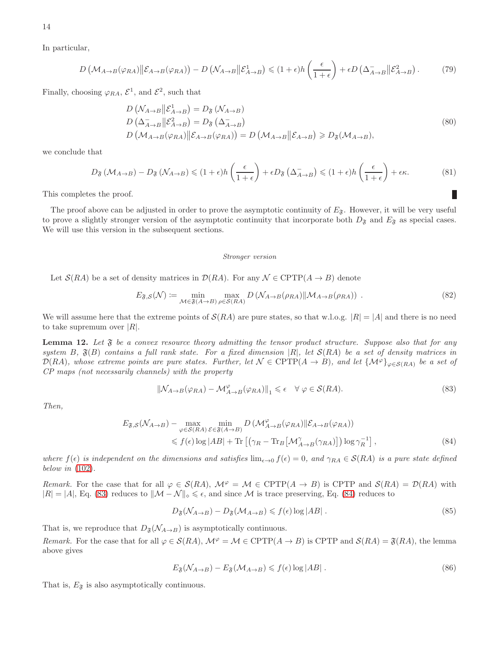In particular,

$$
D\left(\mathcal{M}_{A\to B}(\varphi_{RA})\middle\|\mathcal{E}_{A\to B}(\varphi_{RA})\right) - D\left(\mathcal{N}_{A\to B}\middle\|\mathcal{E}_{A\to B}^1\right) \leq (1+\epsilon)h\left(\frac{\epsilon}{1+\epsilon}\right) + \epsilon D\left(\Delta_{A\to B}^{-}\middle\|\mathcal{E}_{A\to B}^2\right). \tag{79}
$$

Finally, choosing  $\varphi_{RA}$ ,  $\mathcal{E}^1$ , and  $\mathcal{E}^2$ , such that

$$
D\left(\mathcal{N}_{A\to B} \middle\| \mathcal{E}_{A\to B}^1\right) = D_{\mathfrak{F}}\left(\mathcal{N}_{A\to B}\right)
$$
  
\n
$$
D\left(\Delta_{A\to B}^{-} \middle\| \mathcal{E}_{A\to B}^2\right) = D_{\mathfrak{F}}\left(\Delta_{A\to B}^{-}\right)
$$
  
\n
$$
D\left(\mathcal{M}_{A\to B}(\varphi_{RA}) \middle\| \mathcal{E}_{A\to B}(\varphi_{RA})\right) = D\left(\mathcal{M}_{A\to B} \middle\| \mathcal{E}_{A\to B}\right) \geq D_{\mathfrak{F}}(\mathcal{M}_{A\to B}),
$$
\n(80)

we conclude that

$$
D_{\mathfrak{F}}\left(\mathcal{M}_{A\to B}\right) - D_{\mathfrak{F}}\left(\mathcal{N}_{A\to B}\right) \leqslant (1+\epsilon)h\left(\frac{\epsilon}{1+\epsilon}\right) + \epsilon D_{\mathfrak{F}}\left(\Delta_{A\to B}^{-}\right) \leqslant (1+\epsilon)h\left(\frac{\epsilon}{1+\epsilon}\right) + \epsilon\kappa. \tag{81}
$$

This completes the proof.

The proof above can be adjusted in order to prove the asymptotic continuity of  $E_3$ . However, it will be very useful to prove a slightly stronger version of the asymptotic continuity that incorporate both  $D_{\mathfrak{F}}$  and  $E_{\mathfrak{F}}$  as special cases. We will use this version in the subsequent sections.

#### Stronger version

Let  $\mathcal{S}(RA)$  be a set of density matrices in  $\mathcal{D}(RA)$ . For any  $\mathcal{N} \in \text{CPTP}(A \to B)$  denote

$$
E_{\mathfrak{F},\mathcal{S}}(\mathcal{N}) \coloneqq \min_{\mathcal{M} \in \mathfrak{F}(A \to B)} \max_{\rho \in \mathcal{S}(RA)} D\left(\mathcal{N}_{A \to B}(\rho_{RA}) \|\mathcal{M}_{A \to B}(\rho_{RA})\right) \tag{82}
$$

We will assume here that the extreme points of  $\mathcal{S}(RA)$  are pure states, so that w.l.o.g.  $|R| = |A|$  and there is no need to take supremum over  $|R|$ .

<span id="page-13-2"></span>**Lemma 12.** Let  $\mathfrak{F}$  be a convex resource theory admitting the tensor product structure. Suppose also that for any *system* B*,* F(B) *contains a full rank state. For a fixed dimension* |R|*, let* S(RA) *be a set of density matrices in*  $\mathcal{D}(RA)$ *, whose extreme points are pure states. Further, let*  $\mathcal{N} \in \text{CPTP}(A \to B)$ *, and let*  $\{\mathcal{M}^{\varphi}\}_{\varphi \in \mathcal{S}(RA)}$  *be a set of CP maps (not necessarily channels) with the property*

<span id="page-13-0"></span>
$$
\|\mathcal{N}_{A\to B}(\varphi_{RA}) - \mathcal{M}_{A\to B}^{\varphi}(\varphi_{RA})\|_{1} \leq \epsilon \quad \forall \varphi \in \mathcal{S}(RA). \tag{83}
$$

*Then,*

$$
E_{\mathfrak{F},S}(\mathcal{N}_{A\to B}) - \max_{\varphi \in S(RA)} \min_{\mathcal{E} \in \mathfrak{F}(A\to B)} D\left(\mathcal{M}_{A\to B}^{\varphi}(\varphi_{RA}) \|\mathcal{E}_{A\to B}(\varphi_{RA})\right)
$$
  
\$\leq f(\epsilon) \log |AB| + \text{Tr}\left[\left(\gamma\_R - \text{Tr}\_B\left[\mathcal{M}\_{A\to B}^{\gamma}(\gamma\_{RA})\right]\right) \log \gamma\_R^{-1}\right], \qquad (84)\$

*where*  $f(\epsilon)$  *is independent on the dimensions and satisfies*  $\lim_{\epsilon \to 0} f(\epsilon) = 0$ , and  $\gamma_{RA} \in S(RA)$  *is a pure state defined below in* [\(102\)](#page-15-0)*.*

*Remark.* For the case that for all  $\varphi \in \mathcal{S}(RA)$ ,  $\mathcal{M}^{\varphi} = \mathcal{M} \in \text{CPTP}(A \to B)$  is CPTP and  $\mathcal{S}(RA) = \mathcal{D}(RA)$  with  $|R| = |A|$ , Eq. [\(83\)](#page-13-0) reduces to  $||M - N||_{\infty} \leq \epsilon$ , and since M is trace preserving, Eq. [\(84\)](#page-13-1) reduces to

<span id="page-13-1"></span>
$$
D_{\mathfrak{F}}(\mathcal{N}_{A\to B}) - D_{\mathfrak{F}}(\mathcal{M}_{A\to B}) \leqslant f(\epsilon) \log |AB| \tag{85}
$$

That is, we reproduce that  $D_{\mathfrak{F}}(\mathcal{N}_{A\rightarrow B})$  is asymptotically continuous.

*Remark.* For the case that for all  $\varphi \in \mathcal{S}(RA)$ ,  $\mathcal{M}^{\varphi} = \mathcal{M} \in \mathrm{CPTP}(A \to B)$  is CPTP and  $\mathcal{S}(RA) = \mathfrak{F}(RA)$ , the lemma above gives

$$
E_{\mathfrak{F}}(\mathcal{N}_{A\to B}) - E_{\mathfrak{F}}(\mathcal{M}_{A\to B}) \leqslant f(\epsilon) \log |AB| \tag{86}
$$

That is,  $E_{\mathfrak{F}}$  is also asymptotically continuous.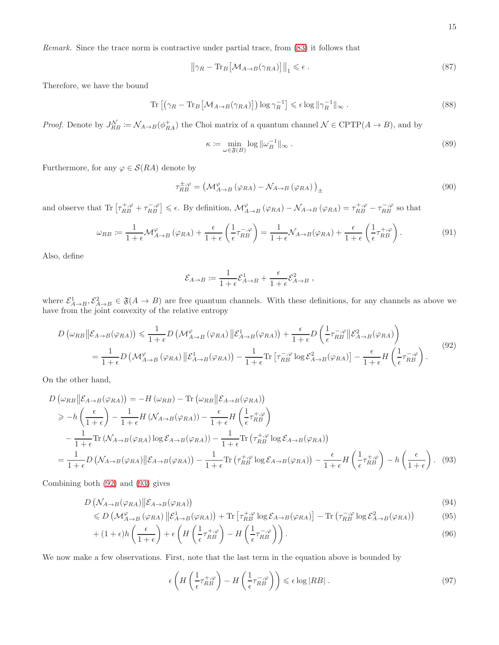*Remark.* Since the trace norm is contractive under partial trace, from [\(83\)](#page-13-0) it follows that

$$
\left\|\gamma_R - \text{Tr}_B\left[\mathcal{M}_{A \to B}(\gamma_{RA})\right]\right\|_1 \leqslant \epsilon \,. \tag{87}
$$

Therefore, we have the bound

$$
\operatorname{Tr}\left[\left(\gamma_R - \operatorname{Tr}_B\left[\mathcal{M}_{A \to B}(\gamma_{RA})\right]\right) \log \gamma_R^{-1}\right] \leqslant \epsilon \log \|\gamma_R^{-1}\|_{\infty} \,. \tag{88}
$$

*Proof.* Denote by  $J_{RB}^{\mathcal{N}} := \mathcal{N}_{A\to B}(\phi_{RA}^+)$  the Choi matrix of a quantum channel  $\mathcal{N} \in \text{CPTP}(A \to B)$ , and by

<span id="page-14-2"></span>
$$
\kappa := \min_{\omega \in \mathfrak{F}(B)} \log \|\omega_B^{-1}\|_{\infty} \,. \tag{89}
$$

Furthermore, for any  $\varphi \in \mathcal{S}(RA)$  denote by

$$
\tau_{RB}^{\pm,\varphi} = \left(\mathcal{M}_{A\to B}^{\varphi}\left(\varphi_{RA}\right) - \mathcal{N}_{A\to B}\left(\varphi_{RA}\right)\right)_{\pm} \tag{90}
$$

and observe that  $\text{Tr}\left[\tau_{RB}^{+,\varphi}+\tau_{RB}^{-,\varphi}\right]\leqslant\epsilon$ . By definition,  $\mathcal{M}^{\varphi}_{A\to B}(\varphi_{RA})-\mathcal{N}_{A\to B}(\varphi_{RA})=\tau_{RB}^{+,\varphi}-\tau_{RB}^{-,\varphi}$  so that

$$
\omega_{RB} \coloneqq \frac{1}{1+\epsilon} \mathcal{M}^{\varphi}_{A \to B} \left( \varphi_{RA} \right) + \frac{\epsilon}{1+\epsilon} \left( \frac{1}{\epsilon} \tau_{RB}^{-\varphi} \right) = \frac{1}{1+\epsilon} \mathcal{N}_{A \to B} \left( \varphi_{RA} \right) + \frac{\epsilon}{1+\epsilon} \left( \frac{1}{\epsilon} \tau_{RB}^{+\varphi} \right). \tag{91}
$$

Also, define

$$
\mathcal{E}_{A\to B} := \frac{1}{1+\epsilon} \mathcal{E}_{A\to B}^1 + \frac{\epsilon}{1+\epsilon} \mathcal{E}_{A\to B}^2,
$$

where  $\mathcal{E}_{A\to B}^1$ ,  $\mathcal{E}_{A\to B}^2 \in \mathfrak{F}(A \to B)$  are free quantum channels. With these definitions, for any channels as above we have from the joint convexity of the relative entropy

<span id="page-14-0"></span>
$$
D\left(\omega_{RB} \|\mathcal{E}_{A \to B}(\varphi_{RA})\right) \leq \frac{1}{1+\epsilon} D\left(\mathcal{M}_{A \to B}^{\varphi}(\varphi_{RA}) \|\mathcal{E}_{A \to B}^{1}(\varphi_{RA})\right) + \frac{\epsilon}{1+\epsilon} D\left(\frac{1}{\epsilon} \tau_{RB}^{-\varphi} \|\mathcal{E}_{A \to B}^{2}(\varphi_{RA})\right)
$$
  

$$
= \frac{1}{1+\epsilon} D\left(\mathcal{M}_{A \to B}^{\varphi}(\varphi_{RA}) \|\mathcal{E}_{A \to B}^{1}(\varphi_{RA})\right) - \frac{1}{1+\epsilon} \text{Tr}\left[\tau_{RB}^{-\varphi} \log \mathcal{E}_{A \to B}^{2}(\varphi_{RA})\right] - \frac{\epsilon}{1+\epsilon} H\left(\frac{1}{\epsilon} \tau_{RB}^{-\varphi}\right). \tag{92}
$$

On the other hand,

$$
D\left(\omega_{RB}||\mathcal{E}_{A\to B}(\varphi_{RA})\right) = -H\left(\omega_{RB}\right) - \text{Tr}\left(\omega_{RB}||\mathcal{E}_{A\to B}(\varphi_{RA})\right)
$$
  
\n
$$
\geq -h\left(\frac{\epsilon}{1+\epsilon}\right) - \frac{1}{1+\epsilon}H\left(\mathcal{N}_{A\to B}(\varphi_{RA})\right) - \frac{\epsilon}{1+\epsilon}H\left(\frac{1}{\epsilon}\tau_{RB}^{+,\varphi}\right)
$$
  
\n
$$
-\frac{1}{1+\epsilon}\text{Tr}\left(\mathcal{N}_{A\to B}(\varphi_{RA})\log\mathcal{E}_{A\to B}(\varphi_{RA})\right) - \frac{1}{1+\epsilon}\text{Tr}\left(\tau_{RB}^{+,\varphi}\log\mathcal{E}_{A\to B}(\varphi_{RA})\right)
$$
  
\n
$$
=\frac{1}{1+\epsilon}D\left(\mathcal{N}_{A\to B}(\varphi_{RA})||\mathcal{E}_{A\to B}(\varphi_{RA})\right) - \frac{1}{1+\epsilon}\text{Tr}\left(\tau_{RB}^{+,\varphi}\log\mathcal{E}_{A\to B}(\varphi_{RA})\right) - \frac{\epsilon}{1+\epsilon}H\left(\frac{1}{\epsilon}\tau_{RB}^{+,\varphi}\right) - h\left(\frac{\epsilon}{1+\epsilon}\right). \quad (93)
$$

Combining both [\(92\)](#page-14-0) and [\(93\)](#page-14-1) gives

$$
D\left(\mathcal{N}_{A\to B}(\varphi_{RA})\middle\|\mathcal{E}_{A\to B}(\varphi_{RA})\right) \tag{94}
$$

$$
\leq D\left(\mathcal{M}^{\varphi}_{A\to B}(\varphi_{RA})\left\|\mathcal{E}^{1}_{A\to B}(\varphi_{RA})\right.\right) + \text{Tr}\left[\tau_{RB}^{+,\varphi}\log\mathcal{E}_{A\to B}(\varphi_{RA})\right] - \text{Tr}\left(\tau_{RB}^{-,\varphi}\log\mathcal{E}^{2}_{A\to B}(\varphi_{RA})\right) \tag{95}
$$

$$
+ (1 + \epsilon)h\left(\frac{\epsilon}{1 + \epsilon}\right) + \epsilon \left(H\left(\frac{1}{\epsilon}\tau_{RB}^{+, \varphi}\right) - H\left(\frac{1}{\epsilon}\tau_{RB}^{-, \varphi}\right)\right).
$$
\n(96)

We now make a few observations. First, note that the last term in the equation above is bounded by

<span id="page-14-1"></span>
$$
\epsilon \left( H \left( \frac{1}{\epsilon} \tau_{RB}^{+, \varphi} \right) - H \left( \frac{1}{\epsilon} \tau_{RB}^{-, \varphi} \right) \right) \leqslant \epsilon \log |RB| \tag{97}
$$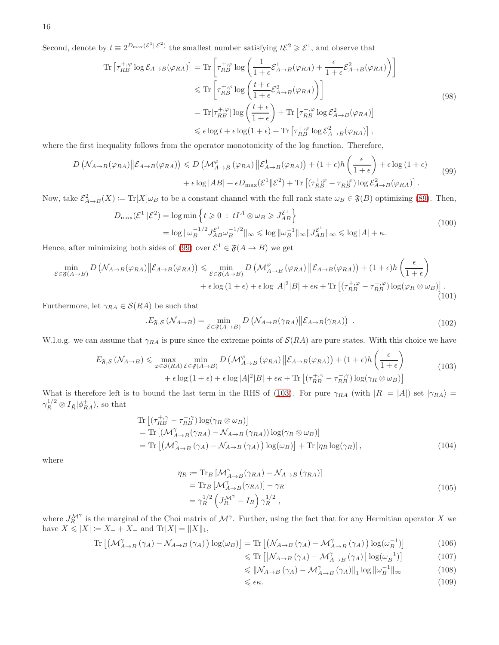Second, denote by  $t \equiv 2^{D_{\max}(\mathcal{E}^1||\mathcal{E}^2)}$  the smallest number satisfying  $t\mathcal{E}^2 \geq \mathcal{E}^1$ , and observe that

$$
\begin{split} \operatorname{Tr}\left[\tau_{RB}^{+,\varphi}\log\mathcal{E}_{A\to B}(\varphi_{RA})\right] &= \operatorname{Tr}\left[\tau_{RB}^{+,\varphi}\log\left(\frac{1}{1+\epsilon}\mathcal{E}_{A\to B}^{1}(\varphi_{RA}) + \frac{\epsilon}{1+\epsilon}\mathcal{E}_{A\to B}^{2}(\varphi_{RA})\right)\right] \\ &\leqslant \operatorname{Tr}\left[\tau_{RB}^{+,\varphi}\log\left(\frac{t+\epsilon}{1+\epsilon}\mathcal{E}_{A\to B}^{2}(\varphi_{RA})\right)\right] \\ &= \operatorname{Tr}[\tau_{RB}^{+,\varphi}]\log\left(\frac{t+\epsilon}{1+\epsilon}\right) + \operatorname{Tr}\left[\tau_{RB}^{+,\varphi}\log\mathcal{E}_{A\to B}^{2}(\varphi_{RA})\right] \\ &\leqslant \epsilon\log t + \epsilon\log(1+\epsilon) + \operatorname{Tr}\left[\tau_{RB}^{+,\varphi}\log\mathcal{E}_{A\to B}^{2}(\varphi_{RA})\right], \end{split} \tag{98}
$$

where the first inequality follows from the operator monotonicity of the log function. Therefore,

<span id="page-15-1"></span>
$$
D\left(\mathcal{N}_{A\to B}(\varphi_{RA})\middle|\mathcal{E}_{A\to B}(\varphi_{RA})\right) \le D\left(\mathcal{M}_{A\to B}^{\varphi}(\varphi_{RA})\middle|\mathcal{E}_{A\to B}^{1}(\varphi_{RA})\right) + (1+\epsilon)h\left(\frac{\epsilon}{1+\epsilon}\right) + \epsilon\log(1+\epsilon) + \epsilon\log|AB| + \epsilon D_{\max}(\mathcal{E}^{1}||\mathcal{E}^{2}) + \text{Tr}\left[(\tau_{RB}^{+,\varphi} - \tau_{RB}^{-,\varphi})\log\mathcal{E}_{A\to B}^{2}(\varphi_{RA})\right].
$$
\n(99)

Now, take  $\mathcal{E}_{A\to B}^2(X) := \text{Tr}[X]\omega_B$  to be a constant channel with the full rank state  $\omega_B \in \mathfrak{F}(B)$  optimizing [\(89\)](#page-14-2). Then,

$$
D_{\max}(\mathcal{E}^1 \| \mathcal{E}^2) = \log \min \left\{ t \geq 0 \, : \, tI^A \otimes \omega_B \geq J_{AB}^{\mathcal{E}^1} \right\}
$$
\n
$$
= \log \| \omega_B^{-1/2} J_{AB}^{\mathcal{E}^1} \omega_B^{-1/2} \|_{\infty} \leq \log \| \omega_B^{-1} \|_{\infty} \| J_{AB}^{\mathcal{E}^1} \|_{\infty} \leq \log |A| + \kappa. \tag{100}
$$

Hence, after minimizing both sides of [\(99\)](#page-15-1) over  $\mathcal{E}^1 \in \mathfrak{F}(A \to B)$  we get

$$
\min_{\mathcal{E}\in\mathfrak{F}(A\to B)} D\left(\mathcal{N}_{A\to B}(\varphi_{RA})\middle\| \mathcal{E}_{A\to B}(\varphi_{RA})\right) \leq \min_{\mathcal{E}\in\mathfrak{F}(A\to B)} D\left(\mathcal{M}_{A\to B}^{\varphi}(\varphi_{RA})\middle\| \mathcal{E}_{A\to B}(\varphi_{RA})\right) + (1+\epsilon)h\left(\frac{\epsilon}{1+\epsilon}\right) + \epsilon\log(1+\epsilon) + \epsilon\log|A|^2|B| + \epsilon\kappa + \text{Tr}\left[(\tau_{RB}^{+,\varphi} - \tau_{RB}^{-,\varphi})\log(\varphi_R\otimes\omega_B)\right].
$$
\n(101)

Furthermore, let  $\gamma_{RA} \in \mathcal{S}(RA)$  be such that

<span id="page-15-0"></span>
$$
E_{\mathfrak{F},\mathcal{S}}\left(\mathcal{N}_{A\to B}\right) = \min_{\mathcal{E}\in\mathfrak{F}(A\to B)} D\left(\mathcal{N}_{A\to B}(\gamma_{RA})\middle|\middle|\mathcal{E}_{A\to B}(\gamma_{RA})\right) \right). \tag{102}
$$

W.l.o.g. we can assume that  $\gamma_{RA}$  is pure since the extreme points of  $\mathcal{S}(RA)$  are pure states. With this choice we have

<span id="page-15-2"></span>
$$
E_{\mathfrak{F},\mathcal{S}}\left(\mathcal{N}_{A\to B}\right) \leq \max_{\varphi \in \mathcal{S}(RA)} \min_{\mathcal{E} \in \mathfrak{F}(A\to B)} D\left(\mathcal{M}_{A\to B}^{\varphi}(\varphi_{RA}) \middle| \mathcal{E}_{A\to B}(\varphi_{RA})\right) + (1+\epsilon)h\left(\frac{\epsilon}{1+\epsilon}\right) + \epsilon \log\left(1+\epsilon\right) + \epsilon \log|A|^2|B| + \epsilon \kappa + \text{Tr}\left[\left(\tau_{RB}^{+,\gamma} - \tau_{RB}^{-,\gamma}\right) \log(\gamma_R \otimes \omega_B)\right] \tag{103}
$$

What is therefore left is to bound the last term in the RHS of [\(103\)](#page-15-2). For pure  $\gamma_{RA}$  (with  $|R| = |A|$ ) set  $|\gamma_{RA}\rangle$  $\gamma_R^{1/2} \otimes I_{\tilde{R}} |\phi_{RA}^{\dagger}\rangle$ , so that

$$
\begin{split} &\text{Tr}\left[ (\tau_{RB}^{+,\gamma} - \tau_{RB}^{-,\gamma}) \log(\gamma_R \otimes \omega_B) \right] \\ &= \text{Tr}\left[ (\mathcal{M}_{A\to B}^{\gamma}(\gamma_{RA}) - \mathcal{N}_{A\to B}(\gamma_{RA})) \log(\gamma_R \otimes \omega_B) \right] \\ &= \text{Tr}\left[ (\mathcal{M}_{A\to B}^{\gamma}(\gamma_A) - \mathcal{N}_{A\to B}(\gamma_A)) \log(\omega_B) \right] + \text{Tr}\left[ \eta_R \log(\gamma_R) \right], \end{split} \tag{104}
$$

where

$$
\eta_R := \text{Tr}_B \left[ \mathcal{M}_{A \to B}^{\gamma} (\gamma_{RA}) - \mathcal{N}_{A \to B} (\gamma_{RA}) \right]
$$
  
=  $\text{Tr}_B \left[ \mathcal{M}_{A \to B}^{\gamma} (\gamma_{RA}) \right] - \gamma_R$   
=  $\gamma_R^{1/2} \left( J_R^{\mathcal{M}^{\gamma}} - I_R \right) \gamma_R^{1/2},$  (105)

where  $J_R^{\mathcal{M}^{\gamma}}$  is the marginal of the Choi matrix of  $\mathcal{M}^{\gamma}$ . Further, using the fact that for any Hermitian operator X we have  $X \le |X| := X_+ + X_-$  and  $\text{Tr}|X| = ||X||_1$ ,

$$
\operatorname{Tr}\left[\left(\mathcal{M}^{\gamma}_{A\to B}\left(\gamma_A\right)-\mathcal{N}_{A\to B}\left(\gamma_A\right)\right)\log(\omega_B)\right] = \operatorname{Tr}\left[\left(\mathcal{N}_{A\to B}\left(\gamma_A\right)-\mathcal{M}^{\gamma}_{A\to B}\left(\gamma_A\right)\right)\log(\omega_B^{-1})\right] \tag{106}
$$

$$
\leqslant \text{Tr}\left[\left|\mathcal{N}_{A\to B}\left(\gamma_A\right) - \mathcal{M}_{A\to B}^{\gamma}\left(\gamma_A\right)\right| \log(\omega_B^{-1})\right] \tag{107}
$$

$$
\leq \|\mathcal{N}_{A\to B}(\gamma_A) - \mathcal{M}_{A\to B}^{\gamma}(\gamma_A)\|_1 \log \|\omega_B^{-1}\|_{\infty} \tag{108}
$$

 $\leqslant \epsilon \kappa.$  (109)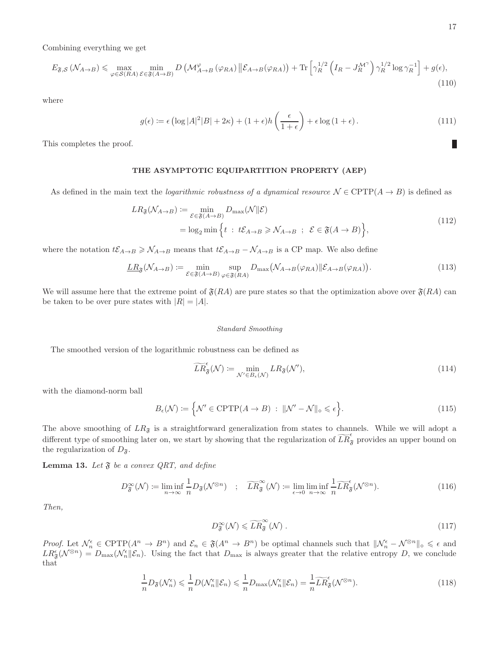Combining everything we get

$$
E_{\mathfrak{F},\mathcal{S}}\left(\mathcal{N}_{A\to B}\right) \leq \max_{\varphi \in \mathcal{S}(RA)} \min_{\mathcal{E} \in \mathfrak{F}(A\to B)} D\left(\mathcal{M}_{A\to B}^{\varphi}\left(\varphi_{RA}\right) \big|\big| \mathcal{E}_{A\to B}(\varphi_{RA})\right) + \text{Tr}\left[\gamma_R^{1/2}\left(I_R - J_R^{\mathcal{M}^{\gamma}}\right)\gamma_R^{1/2}\log\gamma_R^{-1}\right] + g(\epsilon),\tag{110}
$$

where

$$
g(\epsilon) := \epsilon \left( \log |A|^2 |B| + 2\kappa \right) + (1 + \epsilon) h \left( \frac{\epsilon}{1 + \epsilon} \right) + \epsilon \log \left( 1 + \epsilon \right). \tag{111}
$$

This completes the proof.

# THE ASYMPTOTIC EQUIPARTITION PROPERTY (AEP)

As defined in the main text the *logarithmic robustness of a dynamical resource*  $\mathcal{N} \in \text{CPTP}(A \to B)$  is defined as

$$
LR_{\mathfrak{F}}(\mathcal{N}_{A\to B}) \coloneqq \min_{\mathcal{E}\in\mathfrak{F}(A\to B)} D_{\max}(\mathcal{N}||\mathcal{E})
$$
  
=  $\log_2 \min \left\{ t : t\mathcal{E}_{A\to B} \ge \mathcal{N}_{A\to B} ; \ \mathcal{E}\in\mathfrak{F}(A\to B) \right\},$  (112)

where the notation  $t\mathcal{E}_{A\to B} \geq \mathcal{N}_{A\to B}$  means that  $t\mathcal{E}_{A\to B} - \mathcal{N}_{A\to B}$  is a CP map. We also define

$$
\underline{LR}_{\mathfrak{F}}(\mathcal{N}_{A\to B}) \coloneqq \min_{\mathcal{E}\in\mathfrak{F}(A\to B)} \sup_{\varphi\in\mathfrak{F}(RA)} D_{\max}(\mathcal{N}_{A\to B}(\varphi_{RA}) \| \mathcal{E}_{A\to B}(\varphi_{RA})). \tag{113}
$$

We will assume here that the extreme point of  $\mathfrak{F}(RA)$  are pure states so that the optimization above over  $\mathfrak{F}(RA)$  can be taken to be over pure states with  $|R| = |A|$ .

#### Standard Smoothing

The smoothed version of the logarithmic robustness can be defined as

$$
\widetilde{LR}_{\mathfrak{F}}^{\epsilon}(\mathcal{N}) \coloneqq \min_{\mathcal{N}' \in B_{\epsilon}(\mathcal{N})} LR_{\mathfrak{F}}(\mathcal{N}'), \tag{114}
$$

with the diamond-norm ball

$$
B_{\epsilon}(\mathcal{N}) \coloneqq \left\{ \mathcal{N}' \in \text{CPTP}(A \to B) \; : \; \|\mathcal{N}' - \mathcal{N}\|_{\diamond} \leq \epsilon \right\}.
$$

The above smoothing of  $LR_{\mathfrak{F}}$  is a straightforward generalization from states to channels. While we will adopt a different type of smoothing later on, we start by showing that the regularization of  $\widetilde{LR}_{\mathfrak{F}}^{\epsilon}$  provides an upper bound on the regularization of  $D_{\mathfrak{F}}$ .

Lemma 13. Let  $\mathfrak F$  be a convex QRT, and define

<span id="page-16-1"></span>
$$
D_{\mathfrak{F}}^{\infty}(\mathcal{N}) \coloneqq \liminf_{n \to \infty} \frac{1}{n} D_{\mathfrak{F}}(\mathcal{N}^{\otimes n}) \quad ; \quad \widetilde{LR}_{\mathfrak{F}}^{\infty}(\mathcal{N}) \coloneqq \lim_{\epsilon \to 0} \liminf_{n \to \infty} \frac{1}{n} \widetilde{LR}_{\mathfrak{F}}^{\epsilon}(\mathcal{N}^{\otimes n}). \tag{116}
$$

*Then,*

<span id="page-16-0"></span>
$$
D_{\mathfrak{F}}^{\infty}(\mathcal{N}) \leqslant \widetilde{LR}_{\mathfrak{F}}^{\infty}(\mathcal{N})\,. \tag{117}
$$

*Proof.* Let  $\mathcal{N}_n^{\epsilon} \in \text{CPTP}(A^n \to B^n)$  and  $\mathcal{E}_n \in \mathfrak{F}(A^n \to B^n)$  be optimal channels such that  $\|\mathcal{N}_n^{\epsilon} - \mathcal{N}^{\otimes n}\|_{\infty} \leq \epsilon$  and  $LR_{\mathfrak{F}}^{\epsilon}(\mathcal{N}^{\otimes n})=D_{\max}(\mathcal{N}_{n}^{\epsilon}||\mathcal{E}_{n}).$  Using the fact that  $D_{\max}$  is always greater that the relative entropy D, we conclude that

$$
\frac{1}{n}D_{\mathfrak{F}}(\mathcal{N}_n^{\epsilon}) \leq \frac{1}{n}D(\mathcal{N}_n^{\epsilon}||\mathcal{E}_n) \leq \frac{1}{n}D_{\max}(\mathcal{N}_n^{\epsilon}||\mathcal{E}_n) = \frac{1}{n}\widetilde{LR}_{\mathfrak{F}}^{\epsilon}(\mathcal{N}^{\otimes n}).
$$
\n(118)

L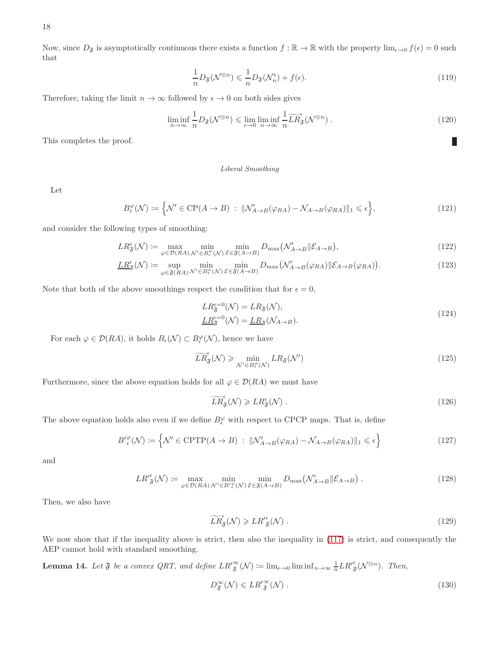Now, since  $D_{\mathfrak{F}}$  is asymptotically continuous there exists a function  $f : \mathbb{R} \to \mathbb{R}$  with the property  $\lim_{\epsilon \to 0} f(\epsilon) = 0$  such that

$$
\frac{1}{n}D_{\mathfrak{F}}(\mathcal{N}^{\otimes n}) \leq \frac{1}{n}D_{\mathfrak{F}}(\mathcal{N}_n^{\epsilon}) + f(\epsilon). \tag{119}
$$

Therefore, taking the limit  $n \to \infty$  followed by  $\epsilon \to 0$  on both sides gives

$$
\liminf_{n \to \infty} \frac{1}{n} D_{\mathfrak{F}}(\mathcal{N}^{\otimes n}) \leqslant \lim_{\epsilon \to 0} \liminf_{n \to \infty} \frac{1}{n} \widetilde{LR}_{\mathfrak{F}}^{\epsilon}(\mathcal{N}^{\otimes n}) \; . \tag{120}
$$

This completes the proof.

#### Liberal Smoothing

Let

$$
B_{\epsilon}^{\varphi}(\mathcal{N}) \coloneqq \left\{ \mathcal{N}' \in \mathrm{CP}(A \to B) \; : \; \|\mathcal{N}'_{A \to B}(\varphi_{RA}) - \mathcal{N}_{A \to B}(\varphi_{RA})\|_{1} \leqslant \epsilon \right\},\tag{121}
$$

and consider the following types of smoothing:

$$
LR^{\epsilon}_{\mathfrak{F}}(\mathcal{N}) := \max_{\varphi \in \mathcal{D}(RA)} \min_{\mathcal{N}' \in B^{\varphi}_{\epsilon}(\mathcal{N})} \min_{\mathcal{E} \in \mathfrak{F}(A \to B)} D_{\max} \big( \mathcal{N}'_{A \to B} \|\mathcal{E}_{A \to B} \big), \tag{122}
$$

$$
\underline{LR}_{\mathfrak{F}}^{\epsilon}(\mathcal{N}) \coloneqq \sup_{\varphi \in \mathfrak{F}(RA)} \min_{\mathcal{N}' \in B_{\epsilon}^{\varphi}(\mathcal{N})} \min_{\mathcal{E} \in \mathfrak{F}(A \to B)} D_{\max}(\mathcal{N}'_{A \to B}(\varphi_{RA}) \| \mathcal{E}_{A \to B}(\varphi_{RA})). \tag{123}
$$

Note that both of the above smoothings respect the condition that for  $\epsilon = 0$ ,

$$
LR_{\mathfrak{F}}^{\epsilon=0}(\mathcal{N}) = LR_{\mathfrak{F}}(\mathcal{N}),
$$
  
\n
$$
\underline{LR}_{\mathfrak{F}}^{\epsilon=0}(\mathcal{N}) = \underline{LR}_{\mathfrak{F}}(\mathcal{N}_{A \to B}).
$$
\n(124)

For each  $\varphi \in \mathcal{D}(RA)$ , it holds  $B_{\epsilon}(\mathcal{N}) \subset B_{\epsilon}^{\varphi}(\mathcal{N})$ , hence we have

$$
\widetilde{LR}_{\mathfrak{F}}^{\epsilon}(\mathcal{N}) \geqslant \min_{\mathcal{N}' \in B_{\epsilon}^{\varphi}(\mathcal{N})} LR_{\mathfrak{F}}(\mathcal{N}')
$$
\n(125)

Furthermore, since the above equation holds for all  $\varphi \in \mathcal{D}(RA)$  we must have

$$
\widetilde{LR}_{\mathfrak{F}}^{\epsilon}(\mathcal{N}) \geqslant LR_{\mathfrak{F}}^{\epsilon}(\mathcal{N})\ .
$$
\n<sup>(126)</sup>

The above equation holds also even if we define  $B_{\epsilon}^{\varphi}$  with respect to CPCP maps. That is, define

$$
B^{\prime\varphi}_{\epsilon}(\mathcal{N}) \coloneqq \left\{ \mathcal{N}^{\prime} \in \text{CPTP}(A \to B) \; : \; \|\mathcal{N}_{A \to B}^{\prime}(\varphi_{RA}) - \mathcal{N}_{A \to B}(\varphi_{RA})\|_{1} \leqslant \epsilon \right\}
$$
(127)

and

$$
LR_{\mathfrak{F}}^{\prime\epsilon}(\mathcal{N}) \coloneqq \max_{\varphi \in \mathcal{D}(RA)} \min_{\mathcal{N}' \in B^{\prime\epsilon}(\mathcal{N})} \min_{\mathcal{E} \in \mathfrak{F}(A \to B)} D_{\max}(\mathcal{N}'_{A \to B} \| \mathcal{E}_{A \to B}) \tag{128}
$$

Then, we also have

$$
\widetilde{LR}_{\mathfrak{F}}^{\epsilon}(\mathcal{N}) \geqslant LR_{\mathfrak{F}}^{\prime\epsilon}(\mathcal{N})\,. \tag{129}
$$

We now show that if the inequality above is strict, then also the inequality in [\(117\)](#page-16-0) is strict, and consequently the AEP cannot hold with standard smoothing.

**Lemma 14.** Let  $\mathfrak{F}$  be a convex QRT, and define  $LR_{\mathfrak{F}}^{\infty}(\mathcal{N}) \coloneqq \lim_{\epsilon \to 0} \liminf_{n \to \infty} \frac{1}{n} LR_{\mathfrak{F}}^{\epsilon}(\mathcal{N}^{\otimes n})$ . Then,

$$
D_{\mathfrak{F}}^{\infty}(\mathcal{N}) \leqslant LR_{\mathfrak{F}}^{\prime\infty}(\mathcal{N})\ .
$$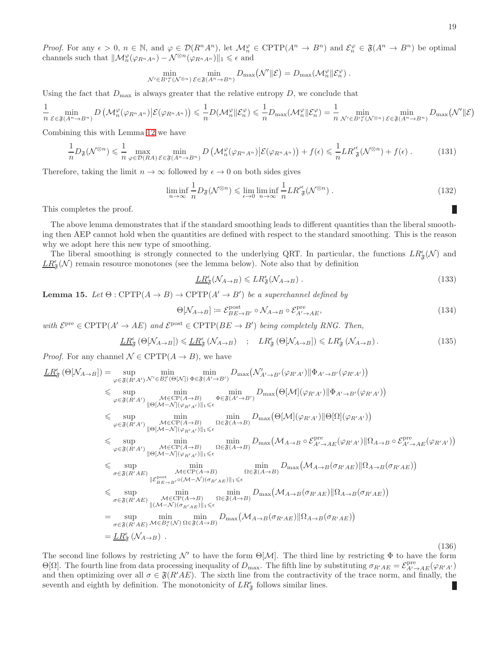*Proof.* For any  $\epsilon > 0$ ,  $n \in \mathbb{N}$ , and  $\varphi \in \mathcal{D}(R^n A^n)$ , let  $\mathcal{M}_n^{\varphi} \in \mathrm{CPTP}(A^n \to B^n)$  and  $\mathcal{E}_n^{\varphi} \in \mathfrak{F}(A^n \to B^n)$  be optimal channels such that  $\|\mathcal{M}_n^{\varphi}(\varphi_{R^n A^n}) - \mathcal{N}^{\otimes n}(\varphi_{R^n A^n})\|_1 \leq \epsilon$  and

$$
\min_{\mathcal{N}'\in B'\substack{\varphi\\ \epsilon}} \min_{(\mathcal{N}^{\otimes n})} \min_{\mathcal{E}\in\mathfrak{F}(A^n\to B^n)} D_{\max}(\mathcal{N}'\|\mathcal{E}) = D_{\max}(\mathcal{M}^{\varphi}_n\|\mathcal{E}^{\varphi}_n).
$$

Using the fact that  $D_{\text{max}}$  is always greater that the relative entropy  $D$ , we conclude that

$$
\frac{1}{n} \min_{\mathcal{E} \in \mathfrak{F}(A^n \to B^n)} D\left(\mathcal{M}_n^{\varphi}(\varphi_{R^n A^n}) \middle| \mathcal{E}(\varphi_{R^n A^n})\right) \leq \frac{1}{n} D(\mathcal{M}_n^{\varphi} \Vert \mathcal{E}_n^{\varphi}) \leq \frac{1}{n} D_{\max}(\mathcal{M}_n^{\varphi} \Vert \mathcal{E}_n^{\varphi}) = \frac{1}{n} \min_{\mathcal{N}' \in B'_{\epsilon}^{\varphi}(\mathcal{N}^{\otimes n})} \min_{\mathcal{E} \in \mathfrak{F}(A^n \to B^n)} D_{\max}(\mathcal{N}' \Vert \mathcal{E})
$$

Combining this with Lemma [12](#page-13-2) we have

$$
\frac{1}{n}D_{\mathfrak{F}}(\mathcal{N}^{\otimes n}) \leq \frac{1}{n} \max_{\varphi \in \mathcal{D}(RA)} \min_{\mathcal{E} \in \mathfrak{F}(A^n \to B^n)} D\left(\mathcal{M}_n^{\varphi}(\varphi_{R^n A^n}) \big| \mathcal{E}(\varphi_{R^n A^n})\right) + f(\epsilon) \leq \frac{1}{n} L R_{\mathfrak{F}}^{\prime \epsilon}(\mathcal{N}^{\otimes n}) + f(\epsilon) \,. \tag{131}
$$

Therefore, taking the limit  $n \to \infty$  followed by  $\epsilon \to 0$  on both sides gives

$$
\liminf_{n \to \infty} \frac{1}{n} D_{\mathfrak{F}}(\mathcal{N}^{\otimes n}) \leqslant \lim_{\epsilon \to 0} \liminf_{n \to \infty} \frac{1}{n} L R'_{\mathfrak{F}}(\mathcal{N}^{\otimes n}) \; . \tag{132}
$$

This completes the proof.

The above lemma demonstrates that if the standard smoothing leads to different quantities than the liberal smoothing then AEP cannot hold when the quantities are defined with respect to the standard smoothing. This is the reason why we adopt here this new type of smoothing.

The liberal smoothing is strongly connected to the underlying QRT. In particular, the functions  $LR^{\epsilon}_{\mathfrak{F}}(\mathcal{N})$  and  $\underline{LR}_{\mathfrak F}^\epsilon({\mathcal N})$  remain resource monotones (see the lemma below). Note also that by definition

$$
\underline{LR}_{\mathfrak{F}}^{\epsilon}(\mathcal{N}_{A\to B}) \leqslant LR_{\mathfrak{F}}^{\epsilon}(\mathcal{N}_{A\to B}) \,. \tag{133}
$$

**Lemma 15.** *Let*  $\Theta$  :  $\text{CPTP}(A \rightarrow B) \rightarrow \text{CPTP}(A' \rightarrow B')$  *be a superchannel defined by* 

$$
\Theta[\mathcal{N}_{A \to B}] \coloneqq \mathcal{E}_{BE \to B'}^{\text{post}} \circ \mathcal{N}_{A \to B} \circ \mathcal{E}_{A' \to AE}^{\text{pre}},\tag{134}
$$

 $with \mathcal{E}^{\text{pre}} \in \text{CPTP}(A' \to AE) \text{ and } \mathcal{E}^{\text{post}} \in \text{CPTP}(BE \to B') \text{ being completely RNG. Then,}$ 

$$
\underline{LR}_{\mathfrak{F}}^{\epsilon}(\Theta[\mathcal{N}_{A\to B}]) \leqslant \underline{LR}_{\mathfrak{F}}^{\epsilon}(\mathcal{N}_{A\to B}) \quad ; \quad LR_{\mathfrak{F}}^{\epsilon}(\Theta[\mathcal{N}_{A\to B}]) \leqslant LR_{\mathfrak{F}}^{\epsilon}(\mathcal{N}_{A\to B}). \tag{135}
$$

*Proof.* For any channel  $\mathcal{N} \in \text{CPTP}(A \to B)$ , we have

$$
\underline{LR}_{\mathfrak{F}}^{\epsilon}(\Theta[N_{A\rightarrow B}]) = \sup_{\varphi\in\mathfrak{F}(R'A')} \lim_{\mathcal{M}'\in B_{\epsilon}^{\varphi}(\Theta[N])} \lim_{\Phi\in\mathfrak{F}(A'\rightarrow B')} \lim_{\mathcal{M}\in\mathcal{F}(\Theta[A\rightarrow B)} \lim_{\Phi\in\mathfrak{F}(A'\rightarrow B')} \lim_{\mathcal{M}\in\mathcal{M}(A'\rightarrow B')} \lim_{\mathcal{M}\in\mathcal{M}(A'\rightarrow B')} \lim_{\mathcal{M}\in\mathcal{M}(A'\rightarrow B')} \lim_{\mathcal{M}\in\mathcal{M}(A'\rightarrow B')} \lim_{\mathcal{M}\in\mathcal{M}(A'\rightarrow B')} \lim_{\mathcal{M}\in\mathcal{M}(A'\rightarrow B')} \lim_{\mathcal{M}\in\mathcal{M}(A'\rightarrow B')} \lim_{\mathcal{M}\in\mathcal{M}(A'\rightarrow B')} \lim_{\mathcal{M}\in\mathcal{M}(A'\rightarrow B')} \lim_{\mathcal{M}\in\mathcal{M}(A'\rightarrow B')} \lim_{\mathcal{M}\in\mathcal{M}(A'\rightarrow B')} \lim_{\mathcal{M}\in\mathcal{M}(A'\rightarrow B')} \lim_{\mathcal{M}\in\mathcal{M}(A'\rightarrow B')} \lim_{\mathcal{M}\in\mathcal{M}(A'\rightarrow B')} \lim_{\mathcal{M}\in\mathcal{M}(A'\rightarrow B')} \lim_{\mathcal{M}\in\mathcal{M}(A'\rightarrow B')} \lim_{\mathcal{M}\in\mathcal{M}(A'\rightarrow B')} \lim_{\mathcal{M}\in\mathcal{M}(A'\rightarrow B')} \lim_{\mathcal{M}\in\mathcal{M}(A'\rightarrow B')} \lim_{\mathcal{M}\in\mathcal{M}(A'\rightarrow B')} \lim_{\mathcal{M}\in\mathcal{M}(A'\rightarrow B')} \lim_{\mathcal{M}\in\mathcal{M}(A'\rightarrow B')} \lim_{\mathcal{M}\in\mathcal{M}(A'\rightarrow B')} \lim_{\mathcal{M}\in\mathcal{M}(A'\rightarrow B')} \lim_{\mathcal{M}\in\mathcal{M}(A'\rightarrow B')} \lim_{\mathcal{M}\in\mathcal{M}(A'\rightarrow B')} \lim_{\mathcal{M}\in\mathcal{M}(A'\rightarrow B')} \lim_{\mathcal{M}\in\mathcal{M}(A'\rightarrow B')} \lim_{\mathcal{M}\in\mathcal{M}(A'\rightarrow B')} \lim_{\mathcal{M}\in\mathcal{M}(A'\rightarrow
$$

The second line follows by restricting  $\mathcal{N}'$  to have the form  $\Theta[\mathcal{M}]$ . The third line by restricting  $\Phi$  to have the form  $\Theta[\Omega]$ . The fourth line from data processing inequality of  $D_{\text{max}}$ . The fifth line by substituting  $\sigma_{R'AE} = \mathcal{E}_{A' \to AE}^{\text{pre}}(\varphi_{R'A'})$ and then optimizing over all  $\sigma \in \mathfrak{F}(R'AE)$ . The sixth line from the contractivity of the trace norm, and finally, the seventh and eighth by definition. The monotonicity of  $LR_{\mathfrak{F}}^{\epsilon}$  follows similar lines.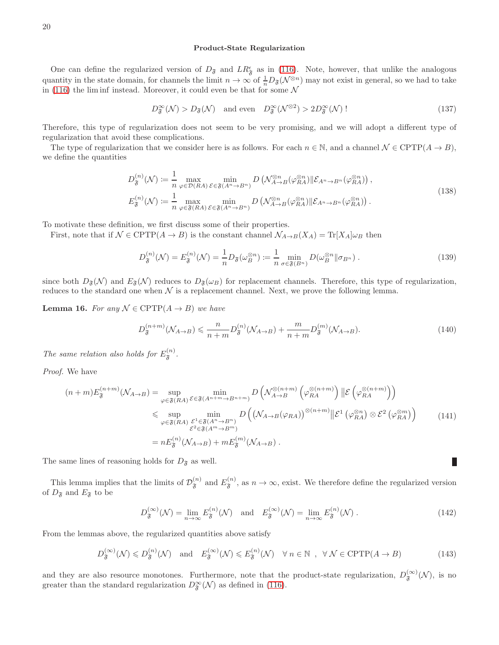#### Product-State Regularization

One can define the regularized version of  $D_{\mathfrak{F}}$  and  $LR_{\mathfrak{F}}^{\epsilon}$  as in [\(116\)](#page-16-1). Note, however, that unlike the analogous quantity in the state domain, for channels the limit  $n \to \infty$  of  $\frac{1}{n}D_{\mathfrak{F}}(\mathcal{N}^{\otimes n})$  may not exist in general, so we had to take in [\(116\)](#page-16-1) the lim inf instead. Moreover, it could even be that for some  $\mathcal N$ 

$$
D_{\mathfrak{F}}^{\infty}(\mathcal{N}) > D_{\mathfrak{F}}(\mathcal{N}) \quad \text{and even} \quad D_{\mathfrak{F}}^{\infty}(\mathcal{N}^{\otimes 2}) > 2D_{\mathfrak{F}}^{\infty}(\mathcal{N}) \tag{137}
$$

Therefore, this type of regularization does not seem to be very promising, and we will adopt a different type of regularization that avoid these complications.

The type of regularization that we consider here is as follows. For each  $n \in \mathbb{N}$ , and a channel  $\mathcal{N} \in \text{CPTP}(A \to B)$ , we define the quantities

$$
D_{\mathfrak{F}}^{(n)}(\mathcal{N}) \coloneqq \frac{1}{n} \max_{\varphi \in \mathcal{D}(RA)} \min_{\mathcal{E} \in \mathfrak{F}(A^n \to B^n)} D\left(\mathcal{N}_{A \to B}^{\otimes n}(\varphi_{RA}^{\otimes n}) \| \mathcal{E}_{A^n \to B^n}(\varphi_{RA}^{\otimes n})\right),
$$
  
\n
$$
E_{\mathfrak{F}}^{(n)}(\mathcal{N}) \coloneqq \frac{1}{n} \max_{\varphi \in \mathfrak{F}(RA)} \min_{\mathcal{E} \in \mathfrak{F}(A^n \to B^n)} D\left(\mathcal{N}_{A \to B}^{\otimes n}(\varphi_{RA}^{\otimes n}) \| \mathcal{E}_{A^n \to B^n}(\varphi_{RA}^{\otimes n})\right).
$$
\n(138)

To motivate these definition, we first discuss some of their properties.

First, note that if  $\mathcal{N} \in \text{CPTP}(A \to B)$  is the constant channel  $\mathcal{N}_{A \to B}(X_A) = \text{Tr}[X_A] \omega_B$  then

$$
D_{\mathfrak{F}}^{(n)}(\mathcal{N}) = E_{\mathfrak{F}}^{(n)}(\mathcal{N}) = \frac{1}{n} D_{\mathfrak{F}}(\omega_B^{\otimes n}) := \frac{1}{n} \min_{\sigma \in \mathfrak{F}(B^n)} D(\omega_B^{\otimes n} || \sigma_{B^n}).
$$
\n(139)

since both  $D_{\mathfrak{F}}(\mathcal{N})$  and  $E_{\mathfrak{F}}(\mathcal{N})$  reduces to  $D_{\mathfrak{F}}(\omega_B)$  for replacement channels. Therefore, this type of regularization, reduces to the standard one when  $\mathcal N$  is a replacement channel. Next, we prove the following lemma.

**Lemma 16.** For any  $N \in \text{CPTP}(A \rightarrow B)$  we have

$$
D_{\mathfrak{F}}^{(n+m)}(\mathcal{N}_{A\to B}) \leqslant \frac{n}{n+m} D_{\mathfrak{F}}^{(n)}(\mathcal{N}_{A\to B}) + \frac{m}{n+m} D_{\mathfrak{F}}^{(m)}(\mathcal{N}_{A\to B}). \tag{140}
$$

The same relation also holds for  $E_{\mathfrak{F}}^{(n)}$ .

*Proof.* We have

$$
(n+m)E_{\mathfrak{F}}^{(n+m)}(\mathcal{N}_{A\to B}) = \sup_{\varphi \in \mathfrak{F}(RA)} \min_{\mathcal{E} \in \mathfrak{F}(A^{n+m}\to B^{n+m})} D\left(\mathcal{N}_{A\to B}^{\otimes (n+m)}\left(\varphi_{RA}^{\otimes (n+m)}\right) \| \mathcal{E}\left(\varphi_{RA}^{\otimes (n+m)}\right) \right)
$$
  
\$\leqslant \sup\_{\varphi \in \mathfrak{F}(RA)} \min\_{\mathcal{E}^1 \in \mathfrak{F}(A^n\to B^n)} D\left((\mathcal{N}\_{A\to B}(\varphi\_{RA}))^{\otimes (n+m)} \| \mathcal{E}^1\left(\varphi\_{RA}^{\otimes n}\right) \otimes \mathcal{E}^2\left(\varphi\_{RA}^{\otimes m}\right)\right) \qquad (141)  
\$\leqslant e \leqslant \mathfrak{F}(A^{n}\to B^{n})\$  
= nE\_{\mathfrak{F}}^{(n)}(\mathcal{N}\_{A\to B}) + mE\_{\mathfrak{F}}^{(m)}(\mathcal{N}\_{A\to B}).

The same lines of reasoning holds for  $D_{\mathfrak{F}}$  as well.

This lemma implies that the limits of  $\mathcal{D}_{\mathfrak{F}}^{(n)}$  and  $E_{\mathfrak{F}}^{(n)}$ , as  $n \to \infty$ , exist. We therefore define the regularized version of  $D_{\mathfrak{F}}$  and  $E_{\mathfrak{F}}$  to be

$$
D_{\mathfrak{F}}^{(\infty)}(\mathcal{N}) = \lim_{n \to \infty} E_{\mathfrak{F}}^{(n)}(\mathcal{N}) \quad \text{and} \quad E_{\mathfrak{F}}^{(\infty)}(\mathcal{N}) = \lim_{n \to \infty} E_{\mathfrak{F}}^{(n)}(\mathcal{N}) . \tag{142}
$$

П

From the lemmas above, the regularized quantities above satisfy

$$
D_{\mathfrak{F}}^{(\infty)}(\mathcal{N}) \leq D_{\mathfrak{F}}^{(n)}(\mathcal{N}) \quad \text{and} \quad E_{\mathfrak{F}}^{(\infty)}(\mathcal{N}) \leq E_{\mathfrak{F}}^{(n)}(\mathcal{N}) \quad \forall n \in \mathbb{N} \quad , \quad \forall \mathcal{N} \in \text{CPTP}(A \to B) \tag{143}
$$

and they are also resource monotones. Furthermore, note that the product-state regularization,  $D_{\mathfrak{F}}^{(\infty)}(\mathcal{N})$ , is no greater than the standard regularization  $D^{\infty}_{\mathfrak{F}}(\mathcal{N})$  as defined in [\(116\)](#page-16-1).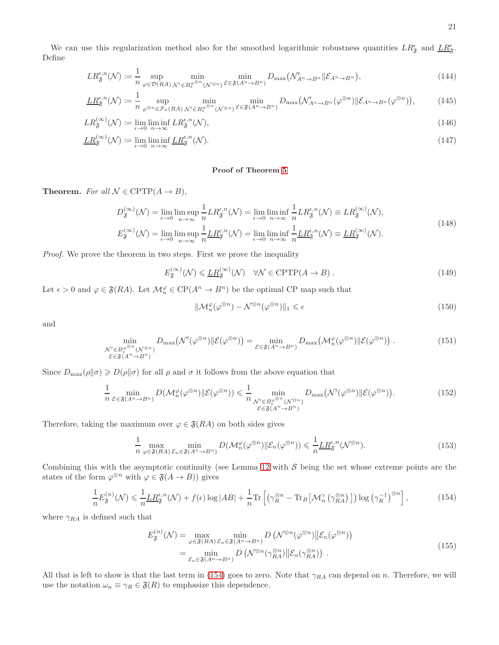$$
LR^{\epsilon,n}_{\mathfrak{F}}(\mathcal{N}) \coloneqq \frac{1}{n} \sup_{\varphi \in \mathcal{D}(RA)} \min_{\mathcal{N}' \in B^{\varphi^{\otimes n}}_{\epsilon}(\mathcal{N}^{\otimes n})} \min_{\mathcal{E} \in \mathfrak{F}(A^n \to B^n)} D_{\max}(\mathcal{N}'_{A^n \to B^n} \| \mathcal{E}_{A^n \to B^n}), \tag{144}
$$

$$
\underline{LR}_{\mathfrak{F}}^{\epsilon,n}(\mathcal{N}) \coloneqq \frac{1}{n} \sup_{\varphi^{\otimes n} \in \mathcal{F}_n(RA)} \min_{\mathcal{N}' \in B_{\epsilon}^{\varphi^{\otimes n}}(\mathcal{N}^{\otimes n})} \min_{\mathcal{E} \in \mathfrak{F}(A^n \to B^n)} D_{\max}(\mathcal{N}'_{A^n \to B^n}(\varphi^{\otimes n}) \| \mathcal{E}_{A^n \to B^n}(\varphi^{\otimes n})\},\tag{145}
$$

$$
LR_{\mathfrak{F}}^{(\infty)}(\mathcal{N}) \coloneqq \lim_{\epsilon \to 0} \liminf_{n \to \infty} LR_{\mathfrak{F}}^{\epsilon, n}(\mathcal{N}), \tag{146}
$$

$$
\underline{LR}_{\mathfrak{F}}^{(\infty)}(\mathcal{N}) \coloneqq \lim_{\epsilon \to 0} \liminf_{n \to \infty} \underline{LR}_{\mathfrak{F}}^{\epsilon, n}(\mathcal{N}).\tag{147}
$$

# Proof of Theorem [5](#page-3-0)

**Theorem.** *For all*  $N \in \text{CPTP}(A \rightarrow B)$ *,* 

$$
D_{\mathfrak{F}}^{(\infty)}(\mathcal{N}) = \lim_{\epsilon \to 0} \limsup_{n \to \infty} \frac{1}{n} L R_{\mathfrak{F}}^{\epsilon, n}(\mathcal{N}) = \lim_{\epsilon \to 0} \liminf_{n \to \infty} \frac{1}{n} L R_{\mathfrak{F}}^{\epsilon, n}(\mathcal{N}) \equiv L R_{\mathfrak{F}}^{(\infty)}(\mathcal{N}),
$$
  

$$
\Gamma^{(\infty)}(\mathcal{N}) = \lim_{n \to \infty} \frac{1}{n} L R_{\mathfrak{F}}^{\epsilon, n}(\mathcal{N}) = \lim_{n \to \infty} \frac{1}{n} L R_{\mathfrak{F}}^{\epsilon, n}(\mathcal{N}) = L R_{\mathfrak{F}}^{(\infty)}(\mathcal{N}).
$$
 (148)

$$
E_{\mathfrak{F}}^{(\infty)}(\mathcal{N}) = \lim_{\epsilon \to 0} \limsup_{n \to \infty} \frac{1}{n} \underline{LR}_{\mathfrak{F}}^{\epsilon,n}(\mathcal{N}) = \lim_{\epsilon \to 0} \liminf_{n \to \infty} \frac{1}{n} \underline{LR}_{\mathfrak{F}}^{\epsilon,n}(\mathcal{N}) \equiv \underline{LR}_{\mathfrak{F}}^{(\infty)}(\mathcal{N}).
$$

*Proof.* We prove the theorem in two steps. First we prove the inequality

$$
E_{\mathfrak{F}}^{(\infty)}(\mathcal{N}) \leqslant \underline{LR}_{\mathfrak{F}}^{(\infty)}(\mathcal{N}) \quad \forall \mathcal{N} \in \mathrm{CPTP}(A \to B). \tag{149}
$$

Let  $\epsilon > 0$  and  $\varphi \in \mathfrak{F}(RA)$ . Let  $\mathcal{M}_n^{\varphi} \in \mathbb{C}P(A^n \to B^n)$  be the optimal CP map such that

$$
\|\mathcal{M}_n^{\varphi}(\varphi^{\otimes n}) - \mathcal{N}^{\otimes n}(\varphi^{\otimes n})\|_1 \le \epsilon \tag{150}
$$

and

$$
\min_{\substack{\mathcal{N}' \in B_{\epsilon}^{\varphi^{\otimes n}}(\mathcal{N}^{\otimes n}) \\ \mathcal{E} \in \mathfrak{F}(A^n \to B^n)}} D_{\max}(\mathcal{N}'(\varphi^{\otimes n}) \| \mathcal{E}(\varphi^{\otimes n})) = \min_{\mathcal{E} \in \mathfrak{F}(A^n \to B^n)} D_{\max}(\mathcal{M}_n^{\varphi}(\varphi^{\otimes n}) \| \mathcal{E}(\varphi^{\otimes n})) .
$$
\n(151)

Since  $D_{\text{max}}(\rho||\sigma) \ge D(\rho||\sigma)$  for all  $\rho$  and  $\sigma$  it follows from the above equation that

$$
\frac{1}{n} \min_{\mathcal{E} \in \mathfrak{F}(A^n \to B^n)} D(\mathcal{M}_n^{\varphi}(\varphi^{\otimes n}) \| \mathcal{E}(\varphi^{\otimes n})) \leq \frac{1}{n} \min_{\substack{\mathcal{N}' \in B_{\epsilon}^{\varphi^{\otimes n}}(\mathcal{N}^{\otimes n}) \\ \mathcal{E} \in \mathfrak{F}(A^n \to B^n)}} D_{\max}(\mathcal{N}'(\varphi^{\otimes n}) \| \mathcal{E}(\varphi^{\otimes n})).
$$
\n(152)

Therefore, taking the maximum over  $\varphi \in \mathfrak{F}(RA)$  on both sides gives

$$
\frac{1}{n} \max_{\varphi \in \mathfrak{F}(RA)} \min_{\mathcal{E}_n \in \mathfrak{F}(A^n \to B^n)} D(\mathcal{M}_n^{\varphi}(\varphi^{\otimes n}) \| \mathcal{E}_n(\varphi^{\otimes n})) \leq \frac{1}{n} \underline{LR}_{\mathfrak{F}}^{\epsilon, n}(\mathcal{N}^{\otimes n}).
$$
\n(153)

Combining this with the asymptotic continuity (see Lemma [12](#page-13-2) with  $S$  being the set whose extreme points are the states of the form  $\varphi^{\otimes n}$  with  $\varphi \in \mathfrak{F}(A \to B)$ ) gives

<span id="page-20-0"></span>
$$
\frac{1}{n}E_{\mathfrak{F}}^{(n)}(\mathcal{N}) \leq \frac{1}{n}\underline{LR}_{\mathfrak{F}}^{\epsilon,n}(\mathcal{N}) + f(\epsilon)\log|AB| + \frac{1}{n}\text{Tr}\left[\left(\gamma_R^{\otimes n} - \text{Tr}_B\left[\mathcal{M}_n^{\gamma}\left(\gamma_{RA}^{\otimes n}\right)\right]\right)\log\left(\gamma_R^{-1}\right)^{\otimes n}\right],\tag{154}
$$

where  $\gamma_{RA}$  is defined such that

$$
E_{\mathfrak{F}}^{(n)}(\mathcal{N}) = \max_{\varphi \in \mathfrak{F}(RA)} \min_{\mathcal{E}_n \in \mathfrak{F}(A^n \to B^n)} D\left(\mathcal{N}^{\otimes n}(\varphi^{\otimes n}) \middle\| \mathcal{E}_n(\varphi^{\otimes n})\right)
$$
  
= 
$$
\min_{\mathcal{E}_n \in \mathfrak{F}(A^n \to B^n)} D\left(\mathcal{N}^{\otimes n}(\gamma_{RA}^{\otimes n}) \middle\| \mathcal{E}_n(\gamma_{RA}^{\otimes n})\right).
$$
 (155)

All that is left to show is that the last term in [\(154\)](#page-20-0) goes to zero. Note that  $\gamma_{RA}$  can depend on n. Therefore, we will use the notation  $\omega_n \equiv \gamma_R \in \mathfrak{F}(R)$  to emphasize this dependence.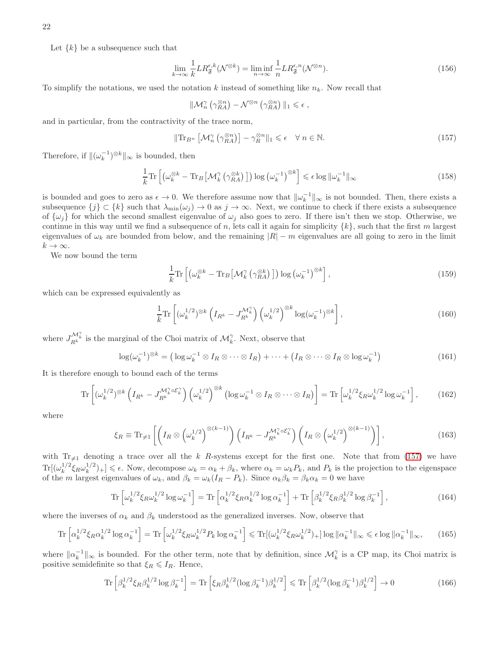Let  $\{k\}$  be a subsequence such that

$$
\lim_{k \to \infty} \frac{1}{k} L R_{\mathfrak{F}}^{\epsilon,k}(\mathcal{N}^{\otimes k}) = \liminf_{n \to \infty} \frac{1}{n} L R_{\mathfrak{F}}^{\epsilon,n}(\mathcal{N}^{\otimes n}).
$$
\n(156)

To simplify the notations, we used the notation k instead of something like  $n_k$ . Now recall that

$$
\|{\mathcal M}_n^{\gamma}\left(\gamma_{RA}^{\otimes n}\right)-{\mathcal N}^{\otimes n}\left(\gamma_{RA}^{\otimes n}\right)\|_1\leqslant \epsilon\;,
$$

and in particular, from the contractivity of the trace norm,

<span id="page-21-0"></span>
$$
\|\text{Tr}_{B^n}\left[\mathcal{M}_n^{\gamma}\left(\gamma_{RA}^{\otimes n}\right)\right] - \gamma_R^{\otimes n}\|_1 \leq \epsilon \quad \forall \ n \in \mathbb{N}.\tag{157}
$$

Therefore, if  $\|(\omega_k^{-1})^{\otimes k}\|_{\infty}$  is bounded, then

$$
\frac{1}{k} \text{Tr} \left[ \left( \omega_k^{\otimes k} - \text{Tr}_B \left[ \mathcal{M}_k^{\gamma} \left( \gamma_{RA}^{\otimes k} \right) \right] \right) \log \left( \omega_k^{-1} \right)^{\otimes k} \right] \leqslant \epsilon \log \| \omega_k^{-1} \|_{\infty} \tag{158}
$$

is bounded and goes to zero as  $\epsilon \to 0$ . We therefore assume now that  $\|\omega_k^{-1}\|_{\infty}$  is not bounded. Then, there exists a subsequence  $\{j\} \subset \{k\}$  such that  $\lambda_{\min}(\omega_j) \to 0$  as  $j \to \infty$ . Next, we continue to check if there exists a subsequence of  $\{\omega_i\}$  for which the second smallest eigenvalue of  $\omega_i$  also goes to zero. If there isn't then we stop. Otherwise, we continue in this way until we find a subsequence of n, lets call it again for simplicity  $\{k\}$ , such that the first m largest eigenvalues of  $\omega_k$  are bounded from below, and the remaining  $|R| - m$  eigenvalues are all going to zero in the limit  $k \to \infty$ .

We now bound the term

$$
\frac{1}{k} \text{Tr} \left[ \left( \omega_k^{\otimes k} - \text{Tr}_B \left[ \mathcal{M}_k^{\gamma} \left( \gamma_{RA}^{\otimes k} \right) \right] \right) \log \left( \omega_k^{-1} \right)^{\otimes k} \right],\tag{159}
$$

which can be expressed equivalently as

$$
\frac{1}{k} \text{Tr} \left[ (\omega_k^{1/2})^{\otimes k} \left( I_{R^k} - J_{R^k}^{\mathcal{M}_k^{\gamma}} \right) \left( \omega_k^{1/2} \right)^{\otimes k} \log(\omega_k^{-1})^{\otimes k} \right],\tag{160}
$$

where  $J_{R^k}^{\mathcal{M}_k^{\gamma}}$  is the marginal of the Choi matrix of  $\mathcal{M}_k^{\gamma}$ . Next, observe that

$$
\log(\omega_k^{-1})^{\otimes k} = \left(\log \omega_k^{-1} \otimes I_R \otimes \cdots \otimes I_R\right) + \cdots + \left(I_R \otimes \cdots \otimes I_R \otimes \log \omega_k^{-1}\right) \tag{161}
$$

It is therefore enough to bound each of the terms

$$
\operatorname{Tr}\left[\left(\omega_k^{1/2}\right)^{\otimes k}\left(I_{R^k} - J_{R^k}^{\mathcal{M}_k^{\gamma}\circ\mathcal{E}_k^{\gamma}}\right)\left(\omega_k^{1/2}\right)^{\otimes k}\left(\log\omega_k^{-1}\otimes I_R\otimes\cdots\otimes I_R\right)\right] = \operatorname{Tr}\left[\omega_k^{1/2}\xi_R\omega_k^{1/2}\log\omega_k^{-1}\right],\tag{162}
$$

where

$$
\xi_R \equiv \text{Tr}_{\neq 1} \left[ \left( I_R \otimes \left( \omega_k^{1/2} \right)^{\otimes (k-1)} \right) \left( I_{R^k} - J_{R^k}^{\mathcal{M}_k^{\gamma} \circ \mathcal{E}_k^{\gamma}} \right) \left( I_R \otimes \left( \omega_k^{1/2} \right)^{\otimes (k-1)} \right) \right],\tag{163}
$$

with  $Tr_{\neq1}$  denoting a trace over all the k R-systems except for the first one. Note that from [\(157\)](#page-21-0) we have  $\text{Tr}[(\omega_k^{1/2}% )^{k}](\omega_k^{(n)}\cdot\omega_k^{(n)}(a))$  $\frac{1/2}{k} \xi_R \omega_k^{1/2}$  $\binom{1}{k}$  =  $\leq \epsilon$ . Now, decompose  $\omega_k = \alpha_k + \beta_k$ , where  $\alpha_k = \omega_k P_k$ , and  $P_k$  is the projection to the eigenspace of the m largest eigenvalues of  $\omega_k$ , and  $\beta_k = \omega_k (I_R - P_k)$ . Since  $\alpha_k \beta_k = \beta_k \alpha_k = 0$  we have

$$
\operatorname{Tr}\left[\omega_k^{1/2}\xi_R\omega_k^{1/2}\log\omega_k^{-1}\right] = \operatorname{Tr}\left[\alpha_k^{1/2}\xi_R\alpha_k^{1/2}\log\alpha_k^{-1}\right] + \operatorname{Tr}\left[\beta_k^{1/2}\xi_R\beta_k^{1/2}\log\beta_k^{-1}\right],\tag{164}
$$

where the inverses of  $\alpha_k$  and  $\beta_k$  understood as the generalized inverses. Now, observe that

$$
\operatorname{Tr}\left[\alpha_k^{1/2}\xi_R\alpha_k^{1/2}\log\alpha_k^{-1}\right] = \operatorname{Tr}\left[\omega_k^{1/2}\xi_R\omega_k^{1/2}P_k\log\alpha_k^{-1}\right] \leq \operatorname{Tr}[(\omega_k^{1/2}\xi_R\omega_k^{1/2})_+] \log\|\alpha_k^{-1}\|_{\infty} \leq \epsilon \log\|\alpha_k^{-1}\|_{\infty},\tag{165}
$$

where  $\|\alpha_k^{-1}\|_{\infty}$  is bounded. For the other term, note that by definition, since  $\mathcal{M}_k^{\gamma}$  is a CP map, its Choi matrix is positive semidefinite so that  $\xi_R \leq I_R$ . Hence,

$$
\text{Tr}\left[\beta_k^{1/2}\xi_R\beta_k^{1/2}\log\beta_k^{-1}\right] = \text{Tr}\left[\xi_R\beta_k^{1/2}(\log\beta_k^{-1})\beta_k^{1/2}\right] \leq \text{Tr}\left[\beta_k^{1/2}(\log\beta_k^{-1})\beta_k^{1/2}\right] \to 0\tag{166}
$$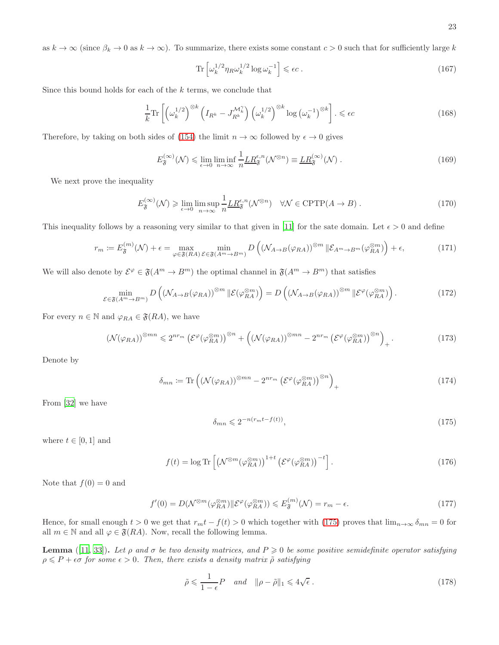as  $k \to \infty$  (since  $\beta_k \to 0$  as  $k \to \infty$ ). To summarize, there exists some constant  $c > 0$  such that for sufficiently large k

$$
\operatorname{Tr}\left[\omega_k^{1/2}\eta_R\omega_k^{1/2}\log\omega_k^{-1}\right] \leqslant \epsilon c\,. \tag{167}
$$

Since this bound holds for each of the  $k$  terms, we conclude that

$$
\frac{1}{k} \text{Tr} \left[ \left( \omega_k^{1/2} \right)^{\otimes k} \left( I_{R^k} - J_{R^k}^{\mathcal{M}_k^{\gamma}} \right) \left( \omega_k^{1/2} \right)^{\otimes k} \log \left( \omega_k^{-1} \right)^{\otimes k} \right] . \leqslant \epsilon c \tag{168}
$$

Therefore, by taking on both sides of [\(154\)](#page-20-0) the limit  $n \to \infty$  followed by  $\epsilon \to 0$  gives

$$
E_{\mathfrak{F}}^{(\infty)}(\mathcal{N}) \leq \lim_{\epsilon \to 0} \liminf_{n \to \infty} \frac{1}{n} \underline{LR}_{\mathfrak{F}}^{\epsilon, n}(\mathcal{N}^{\otimes n}) \equiv \underline{LR}_{\mathfrak{F}}^{(\infty)}(\mathcal{N}) .
$$
 (169)

We next prove the inequality

$$
E_{\mathfrak{F}}^{(\infty)}(\mathcal{N}) \geq \lim_{\epsilon \to 0} \limsup_{n \to \infty} \frac{1}{n} \underline{LR}_{\mathfrak{F}}^{\epsilon, n}(\mathcal{N}^{\otimes n}) \quad \forall \mathcal{N} \in \mathrm{CPTP}(A \to B) \; . \tag{170}
$$

This inequality follows by a reasoning very similar to that given in [\[11](#page-4-12)] for the sate domain. Let  $\epsilon > 0$  and define

$$
r_m := E_{\mathfrak{F}}^{(m)}(\mathcal{N}) + \epsilon = \max_{\varphi \in \mathfrak{F}(RA)} \min_{\mathcal{E} \in \mathfrak{F}(A^m \to B^m)} D\left( (\mathcal{N}_{A \to B}(\varphi_{RA}))^{\otimes m} \, \| \mathcal{E}_{A^m \to B^m}(\varphi_{RA}^{\otimes m}) \right) + \epsilon,\tag{171}
$$

We will also denote by  $\mathcal{E}^{\varphi} \in \mathfrak{F}(A^m \to B^m)$  the optimal channel in  $\mathfrak{F}(A^m \to B^m)$  that satisfies

$$
\min_{\mathcal{E}\in\mathfrak{F}(A^m\to B^m)} D\left((\mathcal{N}_{A\to B}(\varphi_{RA}))^{\otimes m} \|\mathcal{E}(\varphi_{RA}^{\otimes m})\right) = D\left((\mathcal{N}_{A\to B}(\varphi_{RA}))^{\otimes m} \|\mathcal{E}^{\varphi}(\varphi_{RA}^{\otimes m})\right). \tag{172}
$$

For every  $n \in \mathbb{N}$  and  $\varphi_{RA} \in \mathfrak{F}(RA)$ , we have

<span id="page-22-1"></span>
$$
\left(\mathcal{N}(\varphi_{RA})\right)^{\otimes mn} \leqslant 2^{nr_m} \left(\mathcal{E}^{\varphi}(\varphi_{RA}^{\otimes m})\right)^{\otimes n} + \left(\left(\mathcal{N}(\varphi_{RA})\right)^{\otimes mn} - 2^{nr_m} \left(\mathcal{E}^{\varphi}(\varphi_{RA}^{\otimes m})\right)^{\otimes n}\right)_+ \,. \tag{173}
$$

Denote by

$$
\delta_{mn} \coloneqq \text{Tr}\left( \left( \mathcal{N}(\varphi_{RA}) \right)^{\otimes mn} - 2^{nr_m} \left( \mathcal{E}^{\varphi}(\varphi_{RA}^{\otimes m}) \right)^{\otimes n} \right)_+ \tag{174}
$$

From [\[32\]](#page-4-32) we have

<span id="page-22-0"></span>
$$
\delta_{mn} \leqslant 2^{-n(r_m t - f(t))},\tag{175}
$$

where  $t \in [0, 1]$  and

$$
f(t) = \log \text{Tr} \left[ \left( \mathcal{N}^{\otimes m} (\varphi_{RA}^{\otimes m}) \right)^{1+t} \left( \mathcal{E}^{\varphi} (\varphi_{RA}^{\otimes m}) \right)^{-t} \right]. \tag{176}
$$

Note that  $f(0) = 0$  and

$$
f'(0) = D(\mathcal{N}^{\otimes m}(\varphi_{RA}^{\otimes m}) \| \mathcal{E}^{\varphi}(\varphi_{RA}^{\otimes m})) \leqslant E_{\mathfrak{F}}^{(m)}(\mathcal{N}) = r_m - \epsilon.
$$
 (177)

Hence, for small enough  $t > 0$  we get that  $r_m t - f(t) > 0$  which together with [\(175\)](#page-22-0) proves that  $\lim_{n\to\infty} \delta_{mn} = 0$  for all  $m \in \mathbb{N}$  and all  $\varphi \in \mathfrak{F}(RA)$ . Now, recall the following lemma.

**Lemma** ([\[11](#page-4-12), [33](#page-4-33)]). Let *ρ* and *σ* be two density matrices, and  $P \ge 0$  be some positive semidefinite operator satisfying  $\rho \leqslant P + \epsilon \sigma$  *for some*  $\epsilon > 0$ *. Then, there exists a density matrix*  $\tilde{\rho}$  *satisfying* 

$$
\tilde{\rho} \leqslant \frac{1}{1 - \epsilon} P \quad \text{and} \quad \|\rho - \tilde{\rho}\|_1 \leqslant 4\sqrt{\epsilon} \ . \tag{178}
$$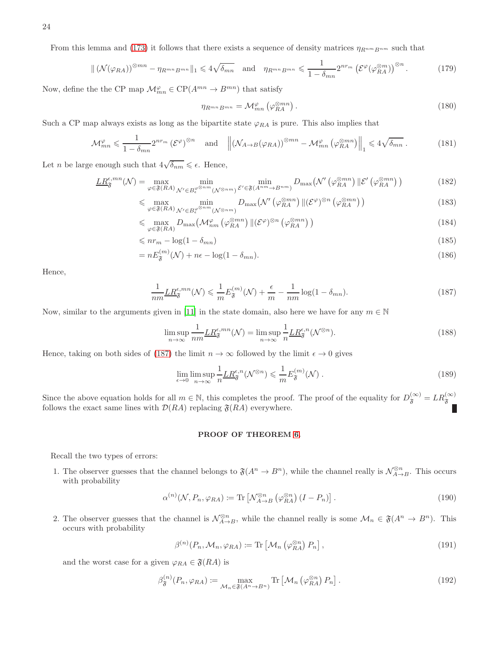From this lemma and [\(173\)](#page-22-1) it follows that there exists a sequence of density matrices  $\eta_{R^{nm}B^{nm}}$  such that

$$
\| \left( \mathcal{N}(\varphi_{RA}) \right)^{\otimes mn} - \eta_{R^{mn}B^{mn}} \|_{1} \leqslant 4\sqrt{\delta_{mn}} \quad \text{and} \quad \eta_{R^{mn}B^{mn}} \leqslant \frac{1}{1 - \delta_{mn}} 2^{nr_m} \left( \mathcal{E}^{\varphi}(\varphi_{RA}^{\otimes m}) \right)^{\otimes n} . \tag{179}
$$

Now, define the the CP map  $\mathcal{M}_{mn}^{\varphi} \in \mathrm{CP}(A^{mn} \to B^{mn})$  that satisfy

$$
\eta_{R^{mn}B^{mn}} = \mathcal{M}^{\varphi}_{mn} \left( \varphi_{RA}^{\otimes mn} \right). \tag{180}
$$

Such a CP map always exists as long as the bipartite state  $\varphi_{RA}$  is pure. This also implies that

$$
\mathcal{M}_{mn}^{\varphi} \leq \frac{1}{1 - \delta_{mn}} 2^{nr_m} \left( \mathcal{E}^{\varphi} \right)^{\otimes n} \quad \text{and} \quad \left\| \left( \mathcal{N}_{A \to B}(\varphi_{RA}) \right)^{\otimes mn} - \mathcal{M}_{mn}^{\varphi} \left( \varphi_{RA}^{\otimes mn} \right) \right\|_1 \leq 4 \sqrt{\delta_{mn}} \,. \tag{181}
$$

Let *n* be large enough such that  $4\sqrt{\delta_{nm}} \leq \epsilon$ . Hence,

$$
\underline{LR}_{\mathfrak{F}}^{\epsilon,mn}(\mathcal{N}) = \max_{\varphi \in \mathfrak{F}(RA)} \min_{\mathcal{N}' \in B_{\epsilon}^{\varphi^{\otimes nm}}(\mathcal{N}^{\otimes nm})} \min_{\mathcal{E}' \in \mathfrak{F}(A^{nm} \to B^{nm})} D_{\max}(\mathcal{N}'\left(\varphi_{RA}^{\otimes mn}\right) \| \mathcal{E}'\left(\varphi_{RA}^{\otimes mn}\right))
$$
(182)

$$
\leqslant \max_{\varphi \in \mathfrak{F}(RA)} \min_{\mathcal{N}' \in B_{\epsilon}^{\varphi^{\otimes nm}}(\mathcal{N}^{\otimes nm})} D_{\max}(\mathcal{N}'\left(\varphi_{RA}^{\otimes mn}\right) \| (\mathcal{E}^{\varphi})^{\otimes n} \left(\varphi_{RA}^{\otimes mn}\right)) \tag{183}
$$

$$
\leqslant \max_{\varphi \in \mathfrak{F}(RA)} D_{\max} \left( \mathcal{M}_{nm}^{\varphi} \left( \varphi_{RA}^{\otimes mn} \right) \| (\mathcal{E}^{\varphi})^{\otimes n} \left( \varphi_{RA}^{\otimes mn} \right) \right) \tag{184}
$$

$$
\leqslant nr_m - \log(1 - \delta_{mn})\tag{185}
$$

$$
= nE_{\mathfrak{F}}^{(m)}(\mathcal{N}) + n\epsilon - \log(1 - \delta_{mn}). \tag{186}
$$

Hence,

<span id="page-23-0"></span>
$$
\frac{1}{nm} \underline{LR}_{\mathfrak{F}}^{\epsilon, mn}(\mathcal{N}) \leq \frac{1}{m} E_{\mathfrak{F}}^{(m)}(\mathcal{N}) + \frac{\epsilon}{m} - \frac{1}{nm} \log(1 - \delta_{mn}). \tag{187}
$$

Now, similar to the arguments given in [\[11\]](#page-4-12) in the state domain, also here we have for any  $m \in \mathbb{N}$ 

$$
\limsup_{n \to \infty} \frac{1}{nm} \underline{LR}_{\mathfrak{F}}^{\epsilon, mn}(\mathcal{N}) = \limsup_{n \to \infty} \frac{1}{n} \underline{LR}_{\mathfrak{F}}^{\epsilon, n}(\mathcal{N}^{\otimes n}).
$$
\n(188)

Hence, taking on both sides of [\(187\)](#page-23-0) the limit  $n \to \infty$  followed by the limit  $\epsilon \to 0$  gives

$$
\lim_{\epsilon \to 0} \limsup_{n \to \infty} \frac{1}{n} \underline{LR}_{\mathfrak{F}}^{\epsilon, n} (\mathcal{N}^{\otimes n}) \leqslant \frac{1}{m} E_{\mathfrak{F}}^{(m)} (\mathcal{N}) . \tag{189}
$$

Since the above equation holds for all  $m \in \mathbb{N}$ , this completes the proof. The proof of the equality for  $D_{\mathfrak{F}}^{(\infty)} = LR_{\mathfrak{F}}^{(\infty)}$  follows the exact same lines with  $\mathcal{D}(RA)$  replacing  $\mathfrak{F}(RA)$  everywhere.

# PROOF OF THEOREM [6.](#page-4-34)

Recall the two types of errors:

1. The observer guesses that the channel belongs to  $\mathfrak{F}(A^n \to B^n)$ , while the channel really is  $\mathcal{N}_{A\to B}^{\otimes n}$ . This occurs with probability

$$
\alpha^{(n)}(\mathcal{N}, P_n, \varphi_{RA}) \coloneqq \text{Tr}\left[\mathcal{N}_{A \to B}^{\otimes n} \left(\varphi_{RA}^{\otimes n}\right) (I - P_n)\right].\tag{190}
$$

2. The observer guesses that the channel is  $\mathcal{N}_{A\to B}^{\otimes n}$ , while the channel really is some  $\mathcal{M}_n \in \mathfrak{F}(A^n \to B^n)$ . This occurs with probability

$$
\beta^{(n)}(P_n, \mathcal{M}_n, \varphi_{RA}) \coloneqq \text{Tr}\left[\mathcal{M}_n\left(\varphi_{RA}^{\otimes n}\right)P_n\right],\tag{191}
$$

and the worst case for a given  $\varphi_{RA} \in \mathfrak{F}(RA)$  is

$$
\beta_{\mathfrak{F}}^{(n)}(P_n, \varphi_{RA}) \coloneqq \max_{\mathcal{M}_n \in \mathfrak{F}(A^n \to B^n)} \text{Tr} \left[ \mathcal{M}_n \left( \varphi_{RA}^{\otimes n} \right) P_n \right]. \tag{192}
$$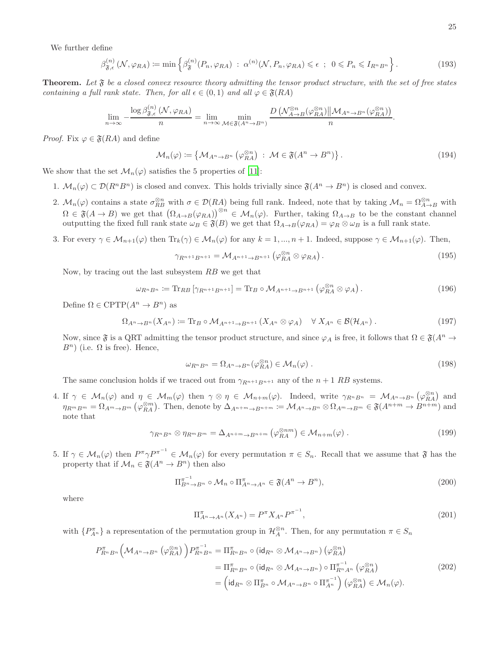We further define

$$
\beta_{\mathfrak{F},\epsilon}^{(n)}\left(\mathcal{N},\varphi_{RA}\right) \coloneqq \min\left\{\beta_{\mathfrak{F}}^{(n)}(P_n,\varphi_{RA})\;:\; \alpha^{(n)}(\mathcal{N},P_n,\varphi_{RA}) \leq \epsilon\;:\; 0 \leq P_n \leq I_{R^n B^n}\right\}.\tag{193}
$$

Theorem. *Let* F *be a closed convex resource theory admitting the tensor product structure, with the set of free states containing a full rank state. Then, for all*  $\epsilon \in (0, 1)$  *and all*  $\varphi \in \mathfrak{F}(RA)$ 

$$
\lim_{n \to \infty} -\frac{\log \beta_{\mathfrak{F},\epsilon}^{(n)}(\mathcal{N},\varphi_{RA})}{n} = \lim_{n \to \infty} \min_{\mathcal{M} \in \mathfrak{F}(A^n \to B^n)} \frac{D\left(\mathcal{N}_{A \to B}^{\otimes n}(\varphi_{RA}^{\otimes n}) \middle\| \mathcal{M}_{A^n \to B^n}(\varphi_{RA}^{\otimes n})\right)}{n}.
$$

*Proof.* Fix  $\varphi \in \mathfrak{F}(RA)$  and define

$$
\mathcal{M}_n(\varphi) := \left\{ \mathcal{M}_{A^n \to B^n} \left( \varphi_{RA}^{\otimes n} \right) \ : \ \mathcal{M} \in \mathfrak{F}(A^n \to B^n) \right\}. \tag{194}
$$

We show that the set  $\mathcal{M}_n(\varphi)$  satisfies the 5 properties of [\[11](#page-4-12)]:

- 1.  $\mathcal{M}_n(\varphi) \subset \mathcal{D}(R^n B^n)$  is closed and convex. This holds trivially since  $\mathfrak{F}(A^n \to B^n)$  is closed and convex.
- 2.  $\mathcal{M}_n(\varphi)$  contains a state  $\sigma_{RB}^{\otimes n}$  with  $\sigma \in \mathcal{D}(RA)$  being full rank. Indeed, note that by taking  $\mathcal{M}_n = \Omega_{A\to B}^{\otimes n}$  with  $\Omega \in \mathfrak{F}(A \to B)$  we get that  $(\Omega_{A \to B}(\varphi_{RA}))^{\otimes n} \in \mathcal{M}_n(\varphi)$ . Further, taking  $\Omega_{A \to B}$  to be the constant channel outputting the fixed full rank state  $\omega_B \in \mathfrak{F}(B)$  we get that  $\Omega_{A\to B}(\varphi_{RA}) = \varphi_R \otimes \omega_B$  is a full rank state.
- 3. For every  $\gamma \in \mathcal{M}_{n+1}(\varphi)$  then  $\text{Tr}_k(\gamma) \in \mathcal{M}_n(\varphi)$  for any  $k = 1, ..., n+1$ . Indeed, suppose  $\gamma \in \mathcal{M}_{n+1}(\varphi)$ . Then,

$$
\gamma_{R^{n+1}B^{n+1}} = \mathcal{M}_{A^{n+1}\to B^{n+1}}\left(\varphi_{RA}^{\otimes n} \otimes \varphi_{RA}\right). \tag{195}
$$

Now, by tracing out the last subsystem RB we get that

$$
\omega_{R^n B^n} := \text{Tr}_{RB} \left[ \gamma_{R^{n+1} B^{n+1}} \right] = \text{Tr}_B \circ \mathcal{M}_{A^{n+1} \to B^{n+1}} \left( \varphi_{RA}^{\otimes n} \otimes \varphi_A \right). \tag{196}
$$

Define  $\Omega \in \text{CPTP}(A^n \to B^n)$  as

$$
\Omega_{A^n \to B^n}(X_{A^n}) \coloneqq \text{Tr}_B \circ \mathcal{M}_{A^{n+1} \to B^{n+1}}(X_{A^n} \otimes \varphi_A) \quad \forall \ X_{A^n} \in \mathcal{B}(\mathcal{H}_{A^n}) \ . \tag{197}
$$

Now, since  $\mathfrak{F}$  is a QRT admitting the tensor product structure, and since  $\varphi_A$  is free, it follows that  $\Omega \in \mathfrak{F}(A^n \to \mathfrak{F}(A))$  $B^n$ ) (i.e.  $\Omega$  is free). Hence,

$$
\omega_{R^n B^n} = \Omega_{A^n \to B^n} (\varphi_{RA}^{\otimes n}) \in \mathcal{M}_n(\varphi) .
$$
\n(198)

The same conclusion holds if we traced out from  $\gamma_{R^{n+1}B^{n+1}}$  any of the  $n+1$  RB systems.

4. If  $\gamma \in M_n(\varphi)$  and  $\eta \in M_m(\varphi)$  then  $\gamma \otimes \eta \in M_{n+m}(\varphi)$ . Indeed, write  $\gamma_{R^nB^n} = M_{A^n \to B^n}(\varphi_{RA}^{\otimes n})$  and  $\eta_{R^m B^m} = \Omega_{A^m \to B^m} (\varphi_{RA}^{\otimes m})$ . Then, denote by  $\Delta_{A^{n+m} \to B^{n+m}} \coloneqq \mathcal{M}_{A^n \to B^n} \otimes \Omega_{A^m \to B^m} \in \mathfrak{F}(A^{n+m} \to B^{n+m})$  and note that

$$
\gamma_{R^n B^n} \otimes \eta_{R^m B^m} = \Delta_{A^{n+m} \to B^{n+m}} \left( \varphi_{RA}^{\otimes nm} \right) \in \mathcal{M}_{n+m}(\varphi) \ . \tag{199}
$$

5. If  $\gamma \in M_n(\varphi)$  then  $P^{\pi} \gamma P^{\pi^{-1}} \in M_n(\varphi)$  for every permutation  $\pi \in S_n$ . Recall that we assume that  $\mathfrak{F}$  has the property that if  $\mathcal{M}_n \in \mathfrak{F}(A^n \to B^n)$  then also

$$
\Pi_{B^n \to B^n}^{\pi^{-1}} \circ \mathcal{M}_n \circ \Pi_{A^n \to A^n}^{\pi} \in \mathfrak{F}(A^n \to B^n),\tag{200}
$$

where

$$
\Pi_{A^n \to A^n}^{\pi}(X_{A^n}) = P^{\pi} X_{A^n} P^{\pi^{-1}},
$$
\n(201)

with  $\{P_{A^n}^{\pi}\}\$  a representation of the permutation group in  $\mathcal{H}_A^{\otimes n}$ . Then, for any permutation  $\pi \in S_n$ 

$$
P_{R^{n}B^{n}}^{\pi} \left(\mathcal{M}_{A^{n}\to B^{n}}\left(\varphi_{RA}^{\otimes n}\right)\right) P_{R^{n}B^{n}}^{-1} = \Pi_{R^{n}B^{n}}^{\pi} \circ (\mathrm{id}_{R^{n}} \otimes \mathcal{M}_{A^{n}\to B^{n}})\left(\varphi_{RA}^{\otimes n}\right)
$$
  
\n
$$
= \Pi_{R^{n}B^{n}}^{\pi} \circ (\mathrm{id}_{R^{n}} \otimes \mathcal{M}_{A^{n}\to B^{n}}) \circ \Pi_{R^{n}A^{n}}^{\pi^{-1}}\left(\varphi_{RA}^{\otimes n}\right)
$$
  
\n
$$
= (\mathrm{id}_{R^{n}} \otimes \Pi_{B^{n}}^{\pi} \circ \mathcal{M}_{A^{n}\to B^{n}} \circ \Pi_{A^{n}}^{\pi^{-1}})\left(\varphi_{RA}^{\otimes n}\right) \in \mathcal{M}_{n}(\varphi).
$$
  
\n(202)